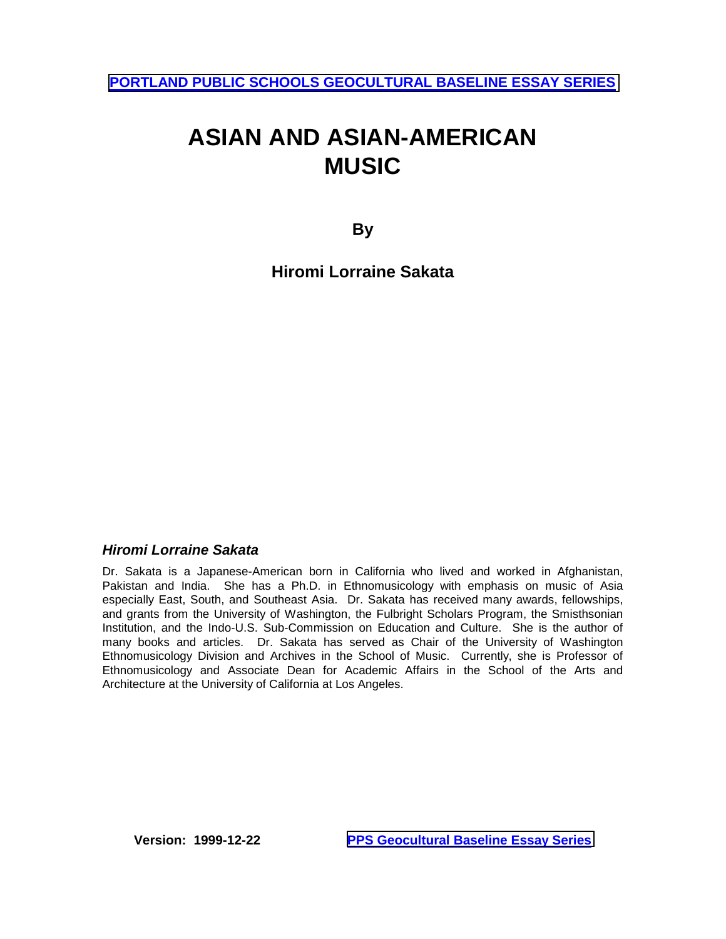# **ASIAN AND ASIAN-AMERICAN MUSIC**

**By** 

**Hiromi Lorraine Sakata** 

# *Hiromi Lorraine Sakata*

Dr. Sakata is a Japanese-American born in California who lived and worked in Afghanistan, Pakistan and India. She has a Ph.D. in Ethnomusicology with emphasis on music of Asia especially East, South, and Southeast Asia. Dr. Sakata has received many awards, fellowships, and grants from the University of Washington, the Fulbright Scholars Program, the Smisthsonian Institution, and the Indo-U.S. Sub-Commission on Education and Culture. She is the author of many books and articles. Dr. Sakata has served as Chair of the University of Washington Ethnomusicology Division and Archives in the School of Music. Currently, she is Professor of Ethnomusicology and Associate Dean for Academic Affairs in the School of the Arts and Architecture at the University of California at Los Angeles.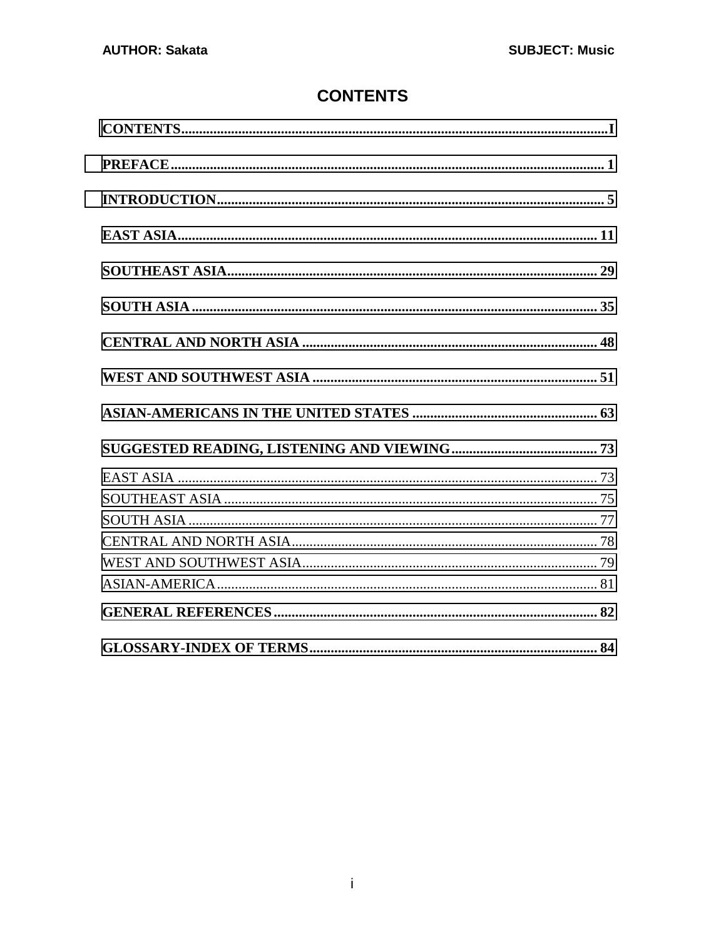# **CONTENTS**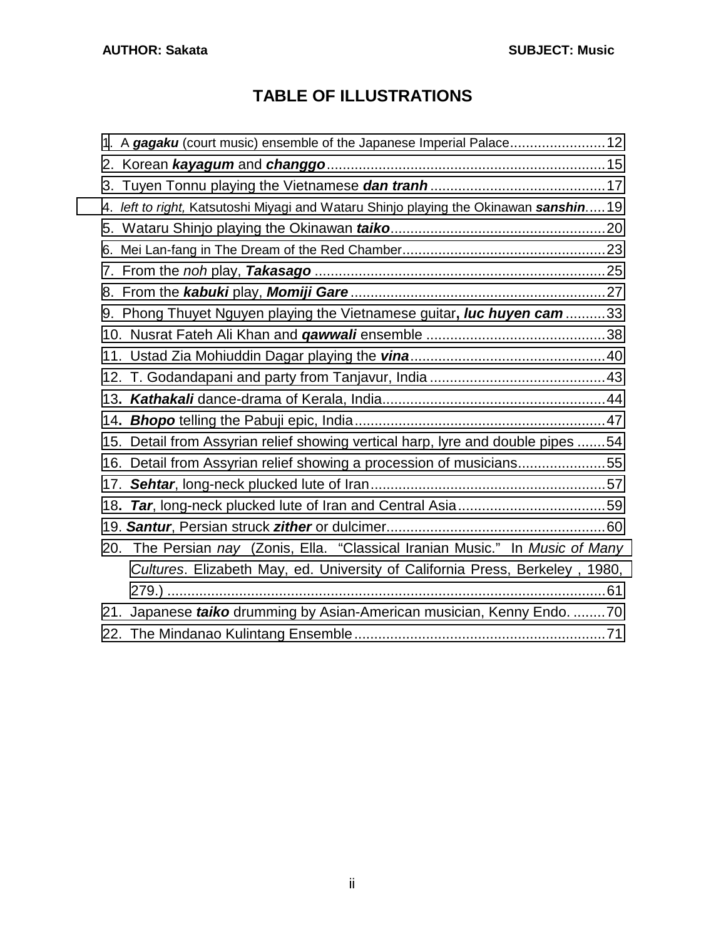# **TABLE OF ILLUSTRATIONS**

|     | 1. A gagaku (court music) ensemble of the Japanese Imperial Palace12                  |  |
|-----|---------------------------------------------------------------------------------------|--|
|     |                                                                                       |  |
|     |                                                                                       |  |
|     | 4. left to right, Katsutoshi Miyagi and Wataru Shinjo playing the Okinawan sanshin 19 |  |
|     |                                                                                       |  |
|     |                                                                                       |  |
|     |                                                                                       |  |
|     |                                                                                       |  |
|     | 9. Phong Thuyet Nguyen playing the Vietnamese guitar, luc huyen cam33                 |  |
|     |                                                                                       |  |
|     |                                                                                       |  |
|     |                                                                                       |  |
|     |                                                                                       |  |
|     |                                                                                       |  |
|     | 15. Detail from Assyrian relief showing vertical harp, lyre and double pipes 54       |  |
|     | 16. Detail from Assyrian relief showing a procession of musicians55                   |  |
|     |                                                                                       |  |
|     |                                                                                       |  |
|     |                                                                                       |  |
| 20. | The Persian nay (Zonis, Ella. "Classical Iranian Music." In Music of Many             |  |
|     | Cultures. Elizabeth May, ed. University of California Press, Berkeley, 1980,          |  |
|     |                                                                                       |  |
| 21. | Japanese taiko drumming by Asian-American musician, Kenny Endo. 70                    |  |
|     |                                                                                       |  |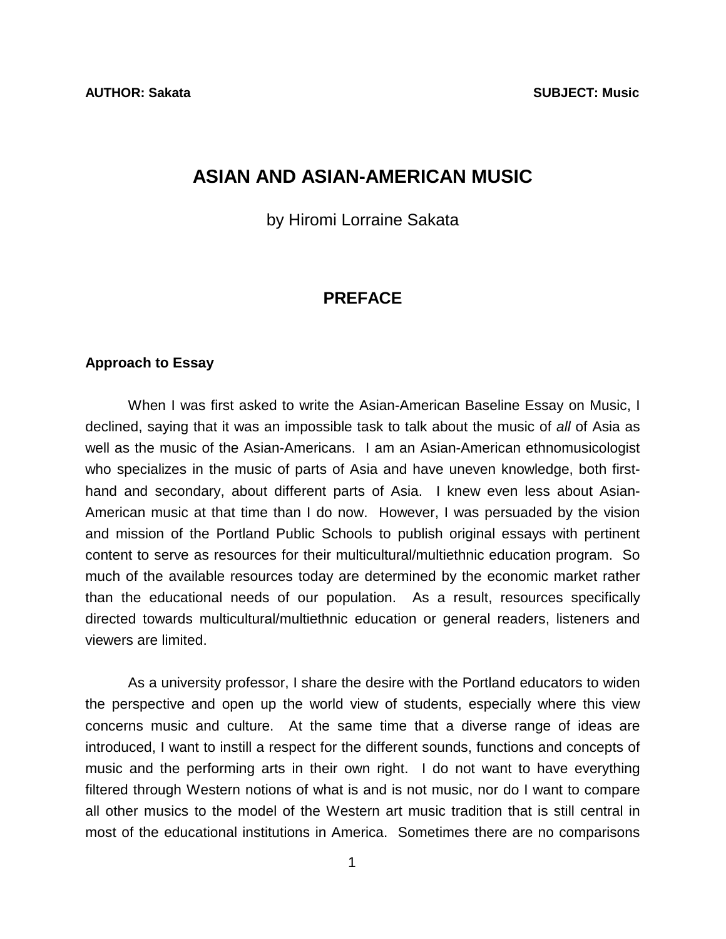# <span id="page-4-0"></span>**ASIAN AND ASIAN-AMERICAN MUSIC**

by Hiromi Lorraine Sakata

# **PREFACE**

#### **Approach to Essay**

 When I was first asked to write the Asian-American Baseline Essay on Music, I declined, saying that it was an impossible task to talk about the music of *all* of Asia as well as the music of the Asian-Americans. I am an Asian-American ethnomusicologist who specializes in the music of parts of Asia and have uneven knowledge, both firsthand and secondary, about different parts of Asia. I knew even less about Asian-American music at that time than I do now. However, I was persuaded by the vision and mission of the Portland Public Schools to publish original essays with pertinent content to serve as resources for their multicultural/multiethnic education program. So much of the available resources today are determined by the economic market rather than the educational needs of our population. As a result, resources specifically directed towards multicultural/multiethnic education or general readers, listeners and viewers are limited.

 As a university professor, I share the desire with the Portland educators to widen the perspective and open up the world view of students, especially where this view concerns music and culture. At the same time that a diverse range of ideas are introduced, I want to instill a respect for the different sounds, functions and concepts of music and the performing arts in their own right. I do not want to have everything filtered through Western notions of what is and is not music, nor do I want to compare all other musics to the model of the Western art music tradition that is still central in most of the educational institutions in America. Sometimes there are no comparisons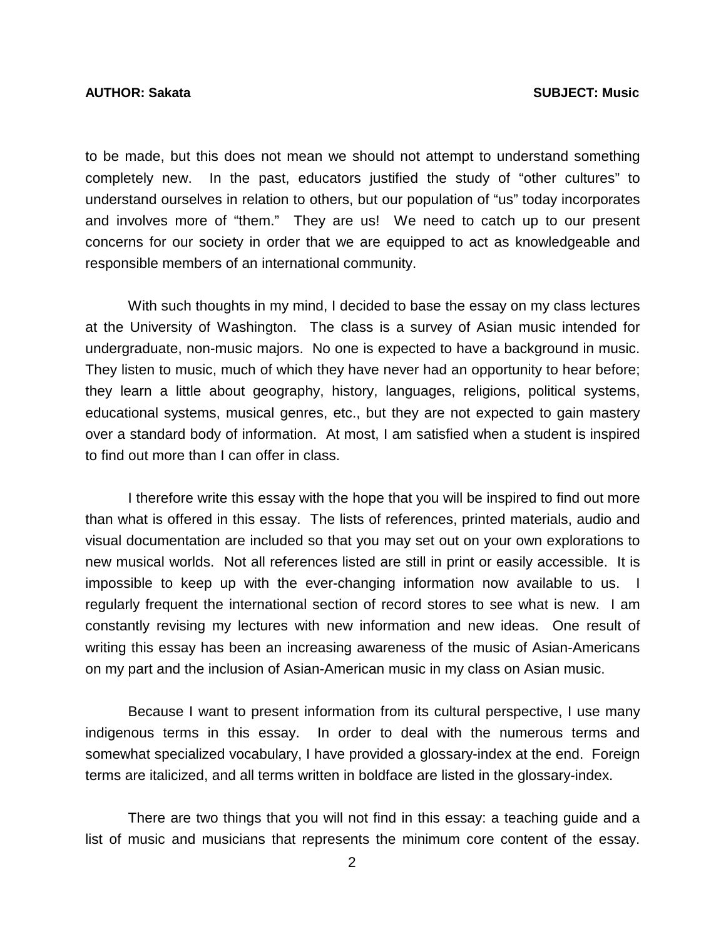to be made, but this does not mean we should not attempt to understand something completely new. In the past, educators justified the study of "other cultures" to understand ourselves in relation to others, but our population of "us" today incorporates and involves more of "them." They are us! We need to catch up to our present concerns for our society in order that we are equipped to act as knowledgeable and responsible members of an international community.

 With such thoughts in my mind, I decided to base the essay on my class lectures at the University of Washington. The class is a survey of Asian music intended for undergraduate, non-music majors. No one is expected to have a background in music. They listen to music, much of which they have never had an opportunity to hear before; they learn a little about geography, history, languages, religions, political systems, educational systems, musical genres, etc., but they are not expected to gain mastery over a standard body of information. At most, I am satisfied when a student is inspired to find out more than I can offer in class.

 I therefore write this essay with the hope that you will be inspired to find out more than what is offered in this essay. The lists of references, printed materials, audio and visual documentation are included so that you may set out on your own explorations to new musical worlds. Not all references listed are still in print or easily accessible. It is impossible to keep up with the ever-changing information now available to us. I regularly frequent the international section of record stores to see what is new. I am constantly revising my lectures with new information and new ideas. One result of writing this essay has been an increasing awareness of the music of Asian-Americans on my part and the inclusion of Asian-American music in my class on Asian music.

 Because I want to present information from its cultural perspective, I use many indigenous terms in this essay. In order to deal with the numerous terms and somewhat specialized vocabulary, I have provided a glossary-index at the end. Foreign terms are italicized, and all terms written in boldface are listed in the glossary-index.

 There are two things that you will not find in this essay: a teaching guide and a list of music and musicians that represents the minimum core content of the essay.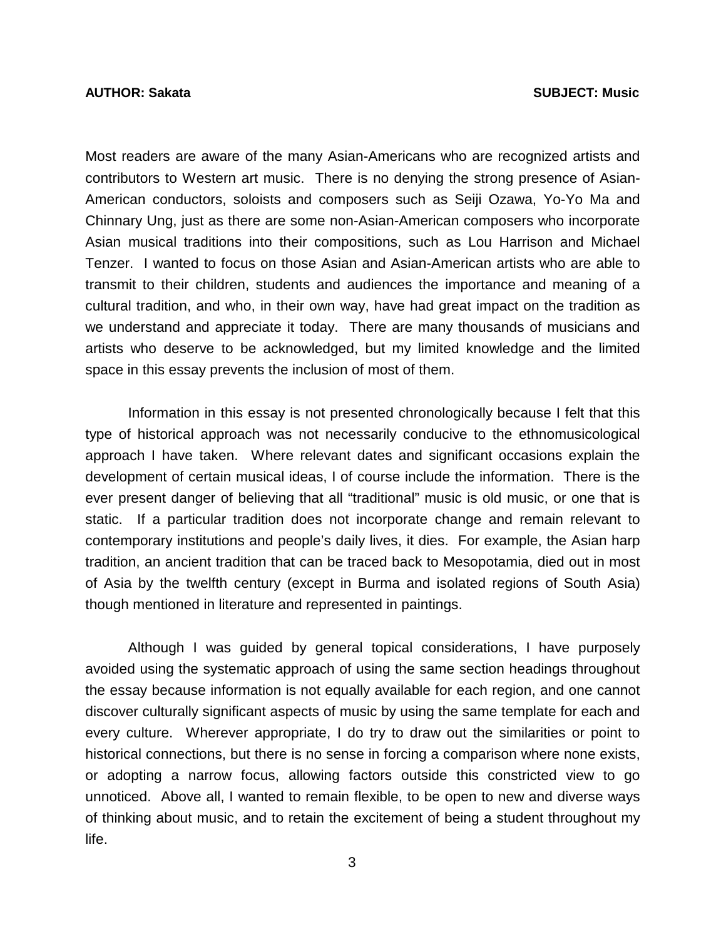Most readers are aware of the many Asian-Americans who are recognized artists and contributors to Western art music. There is no denying the strong presence of Asian-American conductors, soloists and composers such as Seiji Ozawa, Yo-Yo Ma and Chinnary Ung, just as there are some non-Asian-American composers who incorporate Asian musical traditions into their compositions, such as Lou Harrison and Michael Tenzer. I wanted to focus on those Asian and Asian-American artists who are able to transmit to their children, students and audiences the importance and meaning of a cultural tradition, and who, in their own way, have had great impact on the tradition as we understand and appreciate it today. There are many thousands of musicians and artists who deserve to be acknowledged, but my limited knowledge and the limited space in this essay prevents the inclusion of most of them.

 Information in this essay is not presented chronologically because I felt that this type of historical approach was not necessarily conducive to the ethnomusicological approach I have taken. Where relevant dates and significant occasions explain the development of certain musical ideas, I of course include the information. There is the ever present danger of believing that all "traditional" music is old music, or one that is static. If a particular tradition does not incorporate change and remain relevant to contemporary institutions and people's daily lives, it dies. For example, the Asian harp tradition, an ancient tradition that can be traced back to Mesopotamia, died out in most of Asia by the twelfth century (except in Burma and isolated regions of South Asia) though mentioned in literature and represented in paintings.

 Although I was guided by general topical considerations, I have purposely avoided using the systematic approach of using the same section headings throughout the essay because information is not equally available for each region, and one cannot discover culturally significant aspects of music by using the same template for each and every culture. Wherever appropriate, I do try to draw out the similarities or point to historical connections, but there is no sense in forcing a comparison where none exists, or adopting a narrow focus, allowing factors outside this constricted view to go unnoticed. Above all, I wanted to remain flexible, to be open to new and diverse ways of thinking about music, and to retain the excitement of being a student throughout my life.

3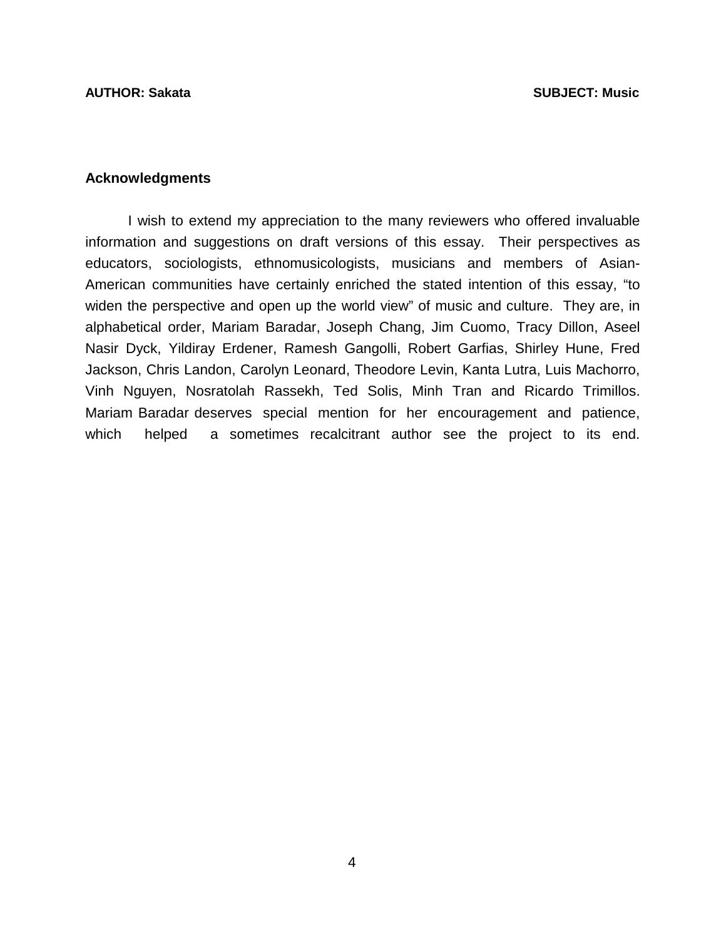### **Acknowledgments**

 I wish to extend my appreciation to the many reviewers who offered invaluable information and suggestions on draft versions of this essay. Their perspectives as educators, sociologists, ethnomusicologists, musicians and members of Asian-American communities have certainly enriched the stated intention of this essay, "to widen the perspective and open up the world view" of music and culture. They are, in alphabetical order, Mariam Baradar, Joseph Chang, Jim Cuomo, Tracy Dillon, Aseel Nasir Dyck, Yildiray Erdener, Ramesh Gangolli, Robert Garfias, Shirley Hune, Fred Jackson, Chris Landon, Carolyn Leonard, Theodore Levin, Kanta Lutra, Luis Machorro, Vinh Nguyen, Nosratolah Rassekh, Ted Solis, Minh Tran and Ricardo Trimillos. Mariam Baradar deserves special mention for her encouragement and patience, which helped a sometimes recalcitrant author see the project to its end.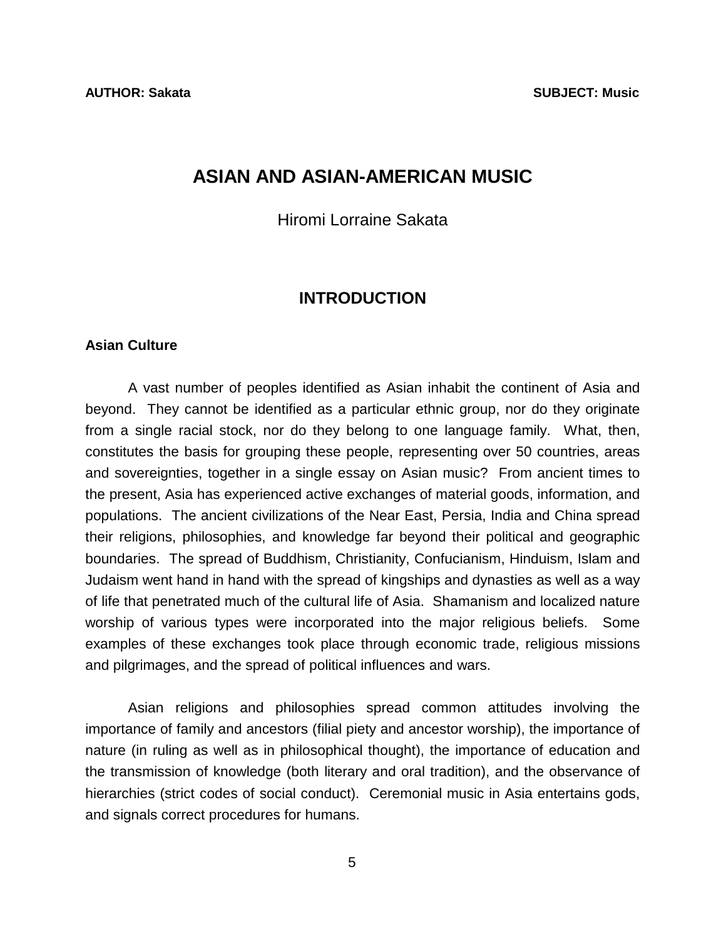# <span id="page-8-0"></span>**ASIAN AND ASIAN-AMERICAN MUSIC**

Hiromi Lorraine Sakata

## **INTRODUCTION**

### **Asian Culture**

 A vast number of peoples identified as Asian inhabit the continent of Asia and beyond. They cannot be identified as a particular ethnic group, nor do they originate from a single racial stock, nor do they belong to one language family. What, then, constitutes the basis for grouping these people, representing over 50 countries, areas and sovereignties, together in a single essay on Asian music? From ancient times to the present, Asia has experienced active exchanges of material goods, information, and populations. The ancient civilizations of the Near East, Persia, India and China spread their religions, philosophies, and knowledge far beyond their political and geographic boundaries. The spread of Buddhism, Christianity, Confucianism, Hinduism, Islam and Judaism went hand in hand with the spread of kingships and dynasties as well as a way of life that penetrated much of the cultural life of Asia. Shamanism and localized nature worship of various types were incorporated into the major religious beliefs. Some examples of these exchanges took place through economic trade, religious missions and pilgrimages, and the spread of political influences and wars.

 Asian religions and philosophies spread common attitudes involving the importance of family and ancestors (filial piety and ancestor worship), the importance of nature (in ruling as well as in philosophical thought), the importance of education and the transmission of knowledge (both literary and oral tradition), and the observance of hierarchies (strict codes of social conduct). Ceremonial music in Asia entertains gods, and signals correct procedures for humans.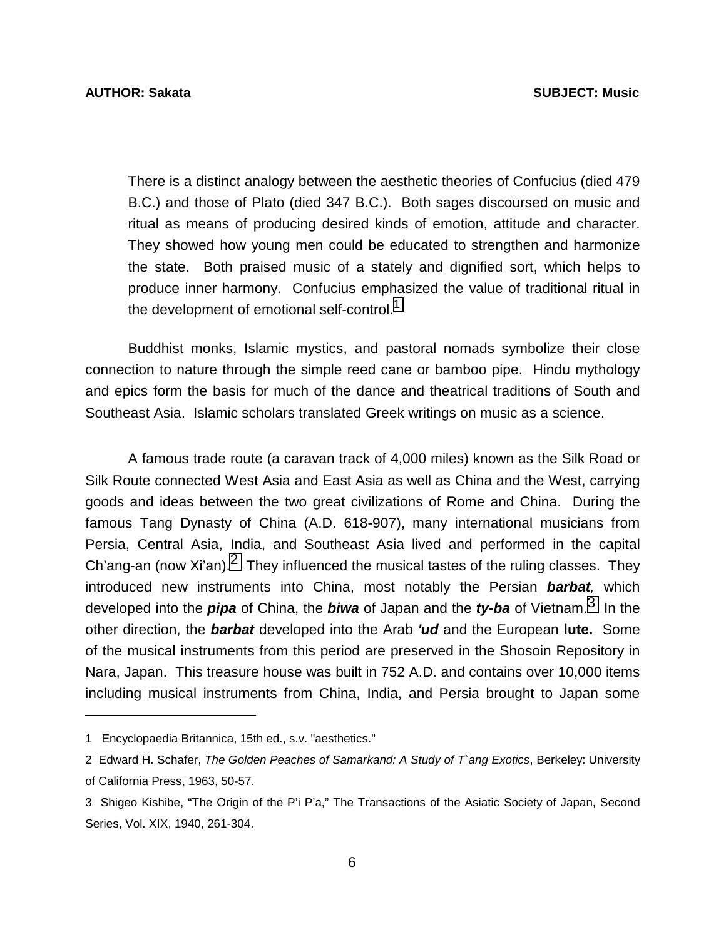There is a distinct analogy between the aesthetic theories of Confucius (died 479 B.C.) and those of Plato (died 347 B.C.). Both sages discoursed on music and ritual as means of producing desired kinds of emotion, attitude and character. They showed how young men could be educated to strengthen and harmonize the state. Both praised music of a stately and dignified sort, which helps to produce inner harmony. Confucius emphasized the value of traditional ritual in the development of emotional self-control.<sup>1</sup>

 Buddhist monks, Islamic mystics, and pastoral nomads symbolize their close connection to nature through the simple reed cane or bamboo pipe. Hindu mythology and epics form the basis for much of the dance and theatrical traditions of South and Southeast Asia. Islamic scholars translated Greek writings on music as a science.

 A famous trade route (a caravan track of 4,000 miles) known as the Silk Road or Silk Route connected West Asia and East Asia as well as China and the West, carrying goods and ideas between the two great civilizations of Rome and China. During the famous Tang Dynasty of China (A.D. 618-907), many international musicians from Persia, Central Asia, India, and Southeast Asia lived and performed in the capital Ch'ang-an (now Xi'an).<sup>2</sup> They influenced the musical tastes of the ruling classes. They introduced new instruments into China, most notably the Persian *barbat,* which developed into the *pipa* of China, the *biwa* of Japan and the *ty-ba* of Vietnam.3 In the other direction, the *barbat* developed into the Arab *'ud* and the European **lute.** Some of the musical instruments from this period are preserved in the Shosoin Repository in Nara, Japan. This treasure house was built in 752 A.D. and contains over 10,000 items including musical instruments from China, India, and Persia brought to Japan some

l

<sup>1</sup> Encyclopaedia Britannica, 15th ed., s.v. "aesthetics."

<sup>2</sup> Edward H. Schafer, *The Golden Peaches of Samarkand: A Study of T`ang Exotics*, Berkeley: University of California Press, 1963, 50-57.

<sup>3</sup> Shigeo Kishibe, "The Origin of the P'i P'a," The Transactions of the Asiatic Society of Japan, Second Series, Vol. XIX, 1940, 261-304.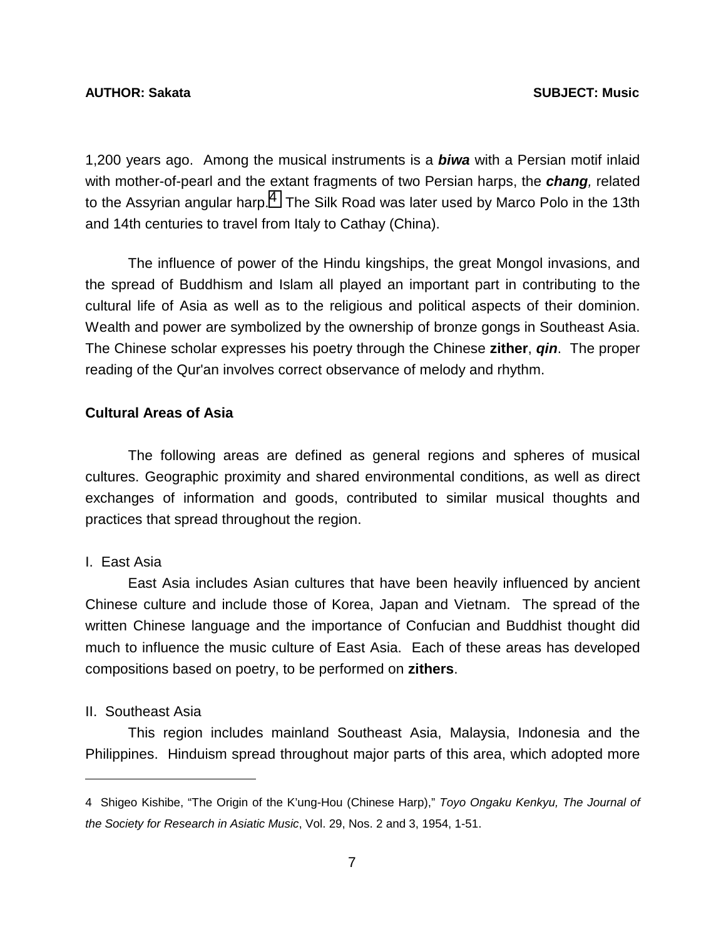1,200 years ago. Among the musical instruments is a *biwa* with a Persian motif inlaid with mother-of-pearl and the extant fragments of two Persian harps, the *chang,* related to the Assyrian angular harp.<sup>4</sup> The Silk Road was later used by Marco Polo in the 13th and 14th centuries to travel from Italy to Cathay (China).

 The influence of power of the Hindu kingships, the great Mongol invasions, and the spread of Buddhism and Islam all played an important part in contributing to the cultural life of Asia as well as to the religious and political aspects of their dominion. Wealth and power are symbolized by the ownership of bronze gongs in Southeast Asia. The Chinese scholar expresses his poetry through the Chinese **zither**, *qin*. The proper reading of the Qur'an involves correct observance of melody and rhythm.

### **Cultural Areas of Asia**

 The following areas are defined as general regions and spheres of musical cultures. Geographic proximity and shared environmental conditions, as well as direct exchanges of information and goods, contributed to similar musical thoughts and practices that spread throughout the region.

### I. East Asia

 East Asia includes Asian cultures that have been heavily influenced by ancient Chinese culture and include those of Korea, Japan and Vietnam. The spread of the written Chinese language and the importance of Confucian and Buddhist thought did much to influence the music culture of East Asia. Each of these areas has developed compositions based on poetry, to be performed on **zithers**.

#### II. Southeast Asia

l

 This region includes mainland Southeast Asia, Malaysia, Indonesia and the Philippines. Hinduism spread throughout major parts of this area, which adopted more

<sup>4</sup> Shigeo Kishibe, "The Origin of the K'ung-Hou (Chinese Harp)," *Toyo Ongaku Kenkyu, The Journal of the Society for Research in Asiatic Music*, Vol. 29, Nos. 2 and 3, 1954, 1-51.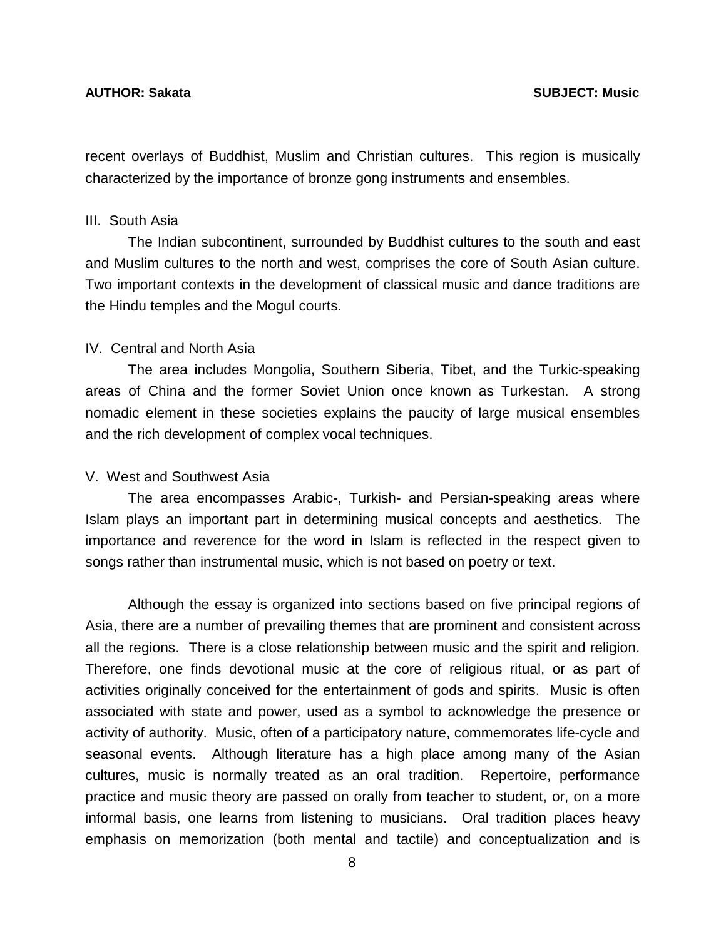recent overlays of Buddhist, Muslim and Christian cultures. This region is musically characterized by the importance of bronze gong instruments and ensembles.

### III. South Asia

 The Indian subcontinent, surrounded by Buddhist cultures to the south and east and Muslim cultures to the north and west, comprises the core of South Asian culture. Two important contexts in the development of classical music and dance traditions are the Hindu temples and the Mogul courts.

#### IV. Central and North Asia

 The area includes Mongolia, Southern Siberia, Tibet, and the Turkic-speaking areas of China and the former Soviet Union once known as Turkestan. A strong nomadic element in these societies explains the paucity of large musical ensembles and the rich development of complex vocal techniques.

#### V. West and Southwest Asia

 The area encompasses Arabic-, Turkish- and Persian-speaking areas where Islam plays an important part in determining musical concepts and aesthetics. The importance and reverence for the word in Islam is reflected in the respect given to songs rather than instrumental music, which is not based on poetry or text.

 Although the essay is organized into sections based on five principal regions of Asia, there are a number of prevailing themes that are prominent and consistent across all the regions. There is a close relationship between music and the spirit and religion. Therefore, one finds devotional music at the core of religious ritual, or as part of activities originally conceived for the entertainment of gods and spirits. Music is often associated with state and power, used as a symbol to acknowledge the presence or activity of authority. Music, often of a participatory nature, commemorates life-cycle and seasonal events. Although literature has a high place among many of the Asian cultures, music is normally treated as an oral tradition. Repertoire, performance practice and music theory are passed on orally from teacher to student, or, on a more informal basis, one learns from listening to musicians. Oral tradition places heavy emphasis on memorization (both mental and tactile) and conceptualization and is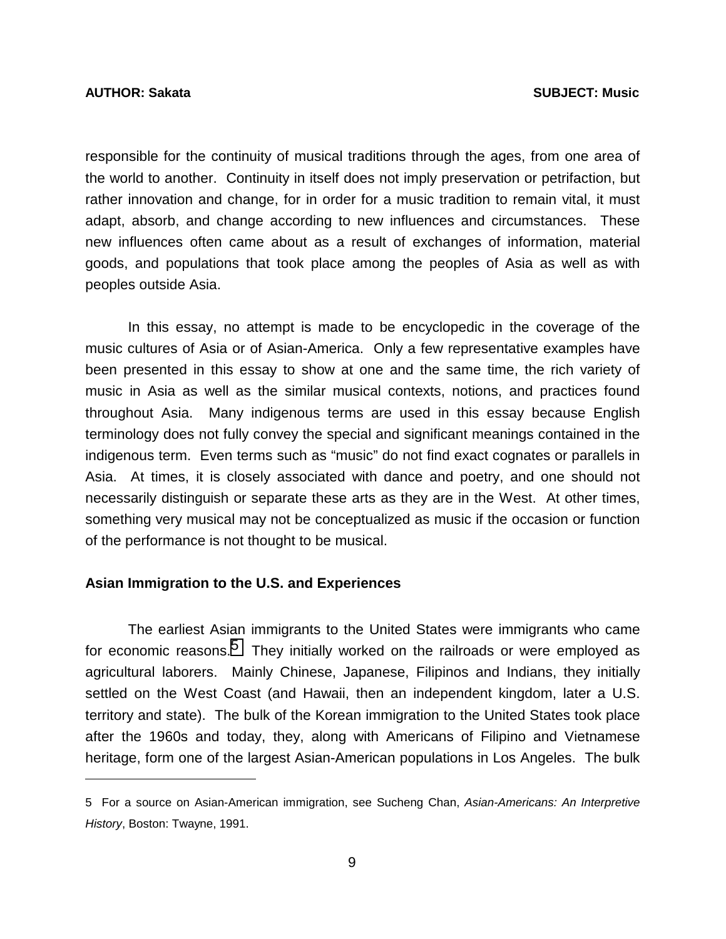l

responsible for the continuity of musical traditions through the ages, from one area of the world to another. Continuity in itself does not imply preservation or petrifaction, but rather innovation and change, for in order for a music tradition to remain vital, it must adapt, absorb, and change according to new influences and circumstances. These new influences often came about as a result of exchanges of information, material goods, and populations that took place among the peoples of Asia as well as with peoples outside Asia.

 In this essay, no attempt is made to be encyclopedic in the coverage of the music cultures of Asia or of Asian-America. Only a few representative examples have been presented in this essay to show at one and the same time, the rich variety of music in Asia as well as the similar musical contexts, notions, and practices found throughout Asia. Many indigenous terms are used in this essay because English terminology does not fully convey the special and significant meanings contained in the indigenous term. Even terms such as "music" do not find exact cognates or parallels in Asia. At times, it is closely associated with dance and poetry, and one should not necessarily distinguish or separate these arts as they are in the West. At other times, something very musical may not be conceptualized as music if the occasion or function of the performance is not thought to be musical.

#### **Asian Immigration to the U.S. and Experiences**

 The earliest Asian immigrants to the United States were immigrants who came for economic reasons.<sup>5</sup> They initially worked on the railroads or were employed as agricultural laborers. Mainly Chinese, Japanese, Filipinos and Indians, they initially settled on the West Coast (and Hawaii, then an independent kingdom, later a U.S. territory and state). The bulk of the Korean immigration to the United States took place after the 1960s and today, they, along with Americans of Filipino and Vietnamese heritage, form one of the largest Asian-American populations in Los Angeles. The bulk

<sup>5</sup> For a source on Asian-American immigration, see Sucheng Chan, *Asian-Americans: An Interpretive History*, Boston: Twayne, 1991.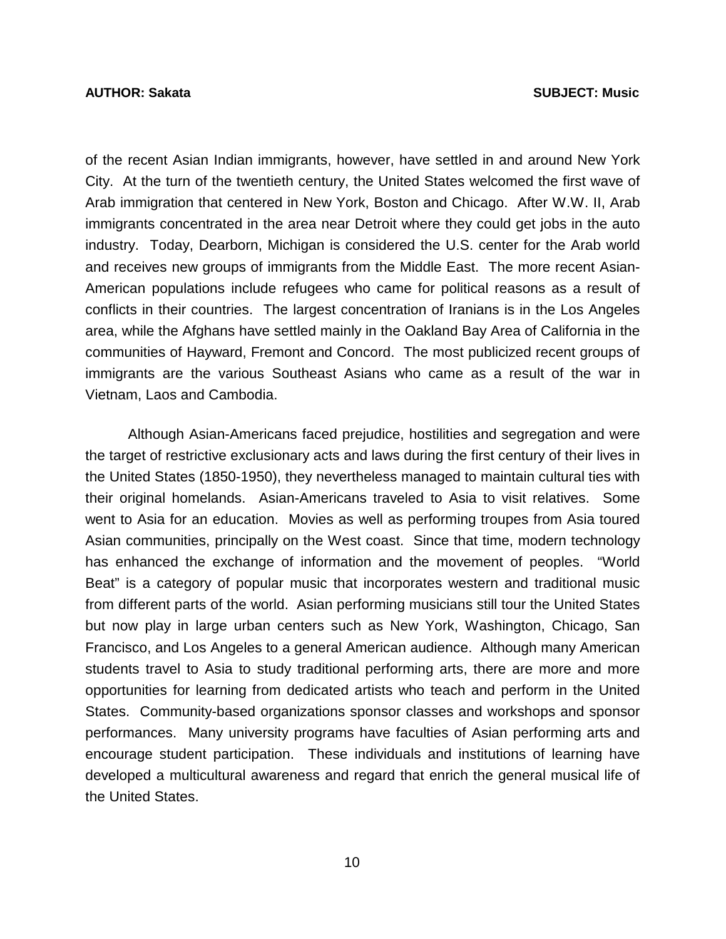of the recent Asian Indian immigrants, however, have settled in and around New York City. At the turn of the twentieth century, the United States welcomed the first wave of Arab immigration that centered in New York, Boston and Chicago. After W.W. II, Arab immigrants concentrated in the area near Detroit where they could get jobs in the auto industry. Today, Dearborn, Michigan is considered the U.S. center for the Arab world and receives new groups of immigrants from the Middle East. The more recent Asian-American populations include refugees who came for political reasons as a result of conflicts in their countries. The largest concentration of Iranians is in the Los Angeles area, while the Afghans have settled mainly in the Oakland Bay Area of California in the communities of Hayward, Fremont and Concord. The most publicized recent groups of immigrants are the various Southeast Asians who came as a result of the war in Vietnam, Laos and Cambodia.

 Although Asian-Americans faced prejudice, hostilities and segregation and were the target of restrictive exclusionary acts and laws during the first century of their lives in the United States (1850-1950), they nevertheless managed to maintain cultural ties with their original homelands. Asian-Americans traveled to Asia to visit relatives. Some went to Asia for an education. Movies as well as performing troupes from Asia toured Asian communities, principally on the West coast. Since that time, modern technology has enhanced the exchange of information and the movement of peoples. "World Beat" is a category of popular music that incorporates western and traditional music from different parts of the world. Asian performing musicians still tour the United States but now play in large urban centers such as New York, Washington, Chicago, San Francisco, and Los Angeles to a general American audience. Although many American students travel to Asia to study traditional performing arts, there are more and more opportunities for learning from dedicated artists who teach and perform in the United States. Community-based organizations sponsor classes and workshops and sponsor performances. Many university programs have faculties of Asian performing arts and encourage student participation. These individuals and institutions of learning have developed a multicultural awareness and regard that enrich the general musical life of the United States.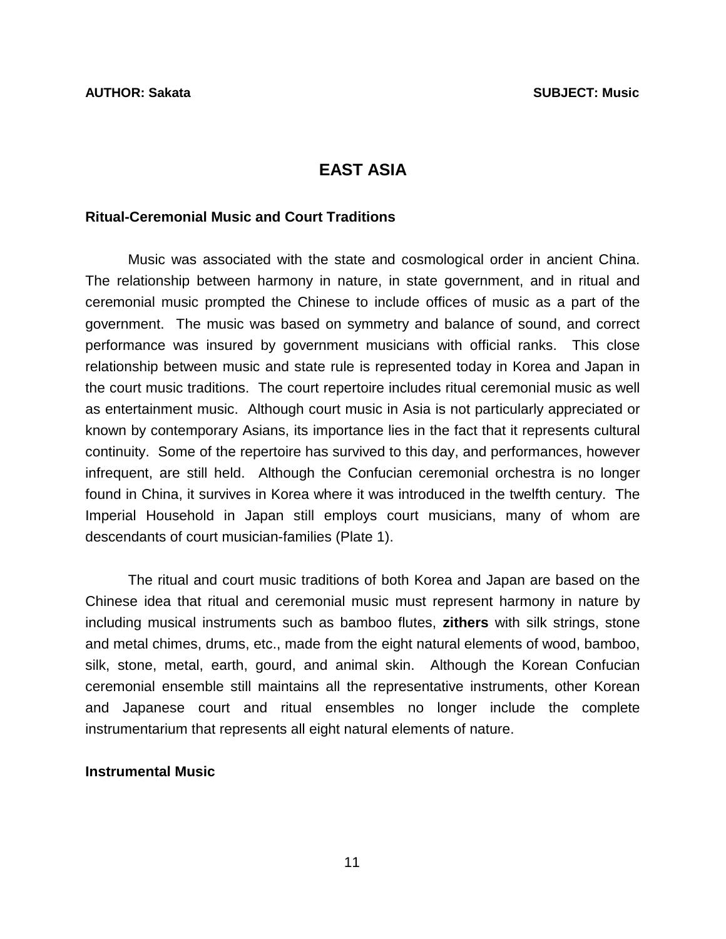# **EAST ASIA**

#### <span id="page-14-0"></span>**Ritual-Ceremonial Music and Court Traditions**

 Music was associated with the state and cosmological order in ancient China. The relationship between harmony in nature, in state government, and in ritual and ceremonial music prompted the Chinese to include offices of music as a part of the government. The music was based on symmetry and balance of sound, and correct performance was insured by government musicians with official ranks. This close relationship between music and state rule is represented today in Korea and Japan in the court music traditions. The court repertoire includes ritual ceremonial music as well as entertainment music. Although court music in Asia is not particularly appreciated or known by contemporary Asians, its importance lies in the fact that it represents cultural continuity. Some of the repertoire has survived to this day, and performances, however infrequent, are still held. Although the Confucian ceremonial orchestra is no longer found in China, it survives in Korea where it was introduced in the twelfth century. The Imperial Household in Japan still employs court musicians, many of whom are descendants of court musician-families (Plate 1).

 The ritual and court music traditions of both Korea and Japan are based on the Chinese idea that ritual and ceremonial music must represent harmony in nature by including musical instruments such as bamboo flutes, **zithers** with silk strings, stone and metal chimes, drums, etc., made from the eight natural elements of wood, bamboo, silk, stone, metal, earth, gourd, and animal skin. Although the Korean Confucian ceremonial ensemble still maintains all the representative instruments, other Korean and Japanese court and ritual ensembles no longer include the complete instrumentarium that represents all eight natural elements of nature.

#### **Instrumental Music**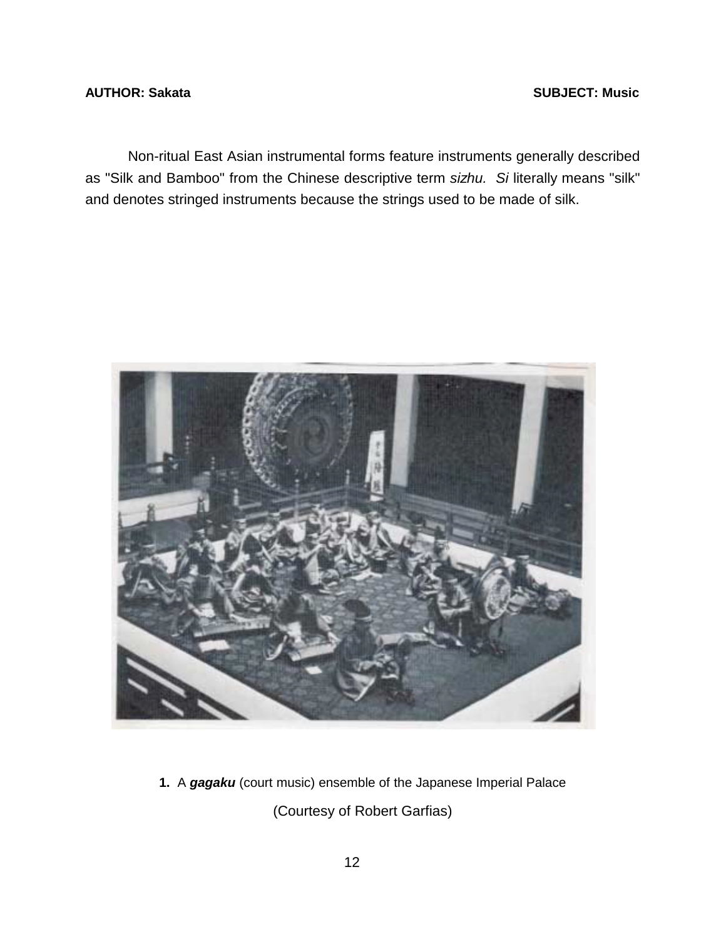### <span id="page-15-0"></span>**AUTHOR: Sakata** SUBJECT: Music **SUBJECT: Music**

 Non-ritual East Asian instrumental forms feature instruments generally described as "Silk and Bamboo" from the Chinese descriptive term *sizhu. Si* literally means "silk" and denotes stringed instruments because the strings used to be made of silk.



**1.** A *gagaku* (court music) ensemble of the Japanese Imperial Palace (Courtesy of Robert Garfias)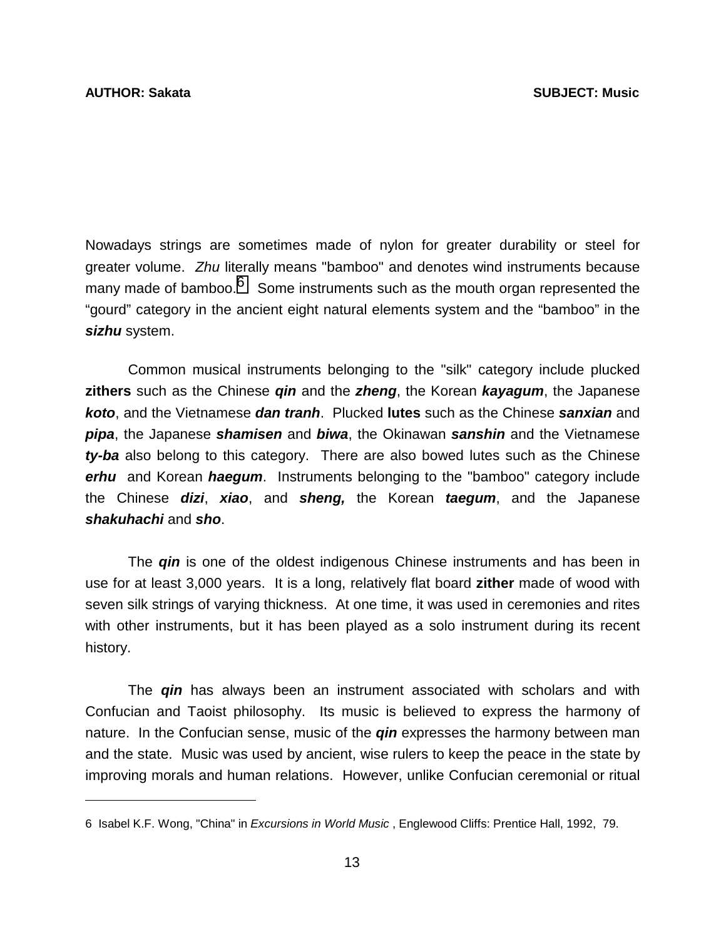$\overline{a}$ 

Nowadays strings are sometimes made of nylon for greater durability or steel for greater volume. *Zhu* literally means "bamboo" and denotes wind instruments because many made of bamboo. $6\degree$  Some instruments such as the mouth organ represented the "gourd" category in the ancient eight natural elements system and the "bamboo" in the *sizhu* system.

 Common musical instruments belonging to the "silk" category include plucked **zithers** such as the Chinese *qin* and the *zheng*, the Korean *kayagum*, the Japanese *koto*, and the Vietnamese *dan tranh*. Plucked **lutes** such as the Chinese *sanxian* and *pipa*, the Japanese *shamisen* and *biwa*, the Okinawan *sanshin* and the Vietnamese *ty-ba* also belong to this category. There are also bowed lutes such as the Chinese *erhu* and Korean *haegum*. Instruments belonging to the "bamboo" category include the Chinese *dizi*, *xiao*, and *sheng,* the Korean *taegum*, and the Japanese *shakuhachi* and *sho*.

 The *qin* is one of the oldest indigenous Chinese instruments and has been in use for at least 3,000 years. It is a long, relatively flat board **zither** made of wood with seven silk strings of varying thickness. At one time, it was used in ceremonies and rites with other instruments, but it has been played as a solo instrument during its recent history.

The *qin* has always been an instrument associated with scholars and with Confucian and Taoist philosophy. Its music is believed to express the harmony of nature. In the Confucian sense, music of the *qin* expresses the harmony between man and the state. Music was used by ancient, wise rulers to keep the peace in the state by improving morals and human relations. However, unlike Confucian ceremonial or ritual

<sup>6</sup> Isabel K.F. Wong, "China" in *Excursions in World Music* , Englewood Cliffs: Prentice Hall, 1992, 79.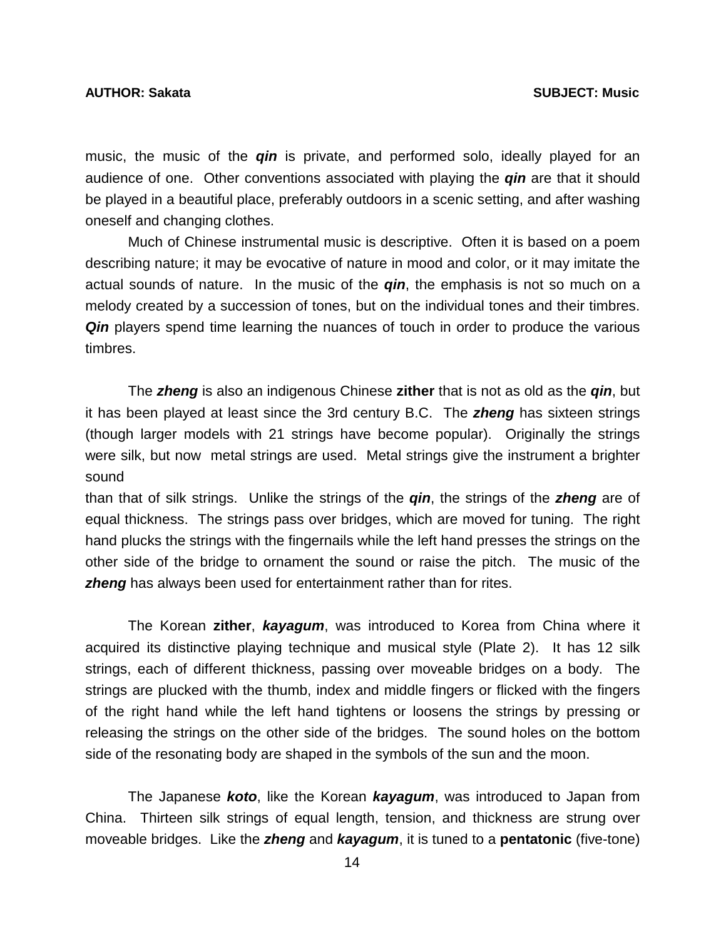music, the music of the *qin* is private, and performed solo, ideally played for an audience of one. Other conventions associated with playing the *qin* are that it should be played in a beautiful place, preferably outdoors in a scenic setting, and after washing oneself and changing clothes.

 Much of Chinese instrumental music is descriptive. Often it is based on a poem describing nature; it may be evocative of nature in mood and color, or it may imitate the actual sounds of nature. In the music of the *qin*, the emphasis is not so much on a melody created by a succession of tones, but on the individual tones and their timbres. *Qin* players spend time learning the nuances of touch in order to produce the various timbres.

 The *zheng* is also an indigenous Chinese **zither** that is not as old as the *qin*, but it has been played at least since the 3rd century B.C. The *zheng* has sixteen strings (though larger models with 21 strings have become popular). Originally the strings were silk, but now metal strings are used. Metal strings give the instrument a brighter sound

than that of silk strings. Unlike the strings of the *qin*, the strings of the *zheng* are of equal thickness. The strings pass over bridges, which are moved for tuning. The right hand plucks the strings with the fingernails while the left hand presses the strings on the other side of the bridge to ornament the sound or raise the pitch. The music of the **zheng** has always been used for entertainment rather than for rites.

 The Korean **zither**, *kayagum*, was introduced to Korea from China where it acquired its distinctive playing technique and musical style (Plate 2). It has 12 silk strings, each of different thickness, passing over moveable bridges on a body. The strings are plucked with the thumb, index and middle fingers or flicked with the fingers of the right hand while the left hand tightens or loosens the strings by pressing or releasing the strings on the other side of the bridges. The sound holes on the bottom side of the resonating body are shaped in the symbols of the sun and the moon.

 The Japanese *koto*, like the Korean *kayagum*, was introduced to Japan from China. Thirteen silk strings of equal length, tension, and thickness are strung over moveable bridges. Like the *zheng* and *kayagum*, it is tuned to a **pentatonic** (five-tone)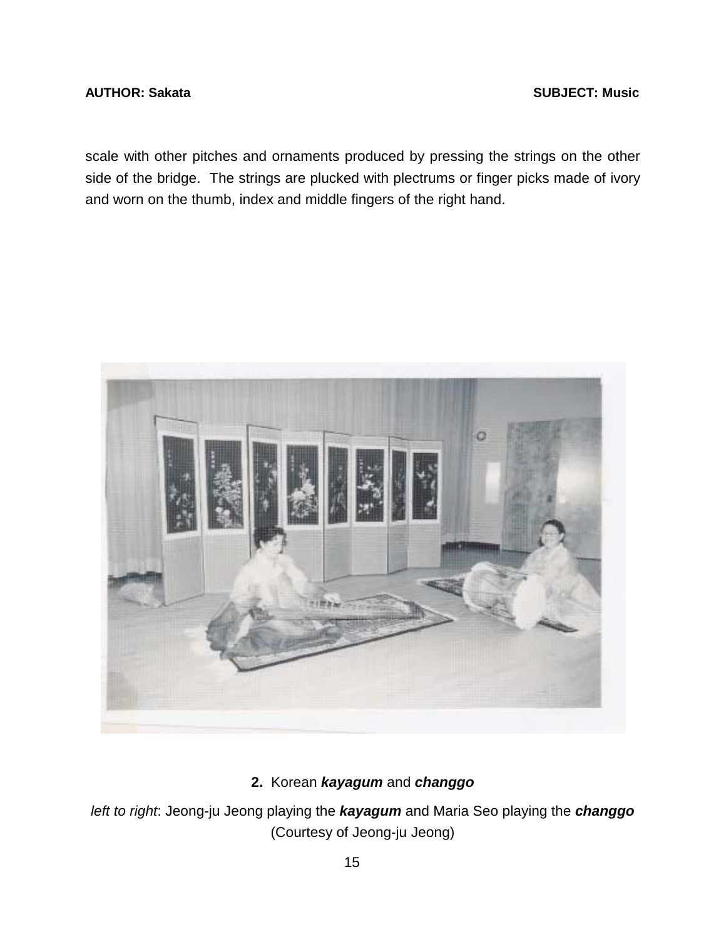### <span id="page-18-0"></span>**AUTHOR: Sakata** SUBJECT: Music **SUBJECT: Music**

scale with other pitches and ornaments produced by pressing the strings on the other side of the bridge. The strings are plucked with plectrums or finger picks made of ivory and worn on the thumb, index and middle fingers of the right hand.



# **2.** Korean *kayagum* and *changgo*

*left to right*: Jeong-ju Jeong playing the *kayagum* and Maria Seo playing the *changgo*  (Courtesy of Jeong-ju Jeong)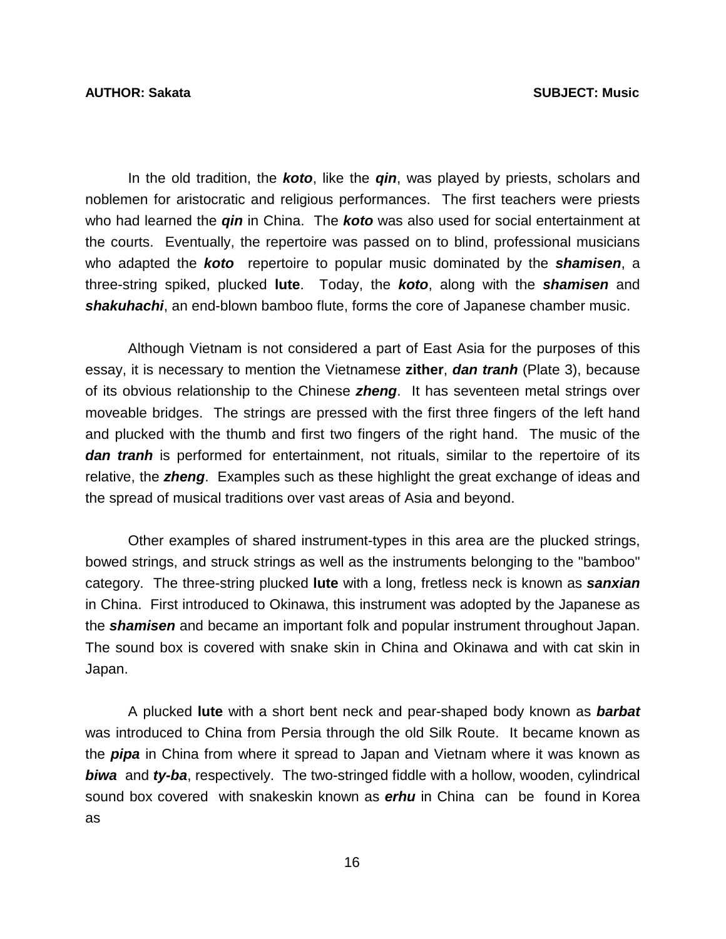In the old tradition, the *koto*, like the *qin*, was played by priests, scholars and noblemen for aristocratic and religious performances. The first teachers were priests who had learned the *qin* in China. The *koto* was also used for social entertainment at the courts. Eventually, the repertoire was passed on to blind, professional musicians who adapted the *koto* repertoire to popular music dominated by the *shamisen*, a three-string spiked, plucked **lute**. Today, the *koto*, along with the *shamisen* and *shakuhachi*, an end-blown bamboo flute, forms the core of Japanese chamber music.

 Although Vietnam is not considered a part of East Asia for the purposes of this essay, it is necessary to mention the Vietnamese **zither**, *dan tranh* (Plate 3), because of its obvious relationship to the Chinese *zheng*. It has seventeen metal strings over moveable bridges. The strings are pressed with the first three fingers of the left hand and plucked with the thumb and first two fingers of the right hand. The music of the *dan tranh* is performed for entertainment, not rituals, similar to the repertoire of its relative, the *zheng*. Examples such as these highlight the great exchange of ideas and the spread of musical traditions over vast areas of Asia and beyond.

 Other examples of shared instrument-types in this area are the plucked strings, bowed strings, and struck strings as well as the instruments belonging to the "bamboo" category. The three-string plucked **lute** with a long, fretless neck is known as *sanxian*  in China. First introduced to Okinawa, this instrument was adopted by the Japanese as the *shamisen* and became an important folk and popular instrument throughout Japan. The sound box is covered with snake skin in China and Okinawa and with cat skin in Japan.

 A plucked **lute** with a short bent neck and pear-shaped body known as *barbat* was introduced to China from Persia through the old Silk Route. It became known as the *pipa* in China from where it spread to Japan and Vietnam where it was known as *biwa* and *ty-ba*, respectively. The two-stringed fiddle with a hollow, wooden, cylindrical sound box covered with snakeskin known as *erhu* in China can be found in Korea as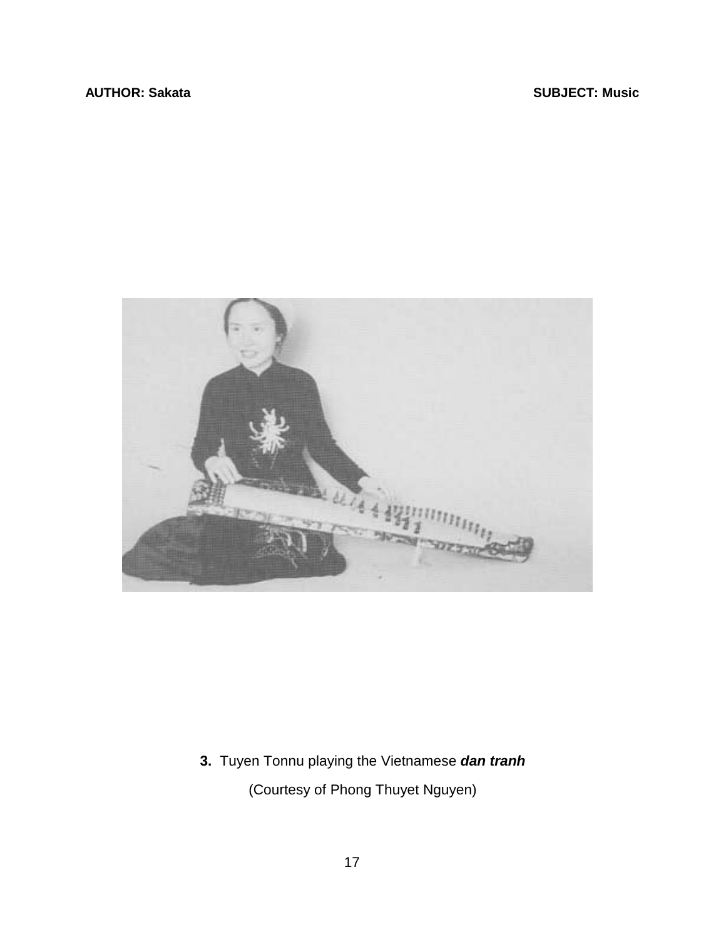<span id="page-20-0"></span>

**3.** Tuyen Tonnu playing the Vietnamese *dan tranh* (Courtesy of Phong Thuyet Nguyen)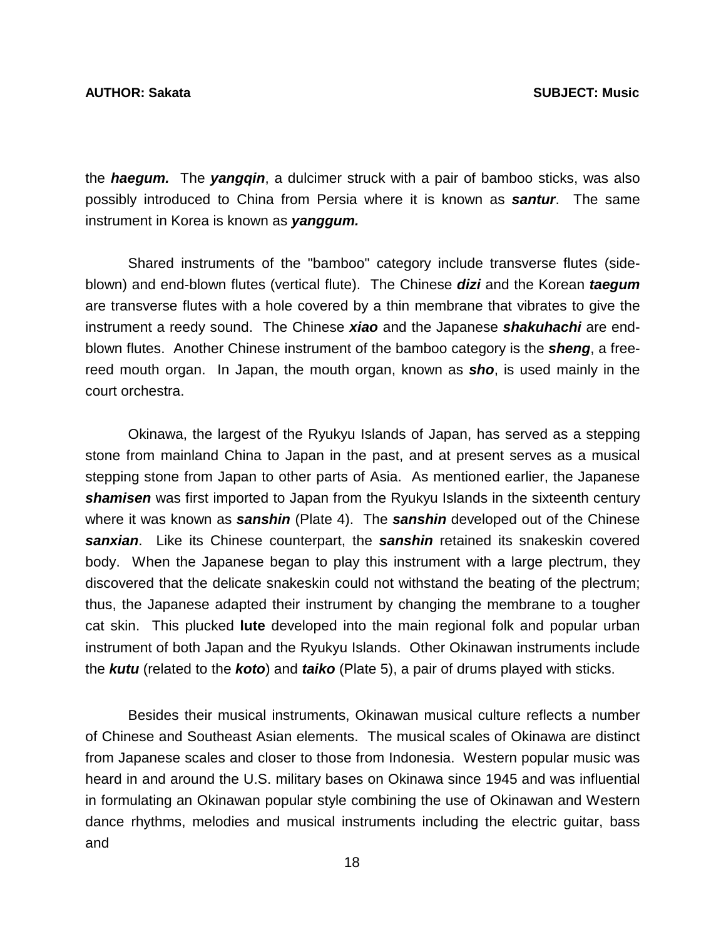the *haegum.* The *yangqin*, a dulcimer struck with a pair of bamboo sticks, was also possibly introduced to China from Persia where it is known as *santur*. The same instrument in Korea is known as *yanggum.* 

Shared instruments of the "bamboo" category include transverse flutes (sideblown) and end-blown flutes (vertical flute). The Chinese *dizi* and the Korean *taegum* are transverse flutes with a hole covered by a thin membrane that vibrates to give the instrument a reedy sound. The Chinese *xiao* and the Japanese *shakuhachi* are endblown flutes. Another Chinese instrument of the bamboo category is the *sheng*, a freereed mouth organ. In Japan, the mouth organ, known as *sho*, is used mainly in the court orchestra.

 Okinawa, the largest of the Ryukyu Islands of Japan, has served as a stepping stone from mainland China to Japan in the past, and at present serves as a musical stepping stone from Japan to other parts of Asia. As mentioned earlier, the Japanese *shamisen* was first imported to Japan from the Ryukyu Islands in the sixteenth century where it was known as *sanshin* (Plate 4). The *sanshin* developed out of the Chinese *sanxian*. Like its Chinese counterpart, the *sanshin* retained its snakeskin covered body. When the Japanese began to play this instrument with a large plectrum, they discovered that the delicate snakeskin could not withstand the beating of the plectrum; thus, the Japanese adapted their instrument by changing the membrane to a tougher cat skin. This plucked **lute** developed into the main regional folk and popular urban instrument of both Japan and the Ryukyu Islands. Other Okinawan instruments include the *kutu* (related to the *koto*) and *taiko* (Plate 5), a pair of drums played with sticks.

 Besides their musical instruments, Okinawan musical culture reflects a number of Chinese and Southeast Asian elements. The musical scales of Okinawa are distinct from Japanese scales and closer to those from Indonesia. Western popular music was heard in and around the U.S. military bases on Okinawa since 1945 and was influential in formulating an Okinawan popular style combining the use of Okinawan and Western dance rhythms, melodies and musical instruments including the electric guitar, bass and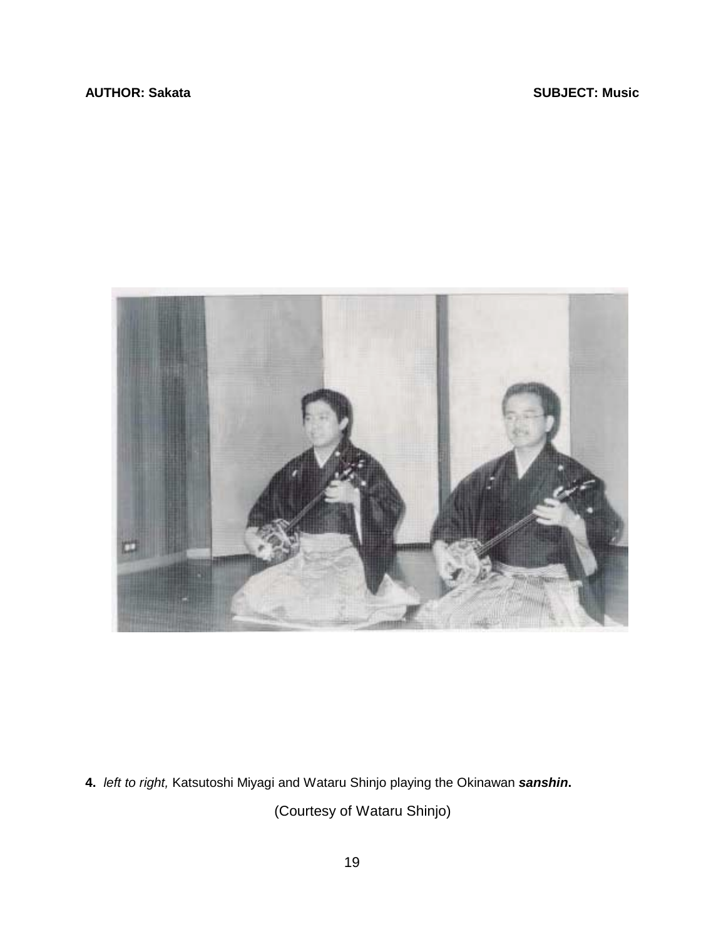<span id="page-22-0"></span>

**4.** *left to right,* Katsutoshi Miyagi and Wataru Shinjo playing the Okinawan *sanshin***.** 

(Courtesy of Wataru Shinjo)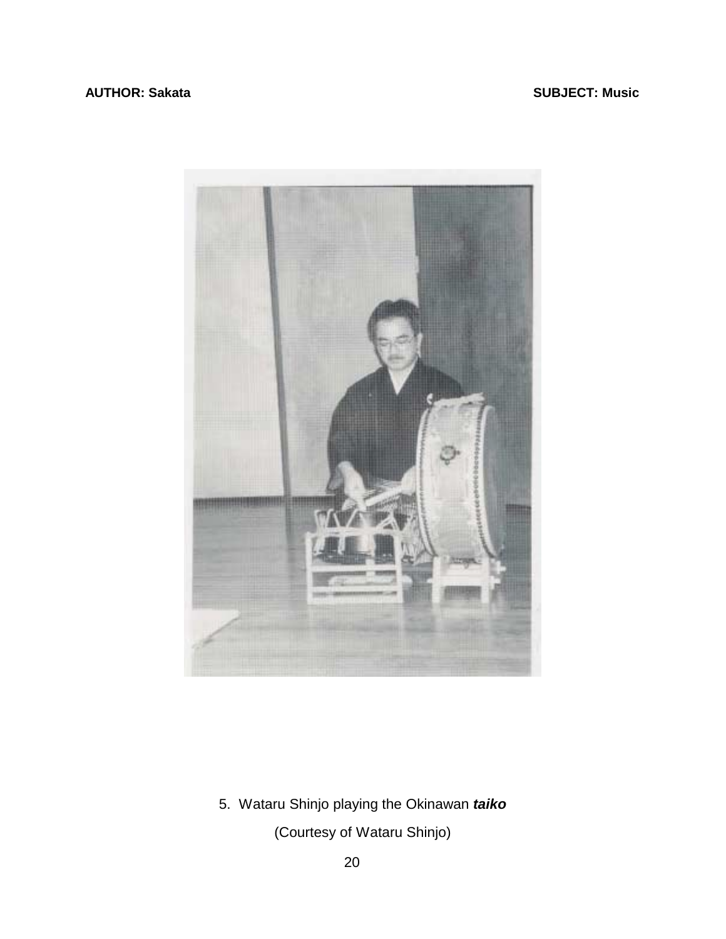### <span id="page-23-0"></span>**AUTHOR: Sakata** SUBJECT: Music **SUBJECT: Music**



5. Wataru Shinjo playing the Okinawan *taiko*

(Courtesy of Wataru Shinjo)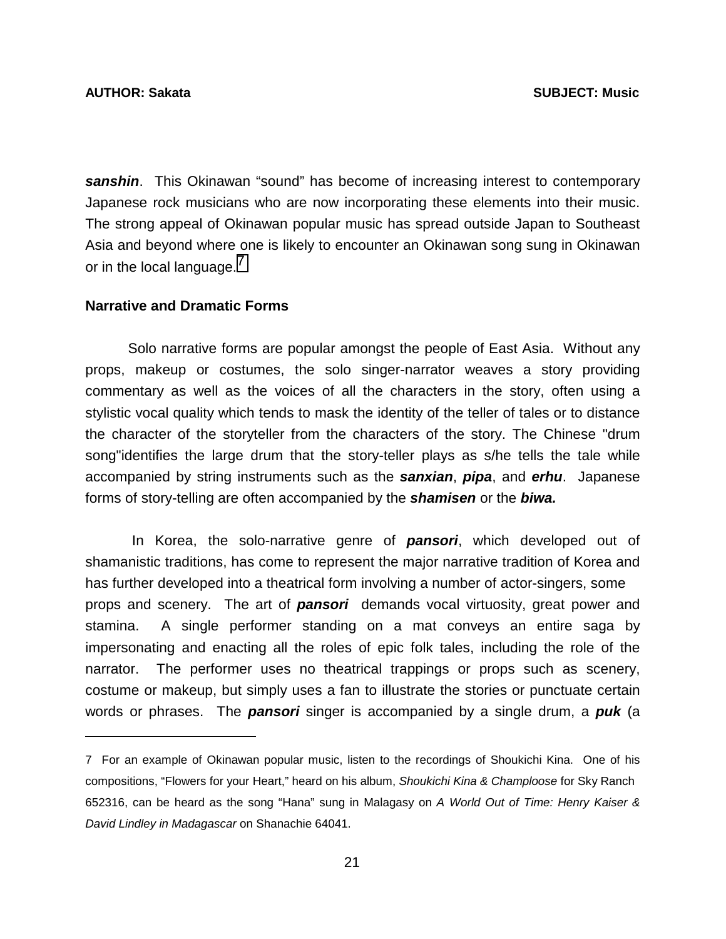l

*sanshin*. This Okinawan "sound" has become of increasing interest to contemporary Japanese rock musicians who are now incorporating these elements into their music. The strong appeal of Okinawan popular music has spread outside Japan to Southeast Asia and beyond where one is likely to encounter an Okinawan song sung in Okinawan or in the local language.<sup>7</sup>

#### **Narrative and Dramatic Forms**

 Solo narrative forms are popular amongst the people of East Asia. Without any props, makeup or costumes, the solo singer-narrator weaves a story providing commentary as well as the voices of all the characters in the story, often using a stylistic vocal quality which tends to mask the identity of the teller of tales or to distance the character of the storyteller from the characters of the story. The Chinese "drum song"identifies the large drum that the story-teller plays as s/he tells the tale while accompanied by string instruments such as the *sanxian*, *pipa*, and *erhu*. Japanese forms of story-telling are often accompanied by the *shamisen* or the *biwa.* 

In Korea, the solo-narrative genre of *pansori*, which developed out of shamanistic traditions, has come to represent the major narrative tradition of Korea and has further developed into a theatrical form involving a number of actor-singers, some props and scenery. The art of *pansori* demands vocal virtuosity, great power and stamina. A single performer standing on a mat conveys an entire saga by impersonating and enacting all the roles of epic folk tales, including the role of the narrator. The performer uses no theatrical trappings or props such as scenery, costume or makeup, but simply uses a fan to illustrate the stories or punctuate certain words or phrases. The *pansori* singer is accompanied by a single drum, a *puk* (a

<sup>7</sup> For an example of Okinawan popular music, listen to the recordings of Shoukichi Kina. One of his compositions, "Flowers for your Heart," heard on his album, *Shoukichi Kina & Champloose* for Sky Ranch 652316, can be heard as the song "Hana" sung in Malagasy on *A World Out of Time: Henry Kaiser & David Lindley in Madagascar* on Shanachie 64041.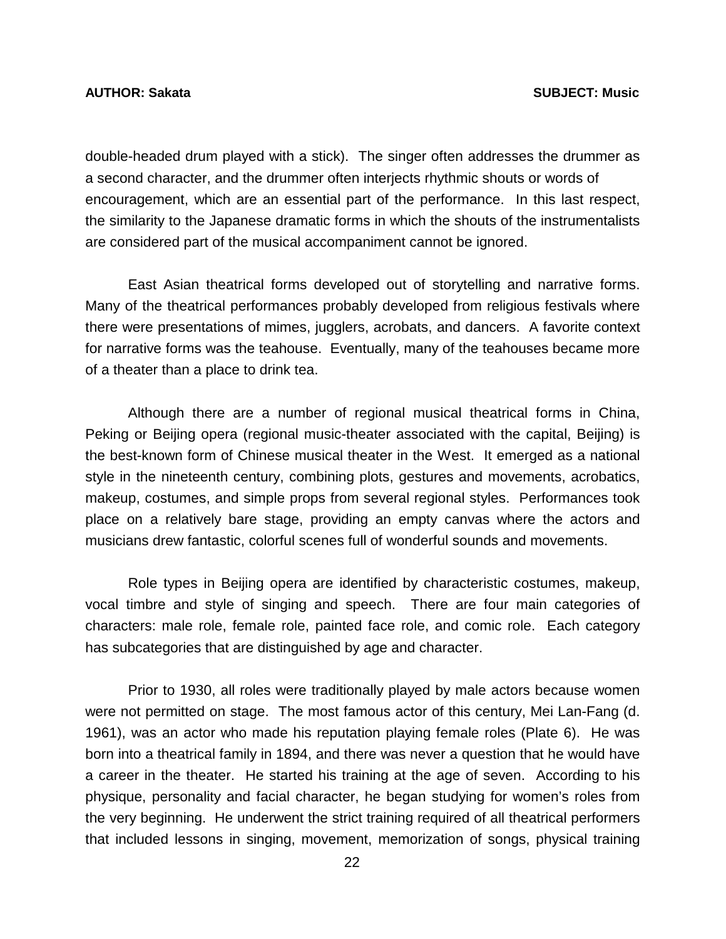double-headed drum played with a stick). The singer often addresses the drummer as a second character, and the drummer often interjects rhythmic shouts or words of encouragement, which are an essential part of the performance. In this last respect, the similarity to the Japanese dramatic forms in which the shouts of the instrumentalists are considered part of the musical accompaniment cannot be ignored.

 East Asian theatrical forms developed out of storytelling and narrative forms. Many of the theatrical performances probably developed from religious festivals where there were presentations of mimes, jugglers, acrobats, and dancers. A favorite context for narrative forms was the teahouse. Eventually, many of the teahouses became more of a theater than a place to drink tea.

 Although there are a number of regional musical theatrical forms in China, Peking or Beijing opera (regional music-theater associated with the capital, Beijing) is the best-known form of Chinese musical theater in the West. It emerged as a national style in the nineteenth century, combining plots, gestures and movements, acrobatics, makeup, costumes, and simple props from several regional styles. Performances took place on a relatively bare stage, providing an empty canvas where the actors and musicians drew fantastic, colorful scenes full of wonderful sounds and movements.

 Role types in Beijing opera are identified by characteristic costumes, makeup, vocal timbre and style of singing and speech. There are four main categories of characters: male role, female role, painted face role, and comic role. Each category has subcategories that are distinguished by age and character.

 Prior to 1930, all roles were traditionally played by male actors because women were not permitted on stage. The most famous actor of this century, Mei Lan-Fang (d. 1961), was an actor who made his reputation playing female roles (Plate 6). He was born into a theatrical family in 1894, and there was never a question that he would have a career in the theater. He started his training at the age of seven. According to his physique, personality and facial character, he began studying for women's roles from the very beginning. He underwent the strict training required of all theatrical performers that included lessons in singing, movement, memorization of songs, physical training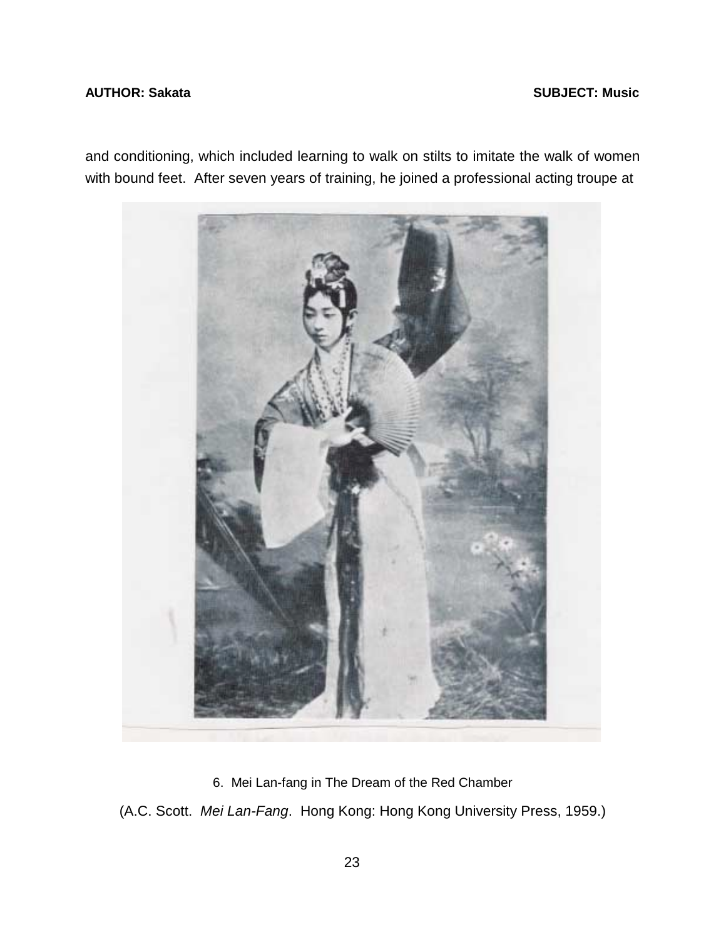### <span id="page-26-0"></span>**AUTHOR: Sakata** SUBJECT: Music **SUBJECT: Music**

and conditioning, which included learning to walk on stilts to imitate the walk of women with bound feet. After seven years of training, he joined a professional acting troupe at



6. Mei Lan-fang in The Dream of the Red Chamber (A.C. Scott. *Mei Lan-Fang*. Hong Kong: Hong Kong University Press, 1959.)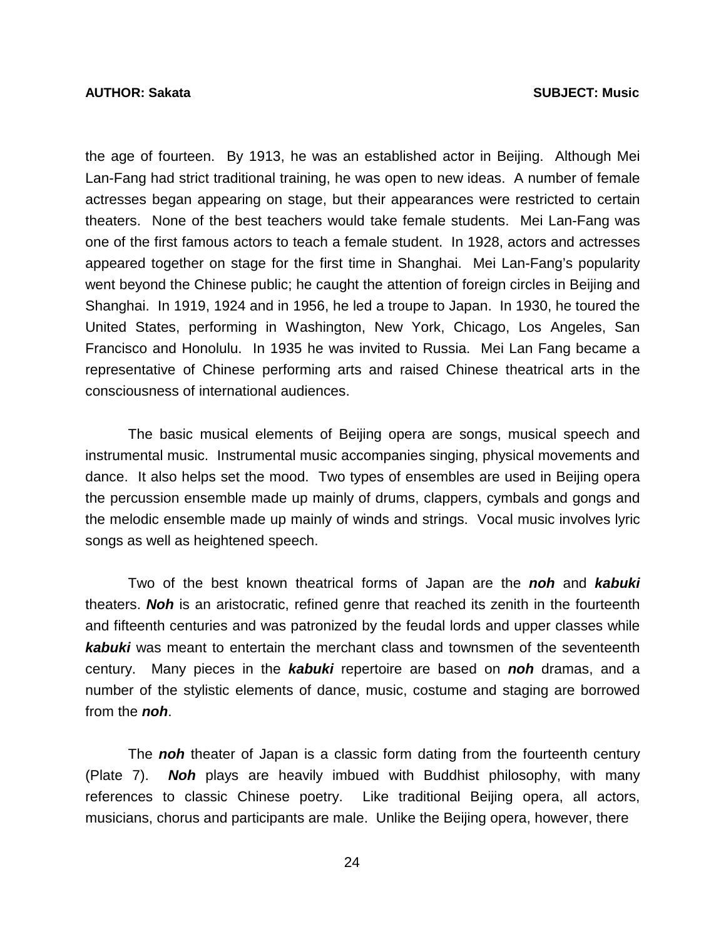the age of fourteen. By 1913, he was an established actor in Beijing. Although Mei Lan-Fang had strict traditional training, he was open to new ideas. A number of female actresses began appearing on stage, but their appearances were restricted to certain theaters. None of the best teachers would take female students. Mei Lan-Fang was one of the first famous actors to teach a female student. In 1928, actors and actresses appeared together on stage for the first time in Shanghai. Mei Lan-Fang's popularity went beyond the Chinese public; he caught the attention of foreign circles in Beijing and Shanghai. In 1919, 1924 and in 1956, he led a troupe to Japan. In 1930, he toured the United States, performing in Washington, New York, Chicago, Los Angeles, San Francisco and Honolulu. In 1935 he was invited to Russia. Mei Lan Fang became a representative of Chinese performing arts and raised Chinese theatrical arts in the consciousness of international audiences.

 The basic musical elements of Beijing opera are songs, musical speech and instrumental music. Instrumental music accompanies singing, physical movements and dance. It also helps set the mood. Two types of ensembles are used in Beijing opera the percussion ensemble made up mainly of drums, clappers, cymbals and gongs and the melodic ensemble made up mainly of winds and strings. Vocal music involves lyric songs as well as heightened speech.

 Two of the best known theatrical forms of Japan are the *noh* and *kabuki* theaters. *Noh* is an aristocratic, refined genre that reached its zenith in the fourteenth and fifteenth centuries and was patronized by the feudal lords and upper classes while *kabuki* was meant to entertain the merchant class and townsmen of the seventeenth century. Many pieces in the *kabuki* repertoire are based on *noh* dramas, and a number of the stylistic elements of dance, music, costume and staging are borrowed from the *noh*.

 The *noh* theater of Japan is a classic form dating from the fourteenth century (Plate 7). *Noh* plays are heavily imbued with Buddhist philosophy, with many references to classic Chinese poetry. Like traditional Beijing opera, all actors, musicians, chorus and participants are male. Unlike the Beijing opera, however, there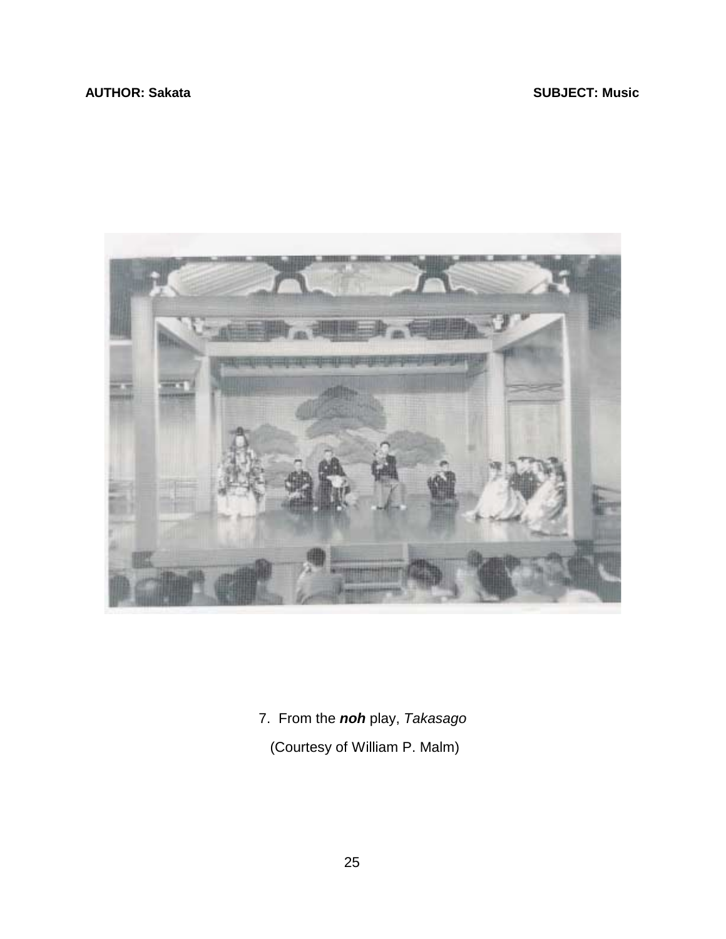## <span id="page-28-0"></span>**AUTHOR: Sakata** SUBJECT: Music **SUBJECT: Music**



7. From the *noh* play, *Takasago*

(Courtesy of William P. Malm)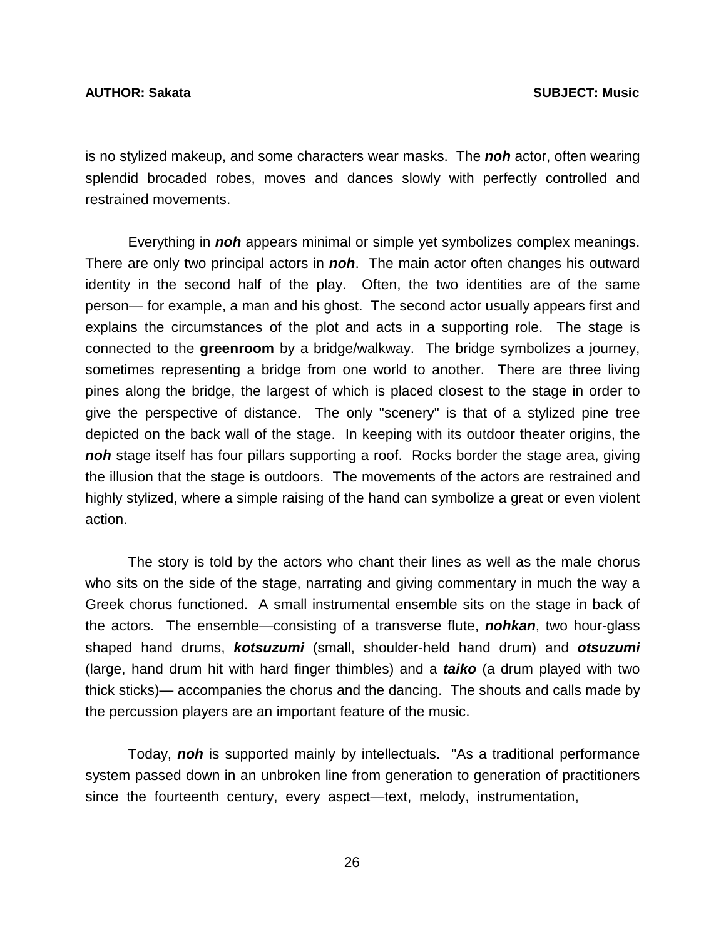is no stylized makeup, and some characters wear masks. The *noh* actor, often wearing splendid brocaded robes, moves and dances slowly with perfectly controlled and restrained movements.

 Everything in *noh* appears minimal or simple yet symbolizes complex meanings. There are only two principal actors in *noh*. The main actor often changes his outward identity in the second half of the play. Often, the two identities are of the same person— for example, a man and his ghost. The second actor usually appears first and explains the circumstances of the plot and acts in a supporting role. The stage is connected to the **greenroom** by a bridge/walkway. The bridge symbolizes a journey, sometimes representing a bridge from one world to another. There are three living pines along the bridge, the largest of which is placed closest to the stage in order to give the perspective of distance. The only "scenery" is that of a stylized pine tree depicted on the back wall of the stage. In keeping with its outdoor theater origins, the *noh* stage itself has four pillars supporting a roof. Rocks border the stage area, giving the illusion that the stage is outdoors. The movements of the actors are restrained and highly stylized, where a simple raising of the hand can symbolize a great or even violent action.

 The story is told by the actors who chant their lines as well as the male chorus who sits on the side of the stage, narrating and giving commentary in much the way a Greek chorus functioned. A small instrumental ensemble sits on the stage in back of the actors. The ensemble—consisting of a transverse flute, *nohkan*, two hour-glass shaped hand drums, *kotsuzumi* (small, shoulder-held hand drum) and *otsuzumi* (large, hand drum hit with hard finger thimbles) and a *taiko* (a drum played with two thick sticks)— accompanies the chorus and the dancing. The shouts and calls made by the percussion players are an important feature of the music.

 Today, *noh* is supported mainly by intellectuals. "As a traditional performance system passed down in an unbroken line from generation to generation of practitioners since the fourteenth century, every aspect—text, melody, instrumentation,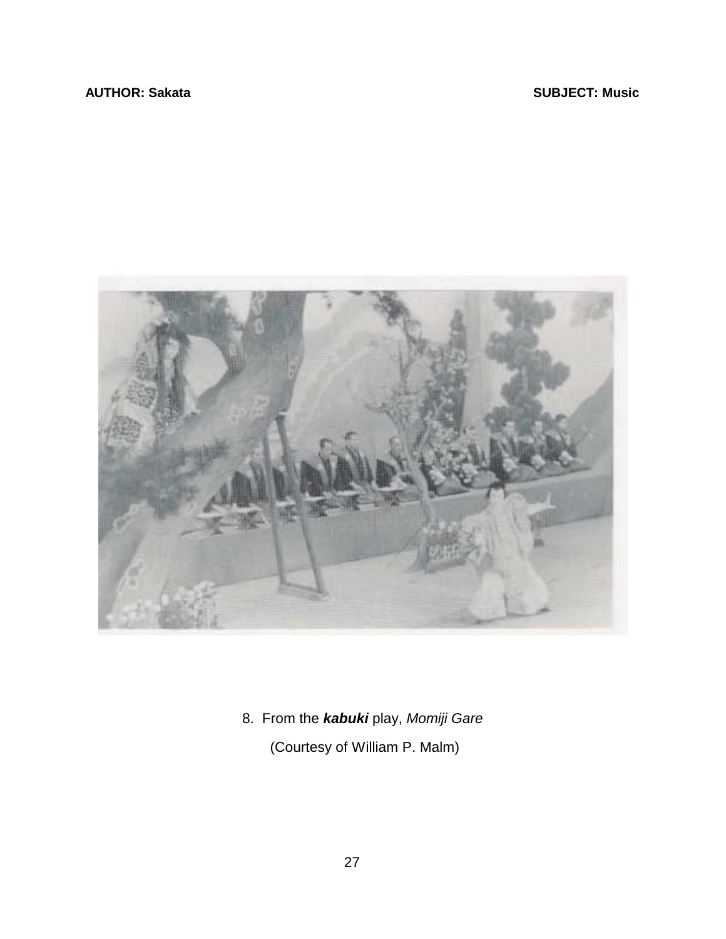<span id="page-30-0"></span>

8. From the *kabuki* play, *Momiji Gare*

(Courtesy of William P. Malm)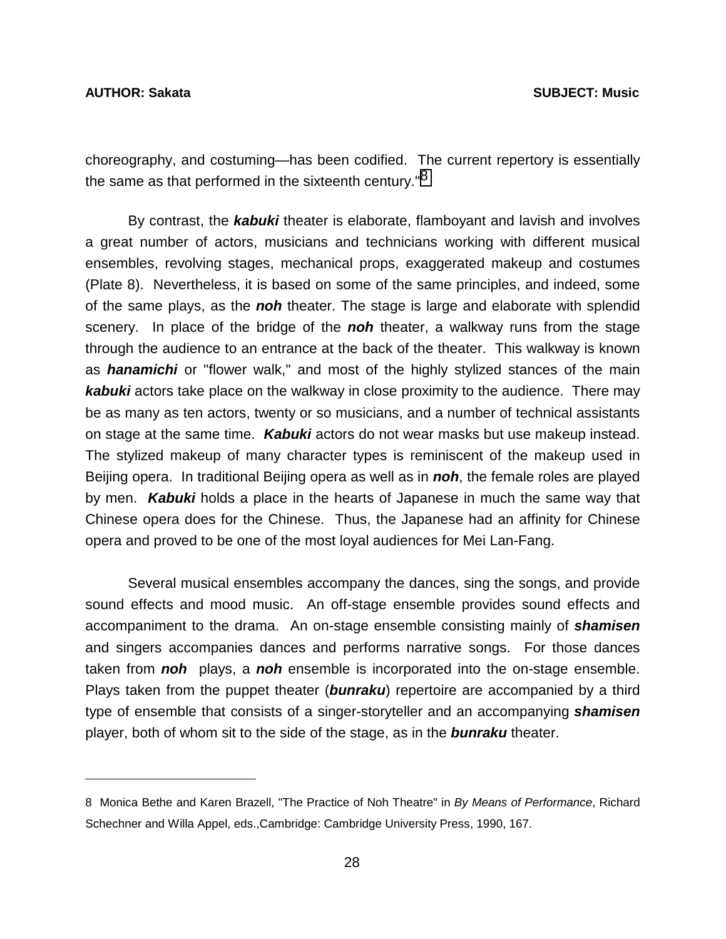$\overline{a}$ 

choreography, and costuming—has been codified. The current repertory is essentially the same as that performed in the sixteenth century.<sup>"8</sup>

 By contrast, the *kabuki* theater is elaborate, flamboyant and lavish and involves a great number of actors, musicians and technicians working with different musical ensembles, revolving stages, mechanical props, exaggerated makeup and costumes (Plate 8). Nevertheless, it is based on some of the same principles, and indeed, some of the same plays, as the *noh* theater. The stage is large and elaborate with splendid scenery. In place of the bridge of the *noh* theater, a walkway runs from the stage through the audience to an entrance at the back of the theater. This walkway is known as *hanamichi* or "flower walk," and most of the highly stylized stances of the main *kabuki* actors take place on the walkway in close proximity to the audience. There may be as many as ten actors, twenty or so musicians, and a number of technical assistants on stage at the same time. *Kabuki* actors do not wear masks but use makeup instead. The stylized makeup of many character types is reminiscent of the makeup used in Beijing opera. In traditional Beijing opera as well as in *noh*, the female roles are played by men. *Kabuki* holds a place in the hearts of Japanese in much the same way that Chinese opera does for the Chinese. Thus, the Japanese had an affinity for Chinese opera and proved to be one of the most loyal audiences for Mei Lan-Fang.

 Several musical ensembles accompany the dances, sing the songs, and provide sound effects and mood music. An off-stage ensemble provides sound effects and accompaniment to the drama. An on-stage ensemble consisting mainly of *shamisen* and singers accompanies dances and performs narrative songs. For those dances taken from *noh* plays, a *noh* ensemble is incorporated into the on-stage ensemble. Plays taken from the puppet theater (*bunraku*) repertoire are accompanied by a third type of ensemble that consists of a singer-storyteller and an accompanying *shamisen* player, both of whom sit to the side of the stage, as in the *bunraku* theater.

<sup>8</sup> Monica Bethe and Karen Brazell, "The Practice of Noh Theatre" in *By Means of Performance*, Richard Schechner and Willa Appel, eds.,Cambridge: Cambridge University Press, 1990, 167.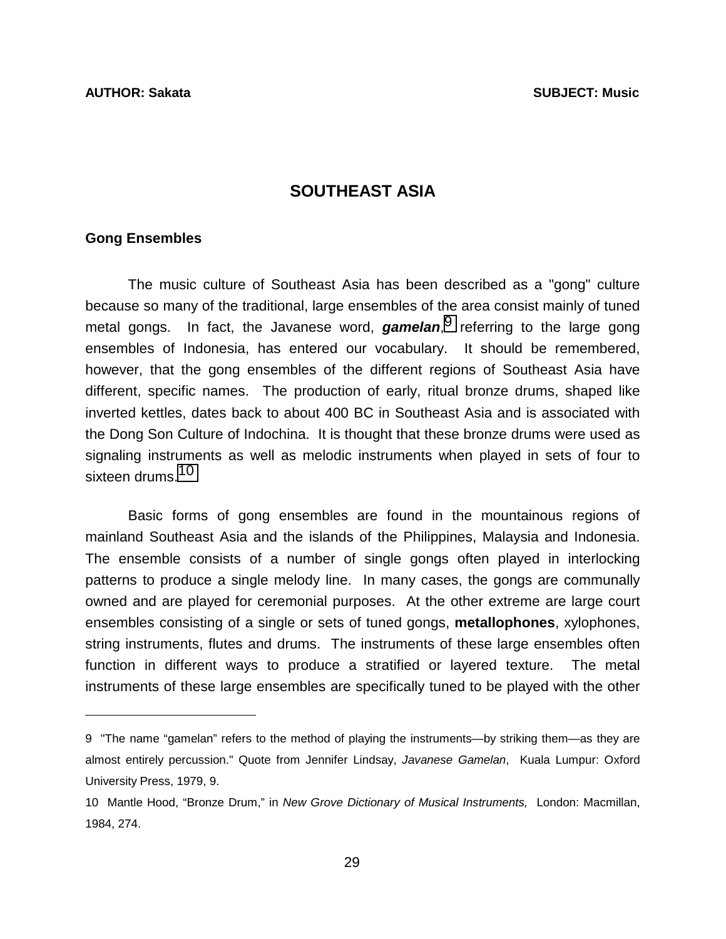# **SOUTHEAST ASIA**

#### <span id="page-32-0"></span>**Gong Ensembles**

l

 The music culture of Southeast Asia has been described as a "gong" culture because so many of the traditional, large ensembles of the area consist mainly of tuned metal gongs. In fact, the Javanese word, *gamelan*, 9 referring to the large gong ensembles of Indonesia, has entered our vocabulary. It should be remembered, however, that the gong ensembles of the different regions of Southeast Asia have different, specific names. The production of early, ritual bronze drums, shaped like inverted kettles, dates back to about 400 BC in Southeast Asia and is associated with the Dong Son Culture of Indochina. It is thought that these bronze drums were used as signaling instruments as well as melodic instruments when played in sets of four to sixteen drums.<sup>10</sup>

 Basic forms of gong ensembles are found in the mountainous regions of mainland Southeast Asia and the islands of the Philippines, Malaysia and Indonesia. The ensemble consists of a number of single gongs often played in interlocking patterns to produce a single melody line. In many cases, the gongs are communally owned and are played for ceremonial purposes. At the other extreme are large court ensembles consisting of a single or sets of tuned gongs, **metallophones**, xylophones, string instruments, flutes and drums. The instruments of these large ensembles often function in different ways to produce a stratified or layered texture. The metal instruments of these large ensembles are specifically tuned to be played with the other

<sup>9 &</sup>quot;The name "gamelan" refers to the method of playing the instruments—by striking them—as they are almost entirely percussion." Quote from Jennifer Lindsay, *Javanese Gamelan*, Kuala Lumpur: Oxford University Press, 1979, 9.

<sup>10</sup> Mantle Hood, "Bronze Drum," in *New Grove Dictionary of Musical Instruments,* London: Macmillan, 1984, 274.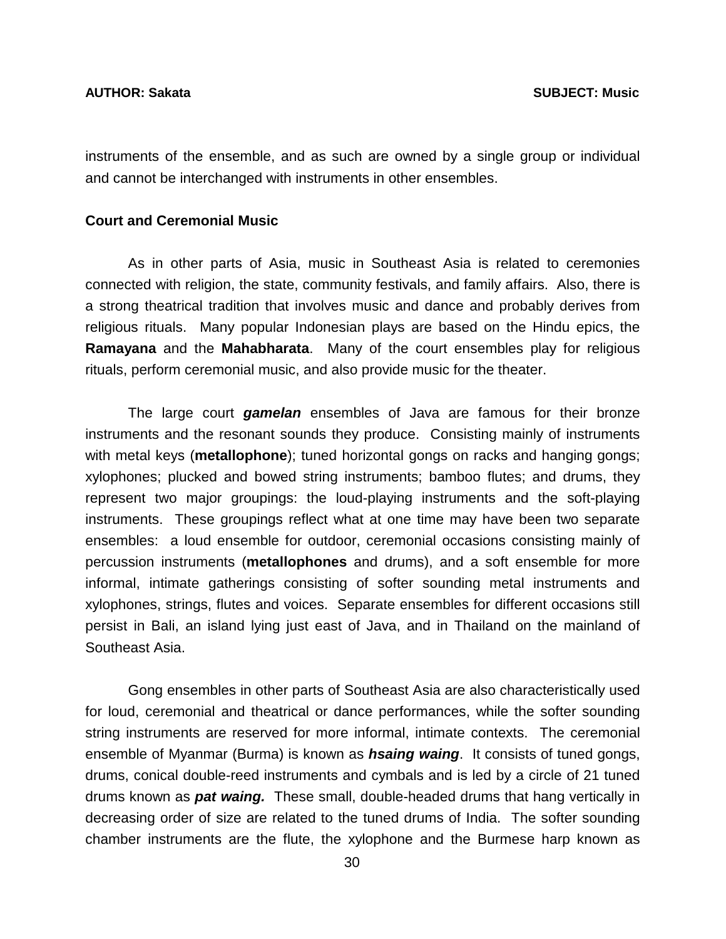instruments of the ensemble, and as such are owned by a single group or individual and cannot be interchanged with instruments in other ensembles.

#### **Court and Ceremonial Music**

 As in other parts of Asia, music in Southeast Asia is related to ceremonies connected with religion, the state, community festivals, and family affairs. Also, there is a strong theatrical tradition that involves music and dance and probably derives from religious rituals. Many popular Indonesian plays are based on the Hindu epics, the **Ramayana** and the **Mahabharata**. Many of the court ensembles play for religious rituals, perform ceremonial music, and also provide music for the theater.

 The large court *gamelan* ensembles of Java are famous for their bronze instruments and the resonant sounds they produce. Consisting mainly of instruments with metal keys (**metallophone**); tuned horizontal gongs on racks and hanging gongs; xylophones; plucked and bowed string instruments; bamboo flutes; and drums, they represent two major groupings: the loud-playing instruments and the soft-playing instruments. These groupings reflect what at one time may have been two separate ensembles: a loud ensemble for outdoor, ceremonial occasions consisting mainly of percussion instruments (**metallophones** and drums), and a soft ensemble for more informal, intimate gatherings consisting of softer sounding metal instruments and xylophones, strings, flutes and voices. Separate ensembles for different occasions still persist in Bali, an island lying just east of Java, and in Thailand on the mainland of Southeast Asia.

 Gong ensembles in other parts of Southeast Asia are also characteristically used for loud, ceremonial and theatrical or dance performances, while the softer sounding string instruments are reserved for more informal, intimate contexts. The ceremonial ensemble of Myanmar (Burma) is known as *hsaing waing*. It consists of tuned gongs, drums, conical double-reed instruments and cymbals and is led by a circle of 21 tuned drums known as *pat waing.* These small, double-headed drums that hang vertically in decreasing order of size are related to the tuned drums of India. The softer sounding chamber instruments are the flute, the xylophone and the Burmese harp known as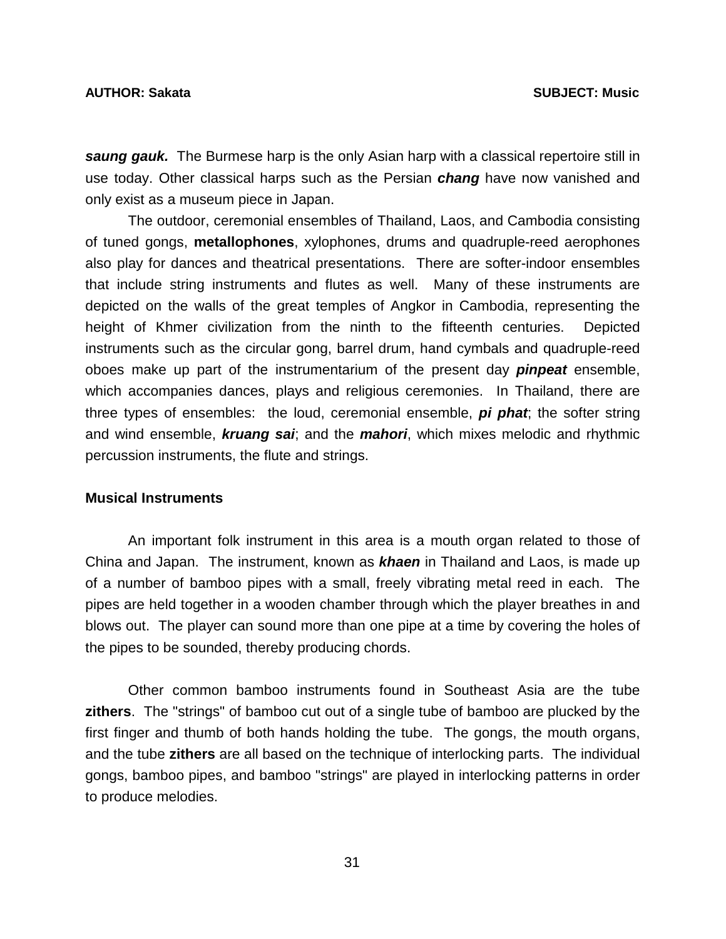#### **AUTHOR: Sakata SUBJECT: Music**

*saung gauk.* The Burmese harp is the only Asian harp with a classical repertoire still in use today. Other classical harps such as the Persian *chang* have now vanished and only exist as a museum piece in Japan.

 The outdoor, ceremonial ensembles of Thailand, Laos, and Cambodia consisting of tuned gongs, **metallophones**, xylophones, drums and quadruple-reed aerophones also play for dances and theatrical presentations. There are softer-indoor ensembles that include string instruments and flutes as well. Many of these instruments are depicted on the walls of the great temples of Angkor in Cambodia, representing the height of Khmer civilization from the ninth to the fifteenth centuries. Depicted instruments such as the circular gong, barrel drum, hand cymbals and quadruple-reed oboes make up part of the instrumentarium of the present day *pinpeat* ensemble, which accompanies dances, plays and religious ceremonies. In Thailand, there are three types of ensembles: the loud, ceremonial ensemble, *pi phat*; the softer string and wind ensemble, *kruang sai*; and the *mahori*, which mixes melodic and rhythmic percussion instruments, the flute and strings.

#### **Musical Instruments**

 An important folk instrument in this area is a mouth organ related to those of China and Japan. The instrument, known as *khaen* in Thailand and Laos, is made up of a number of bamboo pipes with a small, freely vibrating metal reed in each. The pipes are held together in a wooden chamber through which the player breathes in and blows out. The player can sound more than one pipe at a time by covering the holes of the pipes to be sounded, thereby producing chords.

 Other common bamboo instruments found in Southeast Asia are the tube **zithers**. The "strings" of bamboo cut out of a single tube of bamboo are plucked by the first finger and thumb of both hands holding the tube. The gongs, the mouth organs, and the tube **zithers** are all based on the technique of interlocking parts. The individual gongs, bamboo pipes, and bamboo "strings" are played in interlocking patterns in order to produce melodies.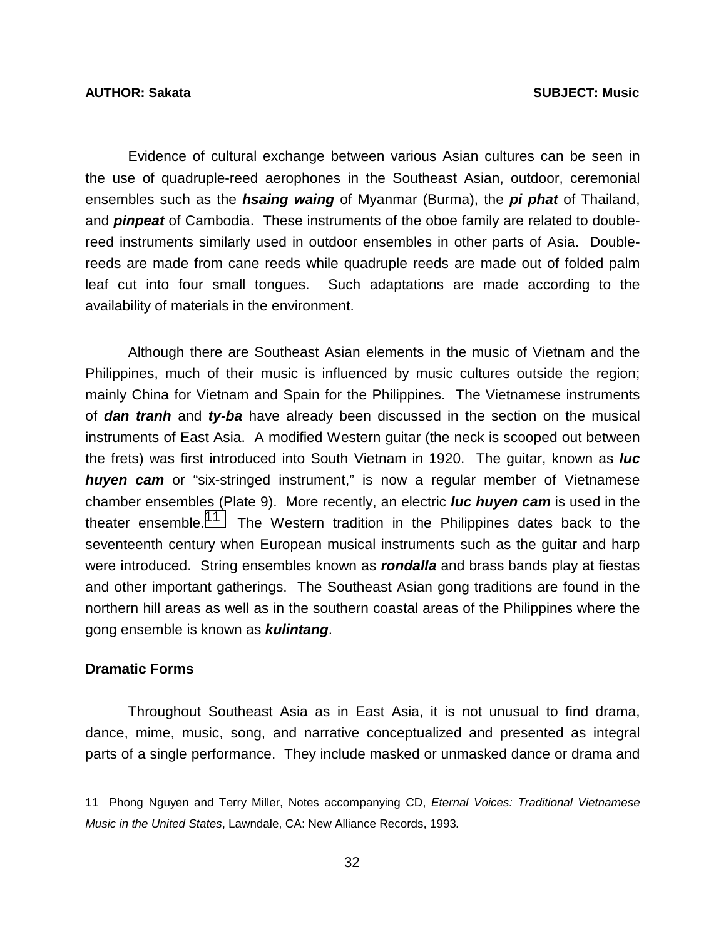Evidence of cultural exchange between various Asian cultures can be seen in the use of quadruple-reed aerophones in the Southeast Asian, outdoor, ceremonial ensembles such as the *hsaing waing* of Myanmar (Burma), the *pi phat* of Thailand, and *pinpeat* of Cambodia. These instruments of the oboe family are related to doublereed instruments similarly used in outdoor ensembles in other parts of Asia. Doublereeds are made from cane reeds while quadruple reeds are made out of folded palm leaf cut into four small tongues. Such adaptations are made according to the availability of materials in the environment.

 Although there are Southeast Asian elements in the music of Vietnam and the Philippines, much of their music is influenced by music cultures outside the region; mainly China for Vietnam and Spain for the Philippines. The Vietnamese instruments of *dan tranh* and *ty-ba* have already been discussed in the section on the musical instruments of East Asia. A modified Western guitar (the neck is scooped out between the frets) was first introduced into South Vietnam in 1920. The guitar, known as *luc huyen cam* or "six-stringed instrument," is now a regular member of Vietnamese chamber ensembles (Plate 9). More recently, an electric *luc huyen cam* is used in the theater ensemble.<sup>11</sup> The Western tradition in the Philippines dates back to the seventeenth century when European musical instruments such as the guitar and harp were introduced. String ensembles known as *rondalla* and brass bands play at fiestas and other important gatherings. The Southeast Asian gong traditions are found in the northern hill areas as well as in the southern coastal areas of the Philippines where the gong ensemble is known as *kulintang*.

### **Dramatic Forms**

l

 Throughout Southeast Asia as in East Asia, it is not unusual to find drama, dance, mime, music, song, and narrative conceptualized and presented as integral parts of a single performance. They include masked or unmasked dance or drama and

<sup>11</sup> Phong Nguyen and Terry Miller, Notes accompanying CD, *Eternal Voices: Traditional Vietnamese Music in the United States*, Lawndale, CA: New Alliance Records, 1993*.*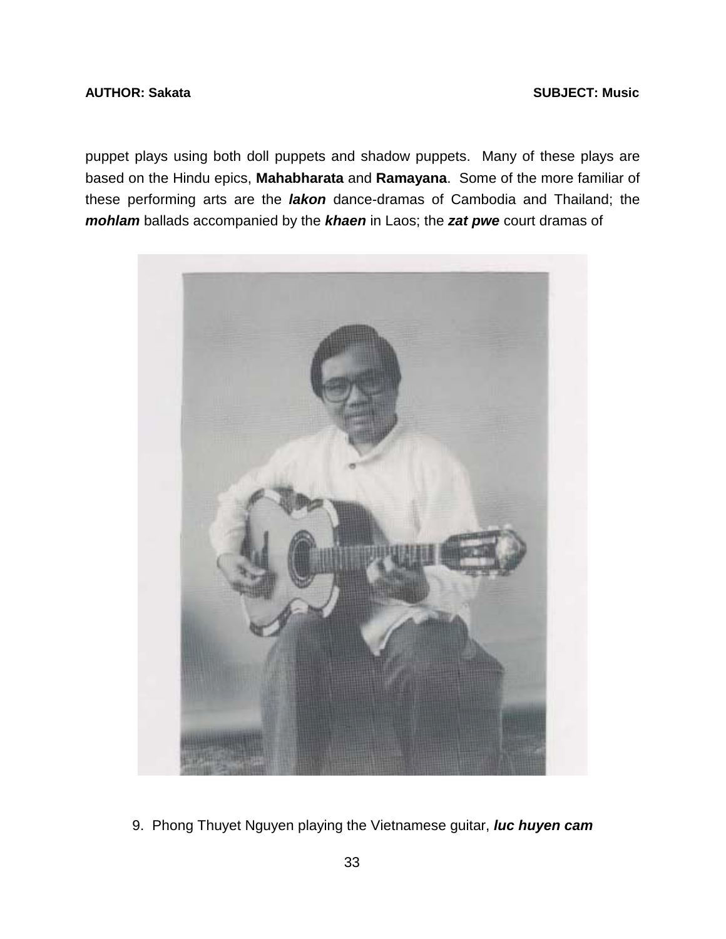## **AUTHOR: Sakata** SUBJECT: Music **AUTHOR: Sakata**

puppet plays using both doll puppets and shadow puppets. Many of these plays are based on the Hindu epics, **Mahabharata** and **Ramayana**. Some of the more familiar of these performing arts are the *lakon* dance-dramas of Cambodia and Thailand; the *mohlam* ballads accompanied by the *khaen* in Laos; the *zat pwe* court dramas of



9. Phong Thuyet Nguyen playing the Vietnamese guitar, *luc huyen cam*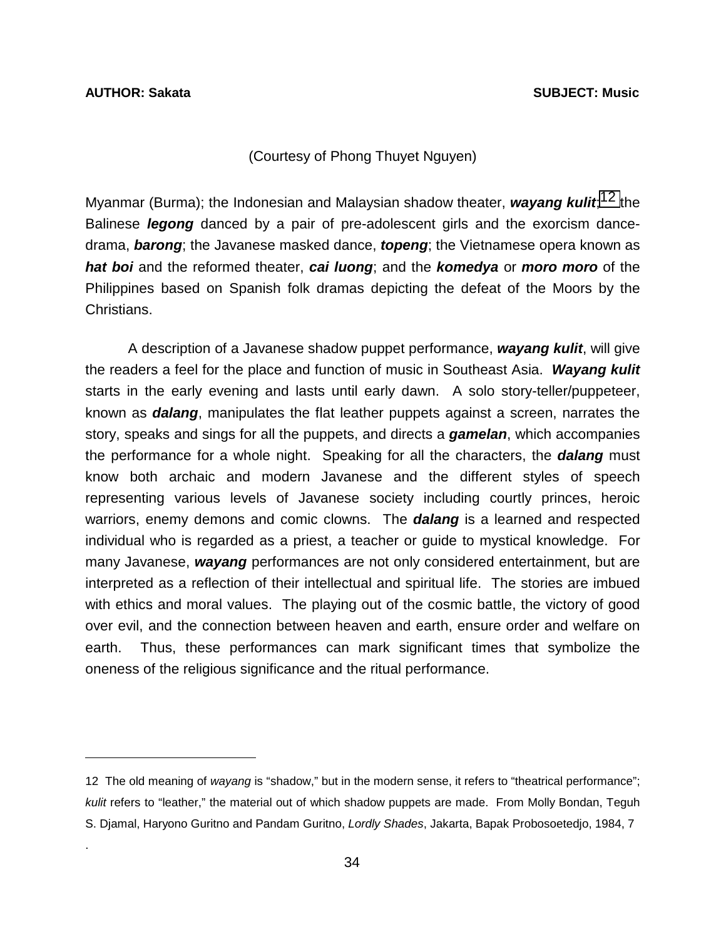$\overline{a}$ 

.

### (Courtesy of Phong Thuyet Nguyen)

Myanmar (Burma); the Indonesian and Malaysian shadow theater, *wayang kulit*; 12 the Balinese *legong* danced by a pair of pre-adolescent girls and the exorcism dancedrama, *barong*; the Javanese masked dance, *topeng*; the Vietnamese opera known as *hat boi* and the reformed theater, *cai luong*; and the *komedya* or *moro moro* of the Philippines based on Spanish folk dramas depicting the defeat of the Moors by the Christians.

 A description of a Javanese shadow puppet performance, *wayang kulit*, will give the readers a feel for the place and function of music in Southeast Asia. *Wayang kulit*  starts in the early evening and lasts until early dawn. A solo story-teller/puppeteer, known as *dalang*, manipulates the flat leather puppets against a screen, narrates the story, speaks and sings for all the puppets, and directs a *gamelan*, which accompanies the performance for a whole night. Speaking for all the characters, the *dalang* must know both archaic and modern Javanese and the different styles of speech representing various levels of Javanese society including courtly princes, heroic warriors, enemy demons and comic clowns. The *dalang* is a learned and respected individual who is regarded as a priest, a teacher or guide to mystical knowledge. For many Javanese, *wayang* performances are not only considered entertainment, but are interpreted as a reflection of their intellectual and spiritual life. The stories are imbued with ethics and moral values. The playing out of the cosmic battle, the victory of good over evil, and the connection between heaven and earth, ensure order and welfare on earth. Thus, these performances can mark significant times that symbolize the oneness of the religious significance and the ritual performance.

<sup>12</sup> The old meaning of *wayang* is "shadow," but in the modern sense, it refers to "theatrical performance"; *kulit* refers to "leather," the material out of which shadow puppets are made. From Molly Bondan, Teguh S. Djamal, Haryono Guritno and Pandam Guritno, *Lordly Shades*, Jakarta, Bapak Probosoetedjo, 1984, 7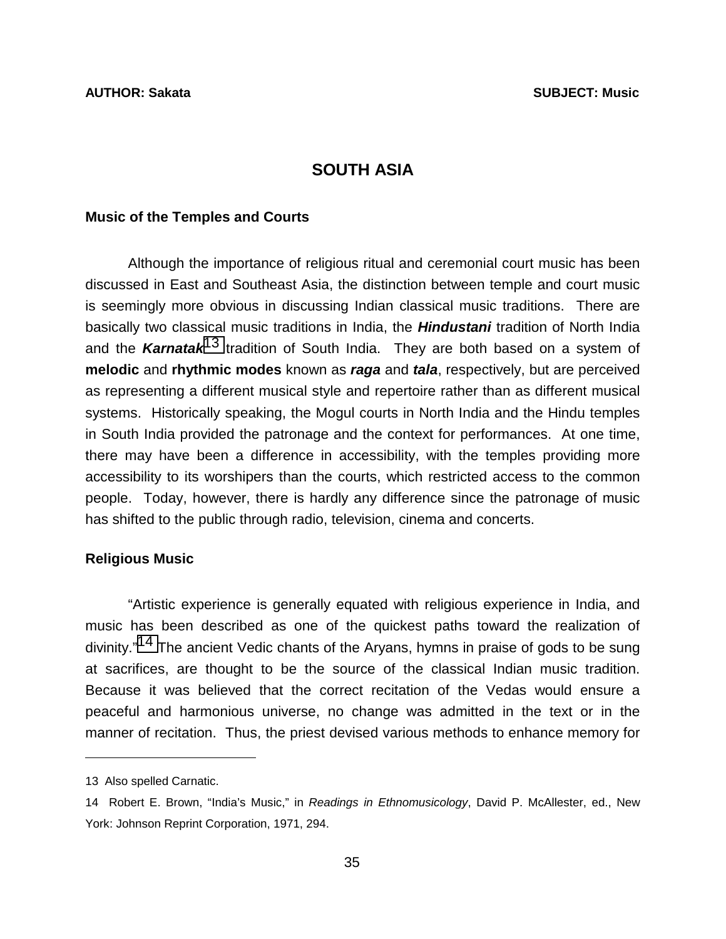# **SOUTH ASIA**

### **Music of the Temples and Courts**

 Although the importance of religious ritual and ceremonial court music has been discussed in East and Southeast Asia, the distinction between temple and court music is seemingly more obvious in discussing Indian classical music traditions. There are basically two classical music traditions in India, the *Hindustani* tradition of North India and the *Karnatak*13 tradition of South India. They are both based on a system of **melodic** and **rhythmic modes** known as *raga* and *tala*, respectively, but are perceived as representing a different musical style and repertoire rather than as different musical systems. Historically speaking, the Mogul courts in North India and the Hindu temples in South India provided the patronage and the context for performances. At one time, there may have been a difference in accessibility, with the temples providing more accessibility to its worshipers than the courts, which restricted access to the common people. Today, however, there is hardly any difference since the patronage of music has shifted to the public through radio, television, cinema and concerts.

### **Religious Music**

 "Artistic experience is generally equated with religious experience in India, and music has been described as one of the quickest paths toward the realization of divinity."<sup>14</sup> The ancient Vedic chants of the Aryans, hymns in praise of gods to be sung at sacrifices, are thought to be the source of the classical Indian music tradition. Because it was believed that the correct recitation of the Vedas would ensure a peaceful and harmonious universe, no change was admitted in the text or in the manner of recitation. Thus, the priest devised various methods to enhance memory for

l

<sup>13</sup> Also spelled Carnatic.

<sup>14</sup> Robert E. Brown, "India's Music," in *Readings in Ethnomusicology*, David P. McAllester, ed., New York: Johnson Reprint Corporation, 1971, 294.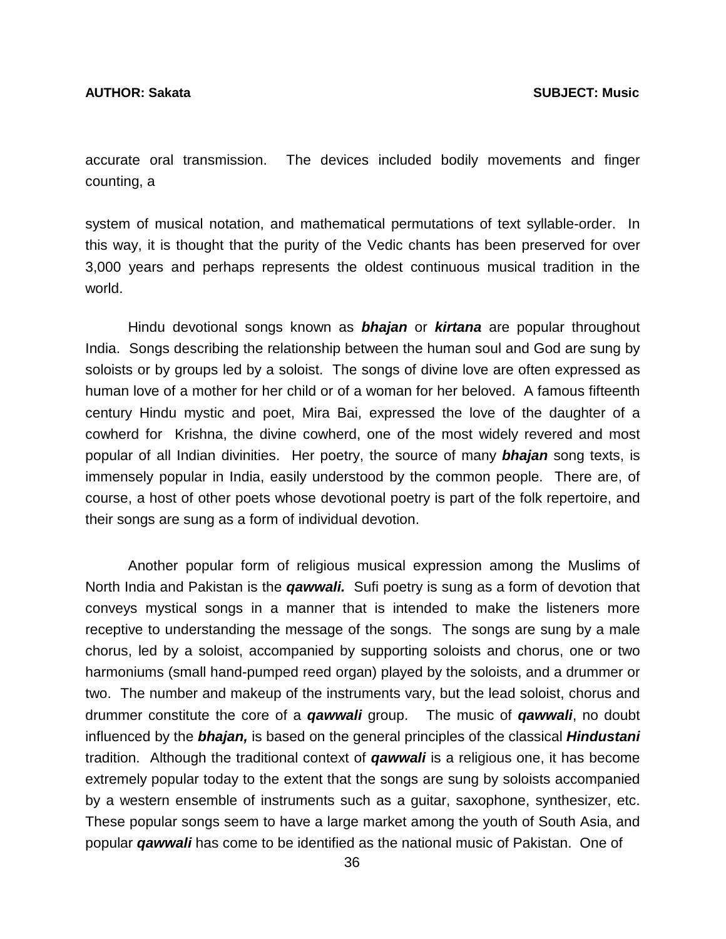accurate oral transmission. The devices included bodily movements and finger counting, a

system of musical notation, and mathematical permutations of text syllable-order. In this way, it is thought that the purity of the Vedic chants has been preserved for over 3,000 years and perhaps represents the oldest continuous musical tradition in the world.

 Hindu devotional songs known as *bhajan* or *kirtana* are popular throughout India. Songs describing the relationship between the human soul and God are sung by soloists or by groups led by a soloist. The songs of divine love are often expressed as human love of a mother for her child or of a woman for her beloved. A famous fifteenth century Hindu mystic and poet, Mira Bai, expressed the love of the daughter of a cowherd for Krishna, the divine cowherd, one of the most widely revered and most popular of all Indian divinities. Her poetry, the source of many *bhajan* song texts, is immensely popular in India, easily understood by the common people. There are, of course, a host of other poets whose devotional poetry is part of the folk repertoire, and their songs are sung as a form of individual devotion.

 Another popular form of religious musical expression among the Muslims of North India and Pakistan is the *qawwali.* Sufi poetry is sung as a form of devotion that conveys mystical songs in a manner that is intended to make the listeners more receptive to understanding the message of the songs. The songs are sung by a male chorus, led by a soloist, accompanied by supporting soloists and chorus, one or two harmoniums (small hand-pumped reed organ) played by the soloists, and a drummer or two. The number and makeup of the instruments vary, but the lead soloist, chorus and drummer constitute the core of a *qawwali* group. The music of *qawwali*, no doubt influenced by the *bhajan,* is based on the general principles of the classical *Hindustani* tradition. Although the traditional context of *qawwali* is a religious one, it has become extremely popular today to the extent that the songs are sung by soloists accompanied by a western ensemble of instruments such as a guitar, saxophone, synthesizer, etc. These popular songs seem to have a large market among the youth of South Asia, and popular *qawwali* has come to be identified as the national music of Pakistan. One of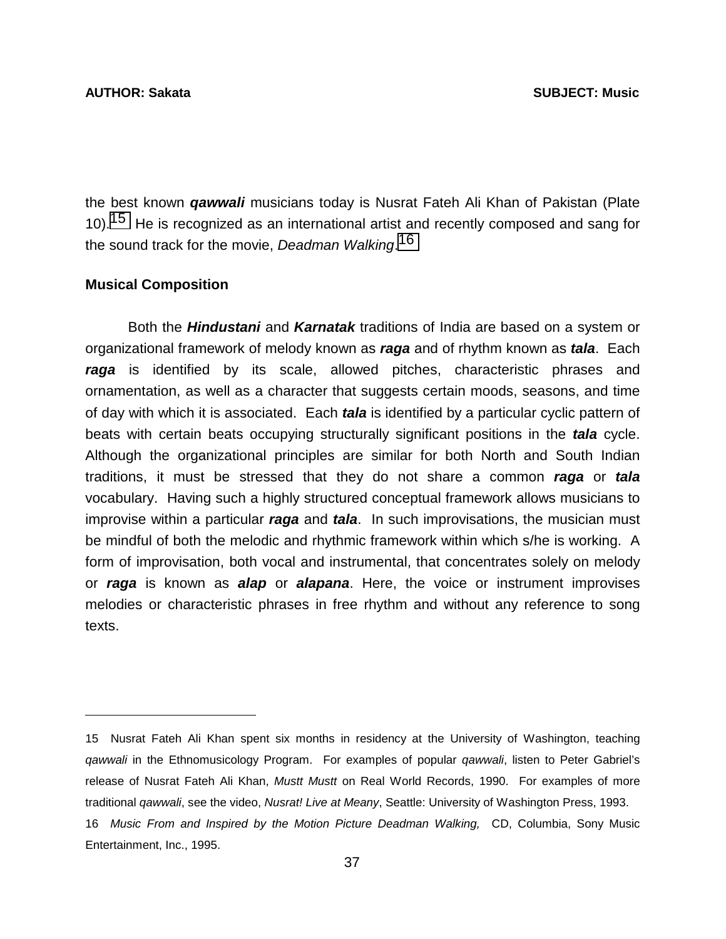the best known *qawwali* musicians today is Nusrat Fateh Ali Khan of Pakistan (Plate 10).<sup>15</sup> He is recognized as an international artist and recently composed and sang for the sound track for the movie, *Deadman Walking*. 16

### **Musical Composition**

l

 Both the *Hindustani* and *Karnatak* traditions of India are based on a system or organizational framework of melody known as *raga* and of rhythm known as *tala*. Each *raga* is identified by its scale, allowed pitches, characteristic phrases and ornamentation, as well as a character that suggests certain moods, seasons, and time of day with which it is associated. Each *tala* is identified by a particular cyclic pattern of beats with certain beats occupying structurally significant positions in the *tala* cycle. Although the organizational principles are similar for both North and South Indian traditions, it must be stressed that they do not share a common *raga* or *tala* vocabulary. Having such a highly structured conceptual framework allows musicians to improvise within a particular *raga* and *tala*. In such improvisations, the musician must be mindful of both the melodic and rhythmic framework within which s/he is working. A form of improvisation, both vocal and instrumental, that concentrates solely on melody or *raga* is known as *alap* or *alapana*. Here, the voice or instrument improvises melodies or characteristic phrases in free rhythm and without any reference to song texts.

<sup>15</sup> Nusrat Fateh Ali Khan spent six months in residency at the University of Washington, teaching *qawwali* in the Ethnomusicology Program. For examples of popular *qawwali*, listen to Peter Gabriel's release of Nusrat Fateh Ali Khan, *Mustt Mustt* on Real World Records, 1990. For examples of more traditional *qawwali*, see the video, *Nusrat! Live at Meany*, Seattle: University of Washington Press, 1993. 16 *Music From and Inspired by the Motion Picture Deadman Walking,* CD, Columbia, Sony Music Entertainment, Inc., 1995.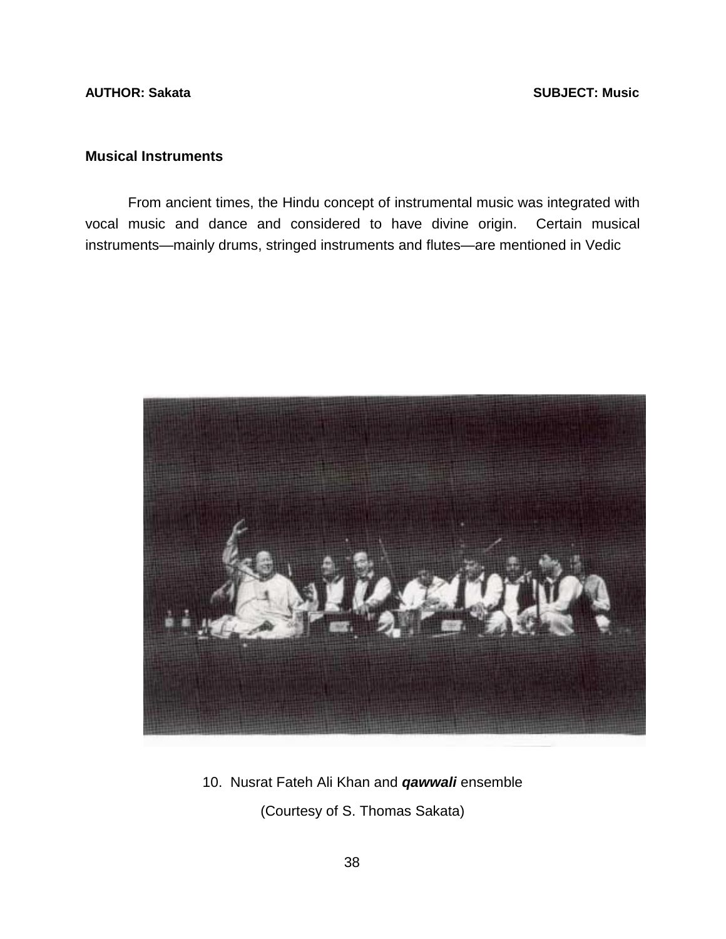## **AUTHOR: Sakata** SUBJECT: Music **AUTHOR: Sakata**

# **Musical Instruments**

 From ancient times, the Hindu concept of instrumental music was integrated with vocal music and dance and considered to have divine origin. Certain musical instruments—mainly drums, stringed instruments and flutes—are mentioned in Vedic



10. Nusrat Fateh Ali Khan and *qawwali* ensemble (Courtesy of S. Thomas Sakata)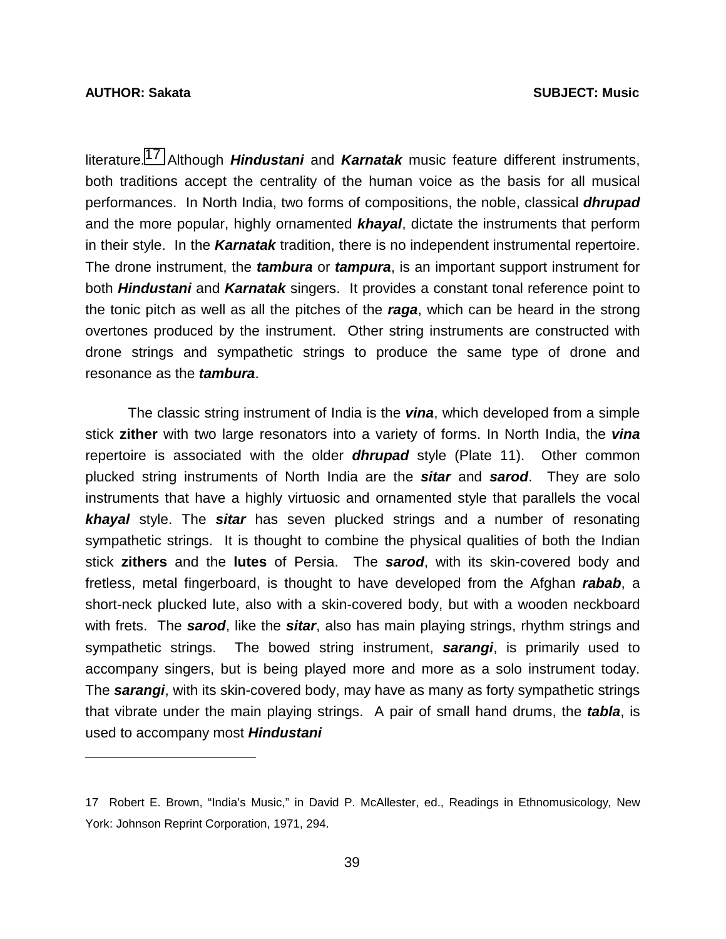### **AUTHOR: Sakata SUBJECT: Music**

l

literature.17 Although *Hindustani* and *Karnatak* music feature different instruments, both traditions accept the centrality of the human voice as the basis for all musical performances. In North India, two forms of compositions, the noble, classical *dhrupad* and the more popular, highly ornamented *khayal*, dictate the instruments that perform in their style. In the *Karnatak* tradition, there is no independent instrumental repertoire. The drone instrument, the *tambura* or *tampura*, is an important support instrument for both *Hindustani* and *Karnatak* singers. It provides a constant tonal reference point to the tonic pitch as well as all the pitches of the *raga*, which can be heard in the strong overtones produced by the instrument. Other string instruments are constructed with drone strings and sympathetic strings to produce the same type of drone and resonance as the *tambura*.

 The classic string instrument of India is the *vina*, which developed from a simple stick **zither** with two large resonators into a variety of forms. In North India, the *vina*  repertoire is associated with the older *dhrupad* style (Plate 11). Other common plucked string instruments of North India are the *sitar* and *sarod*. They are solo instruments that have a highly virtuosic and ornamented style that parallels the vocal *khayal* style. The *sitar* has seven plucked strings and a number of resonating sympathetic strings. It is thought to combine the physical qualities of both the Indian stick **zithers** and the **lutes** of Persia. The *sarod*, with its skin-covered body and fretless, metal fingerboard, is thought to have developed from the Afghan *rabab*, a short-neck plucked lute, also with a skin-covered body, but with a wooden neckboard with frets. The *sarod*, like the *sitar*, also has main playing strings, rhythm strings and sympathetic strings. The bowed string instrument, *sarangi*, is primarily used to accompany singers, but is being played more and more as a solo instrument today. The *sarangi*, with its skin-covered body, may have as many as forty sympathetic strings that vibrate under the main playing strings. A pair of small hand drums, the *tabla*, is used to accompany most *Hindustani* 

<sup>17</sup> Robert E. Brown, "India's Music," in David P. McAllester, ed., Readings in Ethnomusicology, New York: Johnson Reprint Corporation, 1971, 294.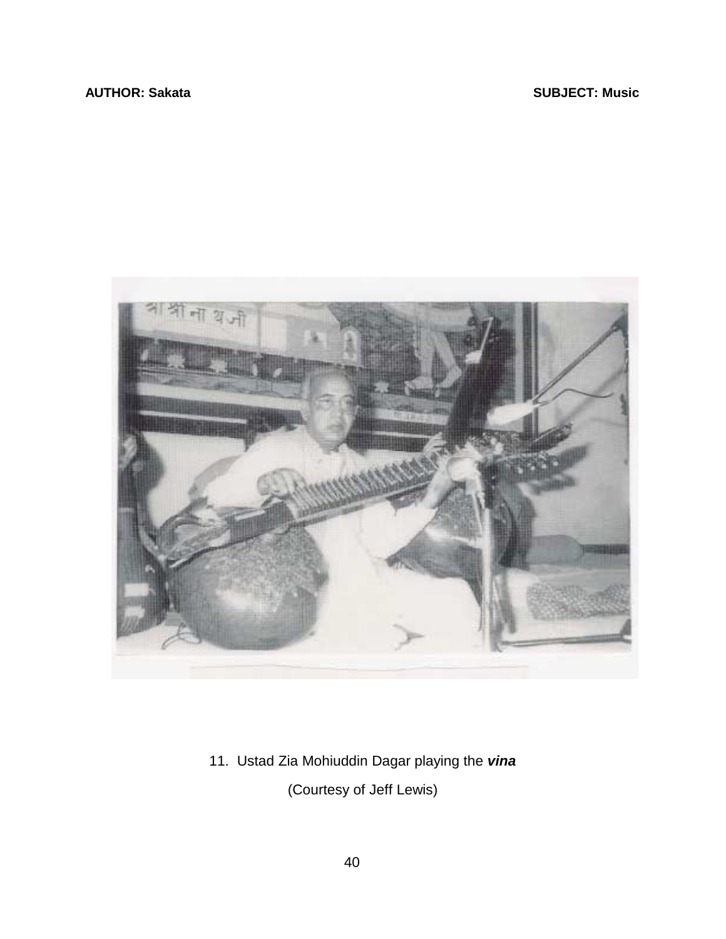# **AUTHOR: Sakata** SUBJECT: Music **SUBJECT: Music**



11. Ustad Zia Mohiuddin Dagar playing the *vina* (Courtesy of Jeff Lewis)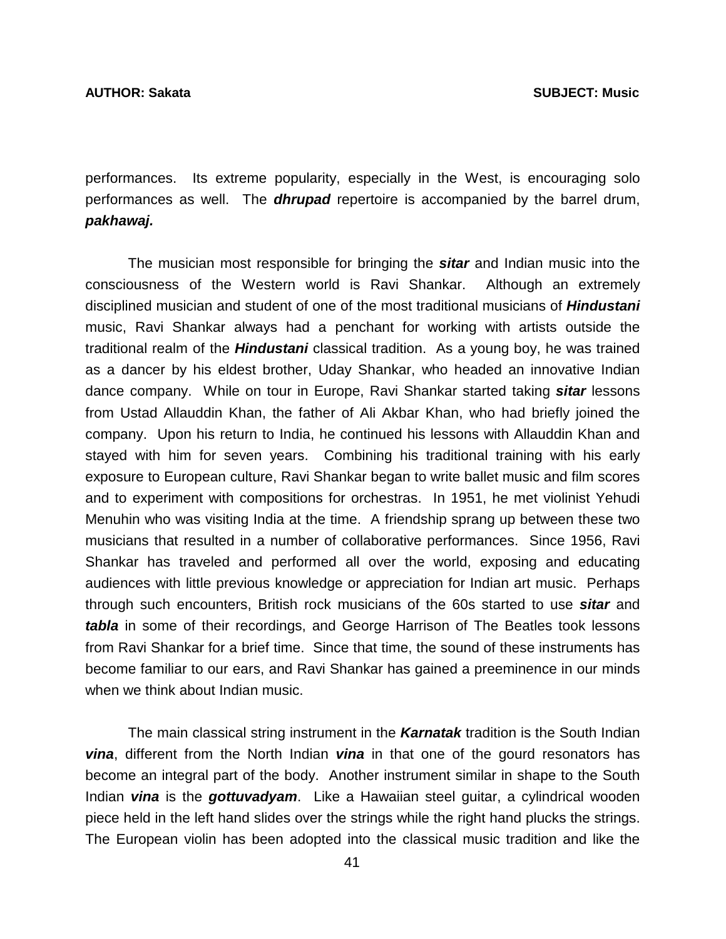performances. Its extreme popularity, especially in the West, is encouraging solo performances as well. The *dhrupad* repertoire is accompanied by the barrel drum, *pakhawaj.* 

 The musician most responsible for bringing the *sitar* and Indian music into the consciousness of the Western world is Ravi Shankar. Although an extremely disciplined musician and student of one of the most traditional musicians of *Hindustani* music, Ravi Shankar always had a penchant for working with artists outside the traditional realm of the *Hindustani* classical tradition. As a young boy, he was trained as a dancer by his eldest brother, Uday Shankar, who headed an innovative Indian dance company. While on tour in Europe, Ravi Shankar started taking *sitar* lessons from Ustad Allauddin Khan, the father of Ali Akbar Khan, who had briefly joined the company. Upon his return to India, he continued his lessons with Allauddin Khan and stayed with him for seven years. Combining his traditional training with his early exposure to European culture, Ravi Shankar began to write ballet music and film scores and to experiment with compositions for orchestras. In 1951, he met violinist Yehudi Menuhin who was visiting India at the time. A friendship sprang up between these two musicians that resulted in a number of collaborative performances. Since 1956, Ravi Shankar has traveled and performed all over the world, exposing and educating audiences with little previous knowledge or appreciation for Indian art music. Perhaps through such encounters, British rock musicians of the 60s started to use *sitar* and *tabla* in some of their recordings, and George Harrison of The Beatles took lessons from Ravi Shankar for a brief time. Since that time, the sound of these instruments has become familiar to our ears, and Ravi Shankar has gained a preeminence in our minds when we think about Indian music.

 The main classical string instrument in the *Karnatak* tradition is the South Indian *vina*, different from the North Indian *vina* in that one of the gourd resonators has become an integral part of the body. Another instrument similar in shape to the South Indian *vina* is the *gottuvadyam*. Like a Hawaiian steel guitar, a cylindrical wooden piece held in the left hand slides over the strings while the right hand plucks the strings. The European violin has been adopted into the classical music tradition and like the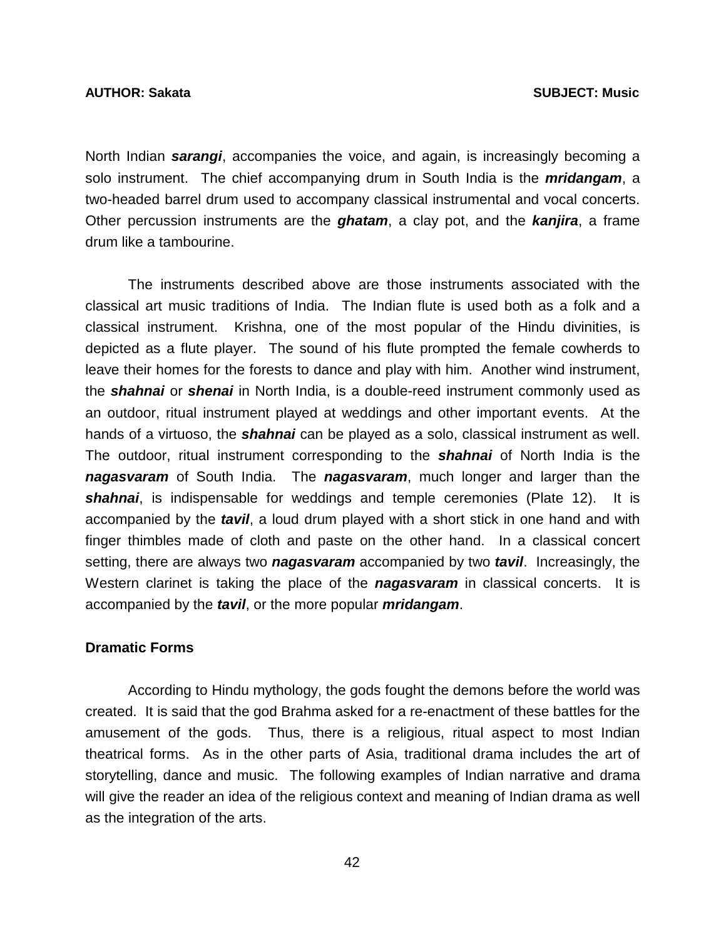### **AUTHOR: Sakata SUBJECT: Music**

North Indian *sarangi*, accompanies the voice, and again, is increasingly becoming a solo instrument. The chief accompanying drum in South India is the *mridangam*, a two-headed barrel drum used to accompany classical instrumental and vocal concerts. Other percussion instruments are the *ghatam*, a clay pot, and the *kanjira*, a frame drum like a tambourine.

 The instruments described above are those instruments associated with the classical art music traditions of India. The Indian flute is used both as a folk and a classical instrument. Krishna, one of the most popular of the Hindu divinities, is depicted as a flute player. The sound of his flute prompted the female cowherds to leave their homes for the forests to dance and play with him. Another wind instrument, the *shahnai* or *shenai* in North India, is a double-reed instrument commonly used as an outdoor, ritual instrument played at weddings and other important events. At the hands of a virtuoso, the *shahnai* can be played as a solo, classical instrument as well. The outdoor, ritual instrument corresponding to the *shahnai* of North India is the *nagasvaram* of South India. The *nagasvaram*, much longer and larger than the *shahnai*, is indispensable for weddings and temple ceremonies (Plate 12). It is accompanied by the *tavil*, a loud drum played with a short stick in one hand and with finger thimbles made of cloth and paste on the other hand. In a classical concert setting, there are always two *nagasvaram* accompanied by two *tavil*. Increasingly, the Western clarinet is taking the place of the *nagasvaram* in classical concerts. It is accompanied by the *tavil*, or the more popular *mridangam*.

# **Dramatic Forms**

 According to Hindu mythology, the gods fought the demons before the world was created. It is said that the god Brahma asked for a re-enactment of these battles for the amusement of the gods. Thus, there is a religious, ritual aspect to most Indian theatrical forms. As in the other parts of Asia, traditional drama includes the art of storytelling, dance and music. The following examples of Indian narrative and drama will give the reader an idea of the religious context and meaning of Indian drama as well as the integration of the arts.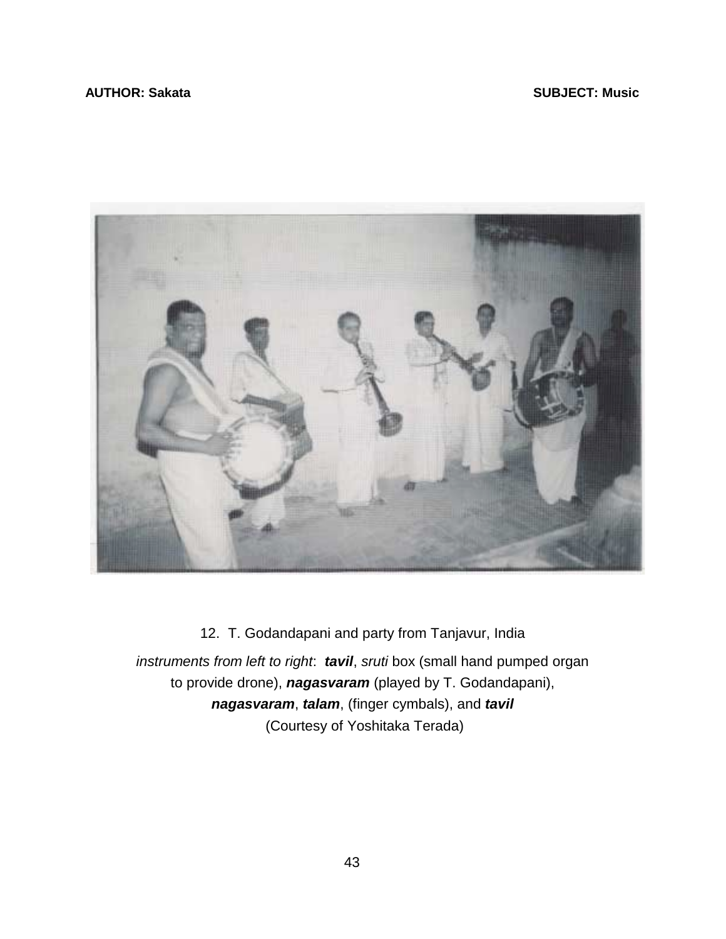## **AUTHOR: Sakata** SUBJECT: Music **SUBJECT: Music**



12. T. Godandapani and party from Tanjavur, India *instruments from left to right*: *tavil*, *sruti* box (small hand pumped organ to provide drone), *nagasvaram* (played by T. Godandapani), *nagasvaram*, *talam*, (finger cymbals), and *tavil*  (Courtesy of Yoshitaka Terada)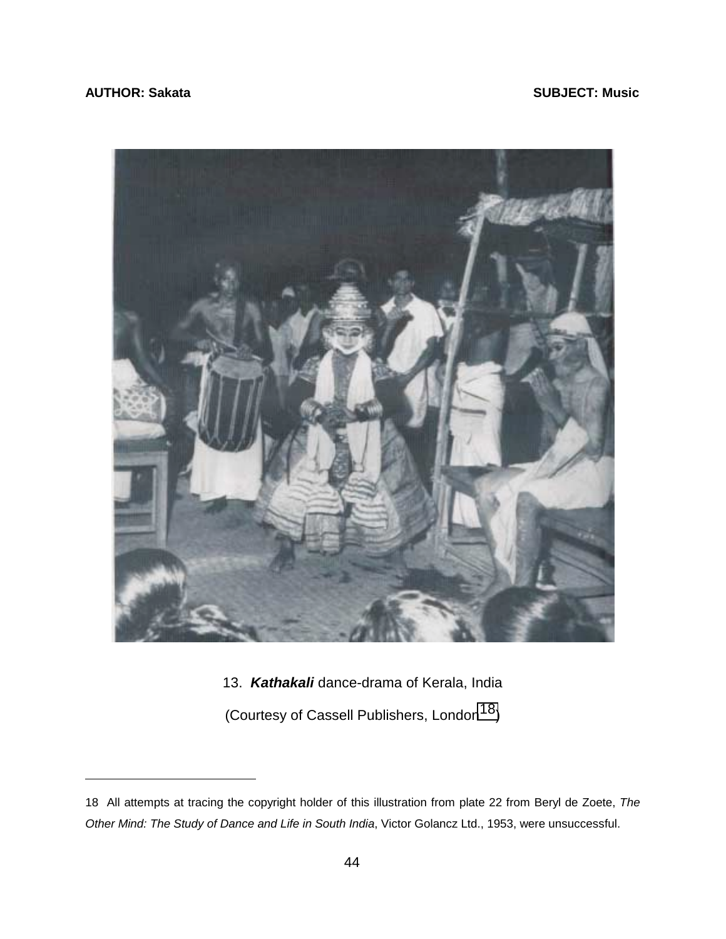## **AUTHOR: Sakata** SUBJECT: Music **SUBJECT: Music**

 $\overline{a}$ 



13. *Kathakali* dance-drama of Kerala, India

(Courtesy of Cassell Publishers, London<sup>18</sup>)

<sup>18</sup> All attempts at tracing the copyright holder of this illustration from plate 22 from Beryl de Zoete, *The Other Mind: The Study of Dance and Life in South India*, Victor Golancz Ltd., 1953, were unsuccessful.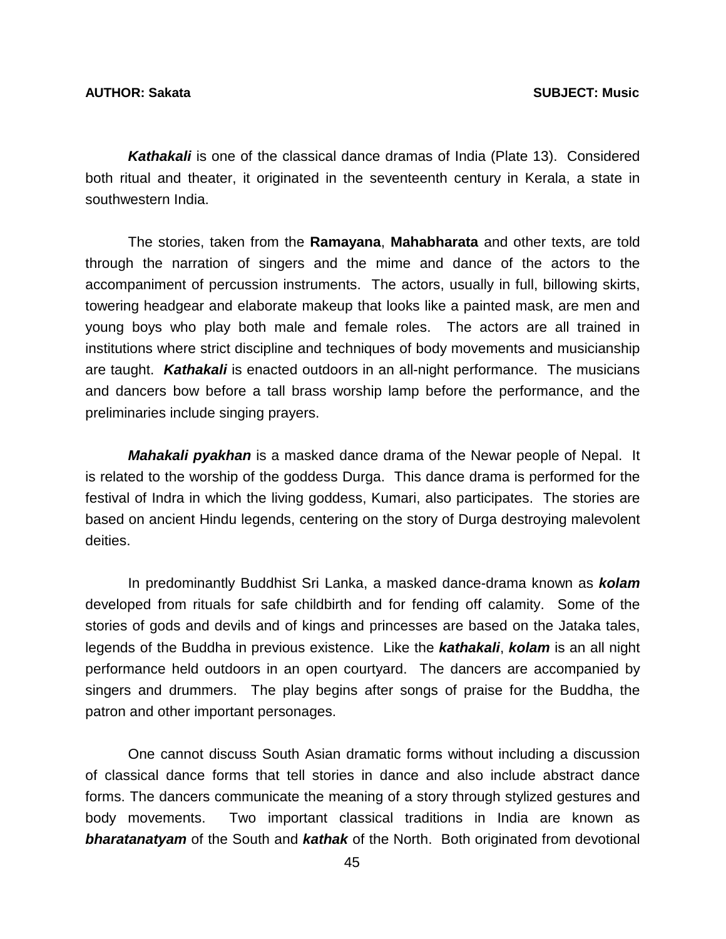*Kathakali* is one of the classical dance dramas of India (Plate 13). Considered both ritual and theater, it originated in the seventeenth century in Kerala, a state in southwestern India.

 The stories, taken from the **Ramayana**, **Mahabharata** and other texts, are told through the narration of singers and the mime and dance of the actors to the accompaniment of percussion instruments. The actors, usually in full, billowing skirts, towering headgear and elaborate makeup that looks like a painted mask, are men and young boys who play both male and female roles. The actors are all trained in institutions where strict discipline and techniques of body movements and musicianship are taught. *Kathakali* is enacted outdoors in an all-night performance. The musicians and dancers bow before a tall brass worship lamp before the performance, and the preliminaries include singing prayers.

*Mahakali pyakhan* is a masked dance drama of the Newar people of Nepal. It is related to the worship of the goddess Durga. This dance drama is performed for the festival of Indra in which the living goddess, Kumari, also participates. The stories are based on ancient Hindu legends, centering on the story of Durga destroying malevolent deities.

 In predominantly Buddhist Sri Lanka, a masked dance-drama known as *kolam* developed from rituals for safe childbirth and for fending off calamity. Some of the stories of gods and devils and of kings and princesses are based on the Jataka tales, legends of the Buddha in previous existence. Like the *kathakali*, *kolam* is an all night performance held outdoors in an open courtyard. The dancers are accompanied by singers and drummers. The play begins after songs of praise for the Buddha, the patron and other important personages.

 One cannot discuss South Asian dramatic forms without including a discussion of classical dance forms that tell stories in dance and also include abstract dance forms. The dancers communicate the meaning of a story through stylized gestures and body movements. Two important classical traditions in India are known as *bharatanatyam* of the South and *kathak* of the North. Both originated from devotional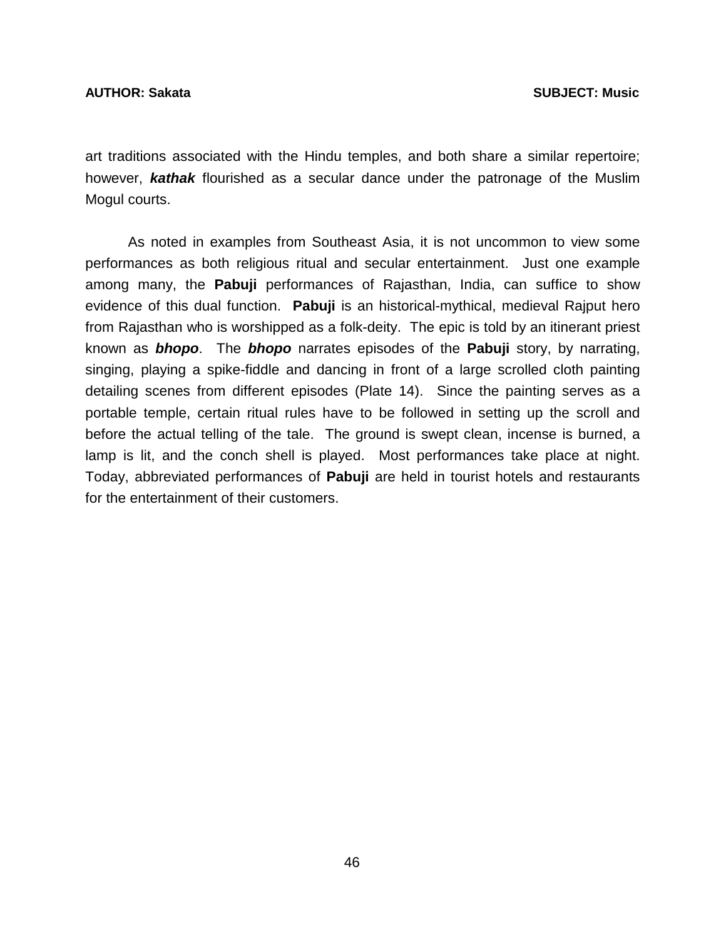art traditions associated with the Hindu temples, and both share a similar repertoire; however, *kathak* flourished as a secular dance under the patronage of the Muslim Mogul courts.

 As noted in examples from Southeast Asia, it is not uncommon to view some performances as both religious ritual and secular entertainment. Just one example among many, the **Pabuji** performances of Rajasthan, India, can suffice to show evidence of this dual function. **Pabuji** is an historical-mythical, medieval Rajput hero from Rajasthan who is worshipped as a folk-deity. The epic is told by an itinerant priest known as *bhopo*. The *bhopo* narrates episodes of the **Pabuji** story, by narrating, singing, playing a spike-fiddle and dancing in front of a large scrolled cloth painting detailing scenes from different episodes (Plate 14). Since the painting serves as a portable temple, certain ritual rules have to be followed in setting up the scroll and before the actual telling of the tale. The ground is swept clean, incense is burned, a lamp is lit, and the conch shell is played. Most performances take place at night. Today, abbreviated performances of **Pabuji** are held in tourist hotels and restaurants for the entertainment of their customers.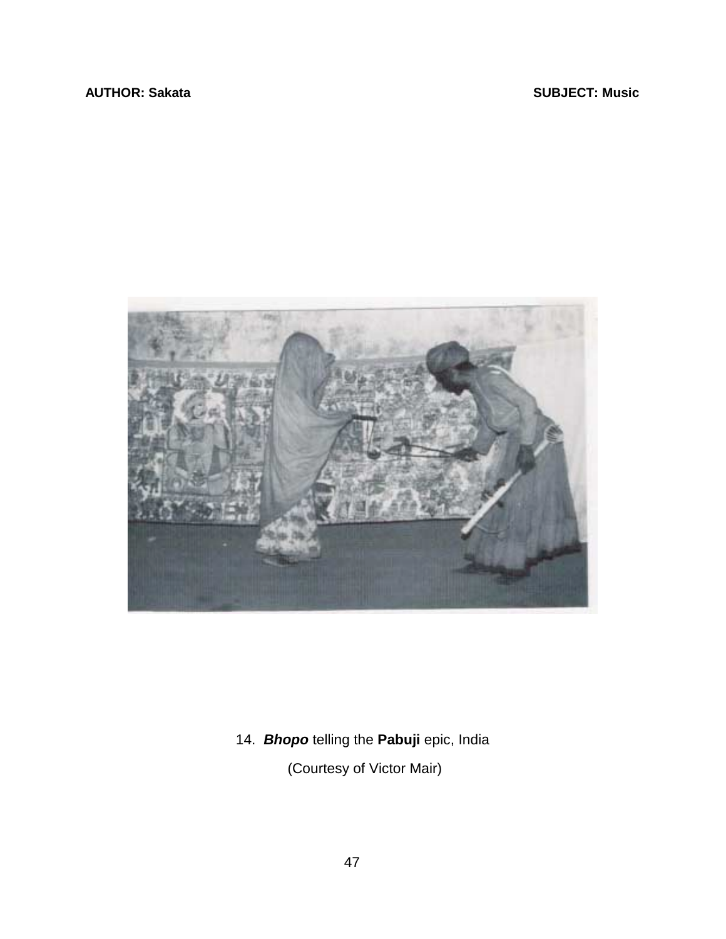

14. *Bhopo* telling the **Pabuji** epic, India

(Courtesy of Victor Mair)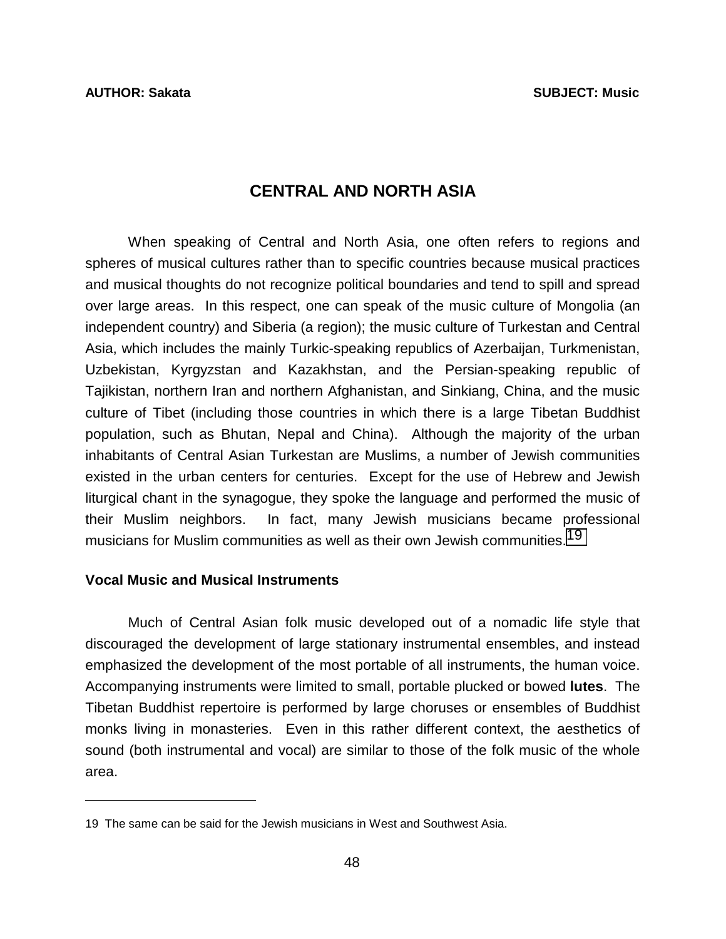# **CENTRAL AND NORTH ASIA**

 When speaking of Central and North Asia, one often refers to regions and spheres of musical cultures rather than to specific countries because musical practices and musical thoughts do not recognize political boundaries and tend to spill and spread over large areas. In this respect, one can speak of the music culture of Mongolia (an independent country) and Siberia (a region); the music culture of Turkestan and Central Asia, which includes the mainly Turkic-speaking republics of Azerbaijan, Turkmenistan, Uzbekistan, Kyrgyzstan and Kazakhstan, and the Persian-speaking republic of Tajikistan, northern Iran and northern Afghanistan, and Sinkiang, China, and the music culture of Tibet (including those countries in which there is a large Tibetan Buddhist population, such as Bhutan, Nepal and China). Although the majority of the urban inhabitants of Central Asian Turkestan are Muslims, a number of Jewish communities existed in the urban centers for centuries. Except for the use of Hebrew and Jewish liturgical chant in the synagogue, they spoke the language and performed the music of their Muslim neighbors. In fact, many Jewish musicians became professional musicians for Muslim communities as well as their own Jewish communities.<sup>19</sup>

### **Vocal Music and Musical Instruments**

 $\overline{a}$ 

 Much of Central Asian folk music developed out of a nomadic life style that discouraged the development of large stationary instrumental ensembles, and instead emphasized the development of the most portable of all instruments, the human voice. Accompanying instruments were limited to small, portable plucked or bowed **lutes**. The Tibetan Buddhist repertoire is performed by large choruses or ensembles of Buddhist monks living in monasteries. Even in this rather different context, the aesthetics of sound (both instrumental and vocal) are similar to those of the folk music of the whole area.

<sup>19</sup> The same can be said for the Jewish musicians in West and Southwest Asia.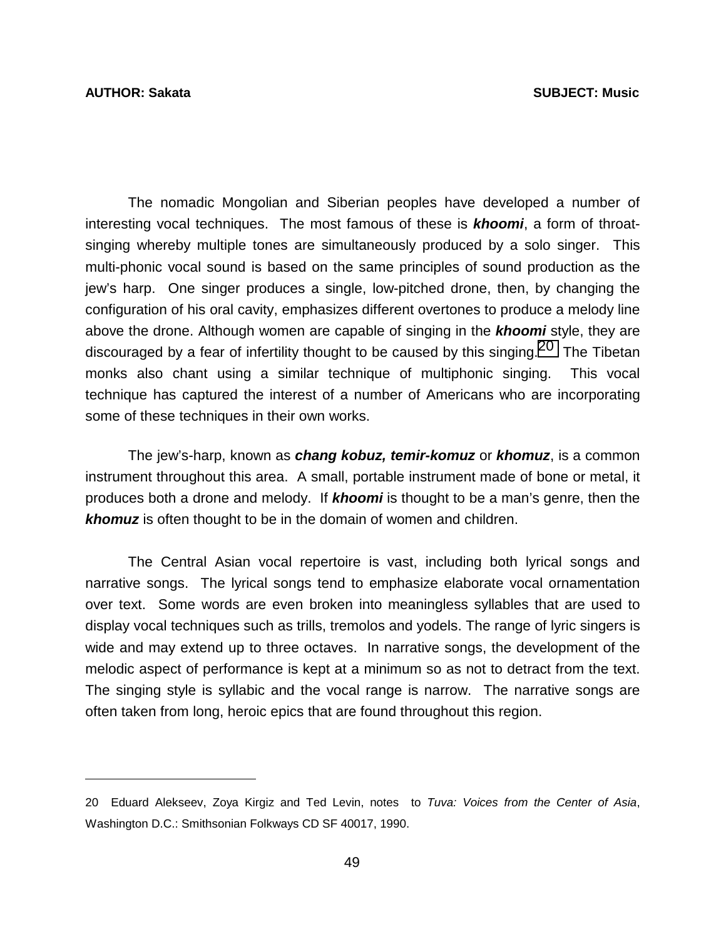$\overline{a}$ 

 The nomadic Mongolian and Siberian peoples have developed a number of interesting vocal techniques. The most famous of these is *khoomi*, a form of throatsinging whereby multiple tones are simultaneously produced by a solo singer. This multi-phonic vocal sound is based on the same principles of sound production as the jew's harp. One singer produces a single, low-pitched drone, then, by changing the configuration of his oral cavity, emphasizes different overtones to produce a melody line above the drone. Although women are capable of singing in the *khoomi* style, they are discouraged by a fear of infertility thought to be caused by this singing.<sup>20</sup> The Tibetan monks also chant using a similar technique of multiphonic singing. This vocal technique has captured the interest of a number of Americans who are incorporating some of these techniques in their own works.

 The jew's-harp, known as *chang kobuz, temir-komuz* or *khomuz*, is a common instrument throughout this area. A small, portable instrument made of bone or metal, it produces both a drone and melody. If *khoomi* is thought to be a man's genre, then the *khomuz* is often thought to be in the domain of women and children.

 The Central Asian vocal repertoire is vast, including both lyrical songs and narrative songs. The lyrical songs tend to emphasize elaborate vocal ornamentation over text. Some words are even broken into meaningless syllables that are used to display vocal techniques such as trills, tremolos and yodels. The range of lyric singers is wide and may extend up to three octaves. In narrative songs, the development of the melodic aspect of performance is kept at a minimum so as not to detract from the text. The singing style is syllabic and the vocal range is narrow. The narrative songs are often taken from long, heroic epics that are found throughout this region.

<sup>20</sup> Eduard Alekseev, Zoya Kirgiz and Ted Levin, notes to *Tuva: Voices from the Center of Asia*, Washington D.C.: Smithsonian Folkways CD SF 40017, 1990.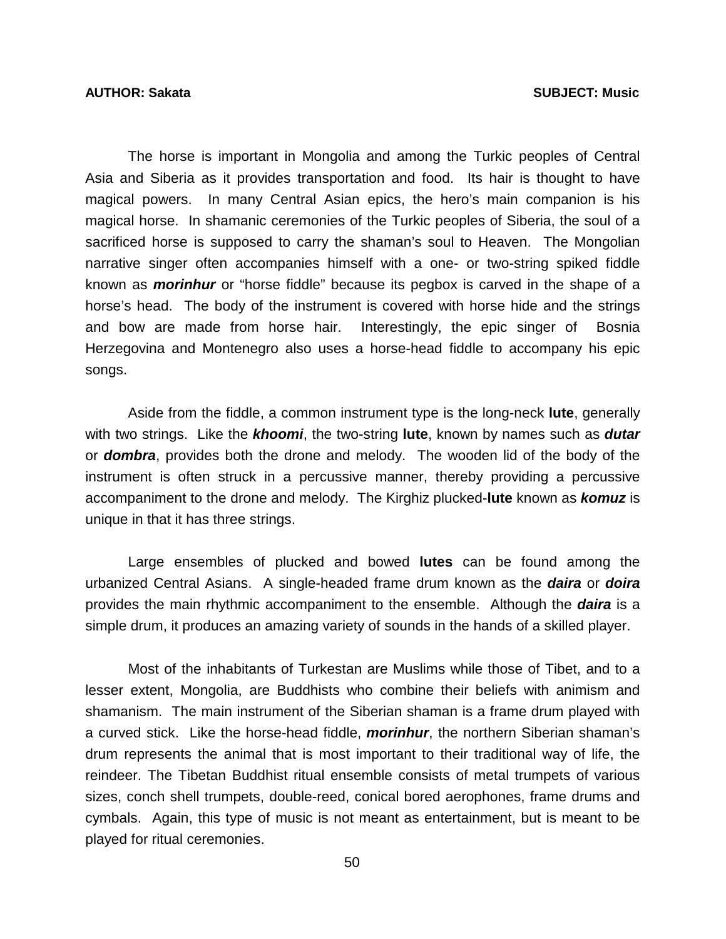The horse is important in Mongolia and among the Turkic peoples of Central Asia and Siberia as it provides transportation and food. Its hair is thought to have magical powers. In many Central Asian epics, the hero's main companion is his magical horse. In shamanic ceremonies of the Turkic peoples of Siberia, the soul of a sacrificed horse is supposed to carry the shaman's soul to Heaven. The Mongolian narrative singer often accompanies himself with a one- or two-string spiked fiddle known as *morinhur* or "horse fiddle" because its pegbox is carved in the shape of a horse's head. The body of the instrument is covered with horse hide and the strings and bow are made from horse hair. Interestingly, the epic singer of Bosnia Herzegovina and Montenegro also uses a horse-head fiddle to accompany his epic songs.

 Aside from the fiddle, a common instrument type is the long-neck **lute**, generally with two strings. Like the *khoomi*, the two-string **lute**, known by names such as *dutar* or *dombra*, provides both the drone and melody. The wooden lid of the body of the instrument is often struck in a percussive manner, thereby providing a percussive accompaniment to the drone and melody. The Kirghiz plucked-**lute** known as *komuz* is unique in that it has three strings.

 Large ensembles of plucked and bowed **lutes** can be found among the urbanized Central Asians. A single-headed frame drum known as the *daira* or *doira* provides the main rhythmic accompaniment to the ensemble. Although the *daira* is a simple drum, it produces an amazing variety of sounds in the hands of a skilled player.

 Most of the inhabitants of Turkestan are Muslims while those of Tibet, and to a lesser extent, Mongolia, are Buddhists who combine their beliefs with animism and shamanism. The main instrument of the Siberian shaman is a frame drum played with a curved stick. Like the horse-head fiddle, *morinhur*, the northern Siberian shaman's drum represents the animal that is most important to their traditional way of life, the reindeer. The Tibetan Buddhist ritual ensemble consists of metal trumpets of various sizes, conch shell trumpets, double-reed, conical bored aerophones, frame drums and cymbals. Again, this type of music is not meant as entertainment, but is meant to be played for ritual ceremonies.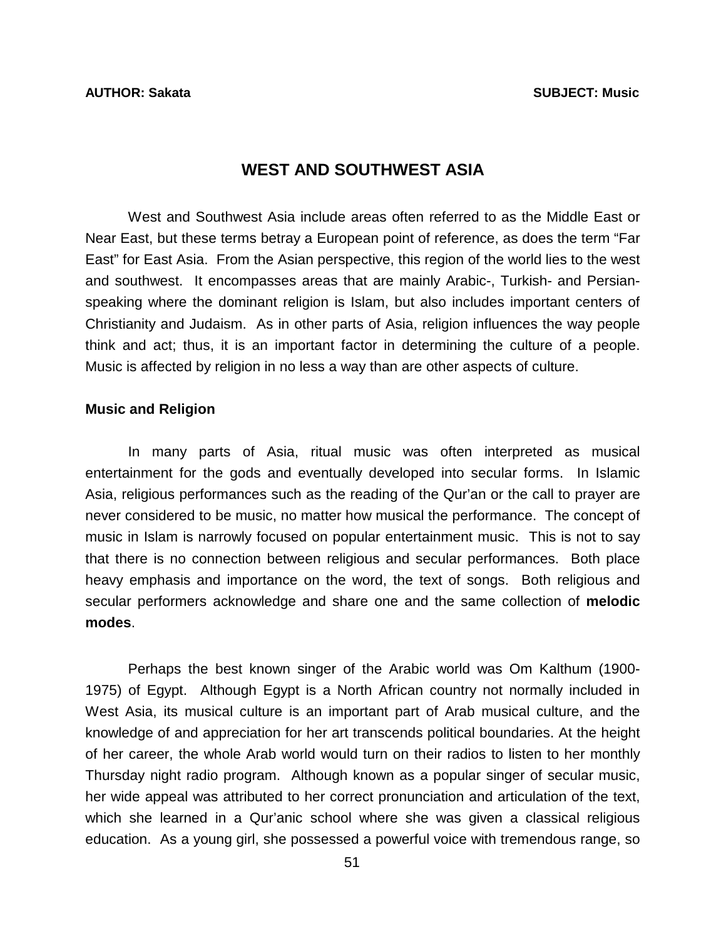# **WEST AND SOUTHWEST ASIA**

 West and Southwest Asia include areas often referred to as the Middle East or Near East, but these terms betray a European point of reference, as does the term "Far East" for East Asia. From the Asian perspective, this region of the world lies to the west and southwest. It encompasses areas that are mainly Arabic-, Turkish- and Persianspeaking where the dominant religion is Islam, but also includes important centers of Christianity and Judaism. As in other parts of Asia, religion influences the way people think and act; thus, it is an important factor in determining the culture of a people. Music is affected by religion in no less a way than are other aspects of culture.

### **Music and Religion**

 In many parts of Asia, ritual music was often interpreted as musical entertainment for the gods and eventually developed into secular forms. In Islamic Asia, religious performances such as the reading of the Qur'an or the call to prayer are never considered to be music, no matter how musical the performance. The concept of music in Islam is narrowly focused on popular entertainment music. This is not to say that there is no connection between religious and secular performances. Both place heavy emphasis and importance on the word, the text of songs. Both religious and secular performers acknowledge and share one and the same collection of **melodic modes**.

 Perhaps the best known singer of the Arabic world was Om Kalthum (1900- 1975) of Egypt. Although Egypt is a North African country not normally included in West Asia, its musical culture is an important part of Arab musical culture, and the knowledge of and appreciation for her art transcends political boundaries. At the height of her career, the whole Arab world would turn on their radios to listen to her monthly Thursday night radio program. Although known as a popular singer of secular music, her wide appeal was attributed to her correct pronunciation and articulation of the text, which she learned in a Qur'anic school where she was given a classical religious education. As a young girl, she possessed a powerful voice with tremendous range, so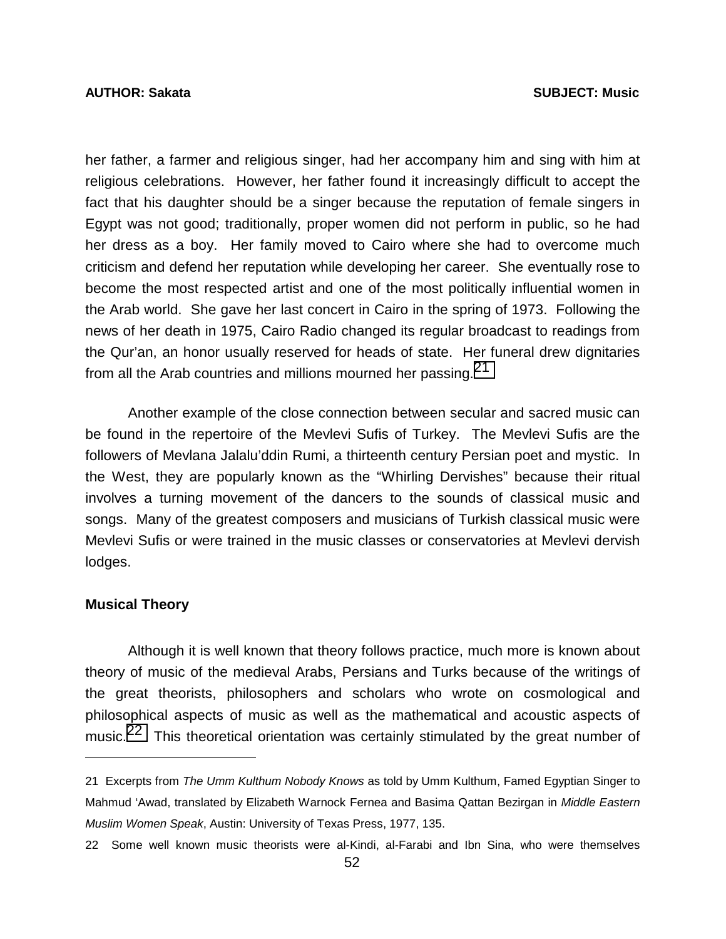### **AUTHOR: Sakata SUBJECT: Music**

her father, a farmer and religious singer, had her accompany him and sing with him at religious celebrations. However, her father found it increasingly difficult to accept the fact that his daughter should be a singer because the reputation of female singers in Egypt was not good; traditionally, proper women did not perform in public, so he had her dress as a boy. Her family moved to Cairo where she had to overcome much criticism and defend her reputation while developing her career. She eventually rose to become the most respected artist and one of the most politically influential women in the Arab world. She gave her last concert in Cairo in the spring of 1973. Following the news of her death in 1975, Cairo Radio changed its regular broadcast to readings from the Qur'an, an honor usually reserved for heads of state. Her funeral drew dignitaries from all the Arab countries and millions mourned her passing.21

 Another example of the close connection between secular and sacred music can be found in the repertoire of the Mevlevi Sufis of Turkey. The Mevlevi Sufis are the followers of Mevlana Jalalu'ddin Rumi, a thirteenth century Persian poet and mystic. In the West, they are popularly known as the "Whirling Dervishes" because their ritual involves a turning movement of the dancers to the sounds of classical music and songs. Many of the greatest composers and musicians of Turkish classical music were Mevlevi Sufis or were trained in the music classes or conservatories at Mevlevi dervish lodges.

### **Musical Theory**

 $\overline{a}$ 

 Although it is well known that theory follows practice, much more is known about theory of music of the medieval Arabs, Persians and Turks because of the writings of the great theorists, philosophers and scholars who wrote on cosmological and philosophical aspects of music as well as the mathematical and acoustic aspects of music.<sup>22</sup> This theoretical orientation was certainly stimulated by the great number of

<sup>21</sup> Excerpts from *The Umm Kulthum Nobody Knows* as told by Umm Kulthum, Famed Egyptian Singer to Mahmud 'Awad, translated by Elizabeth Warnock Fernea and Basima Qattan Bezirgan in *Middle Eastern Muslim Women Speak*, Austin: University of Texas Press, 1977, 135.

<sup>22</sup> Some well known music theorists were al-Kindi, al-Farabi and Ibn Sina, who were themselves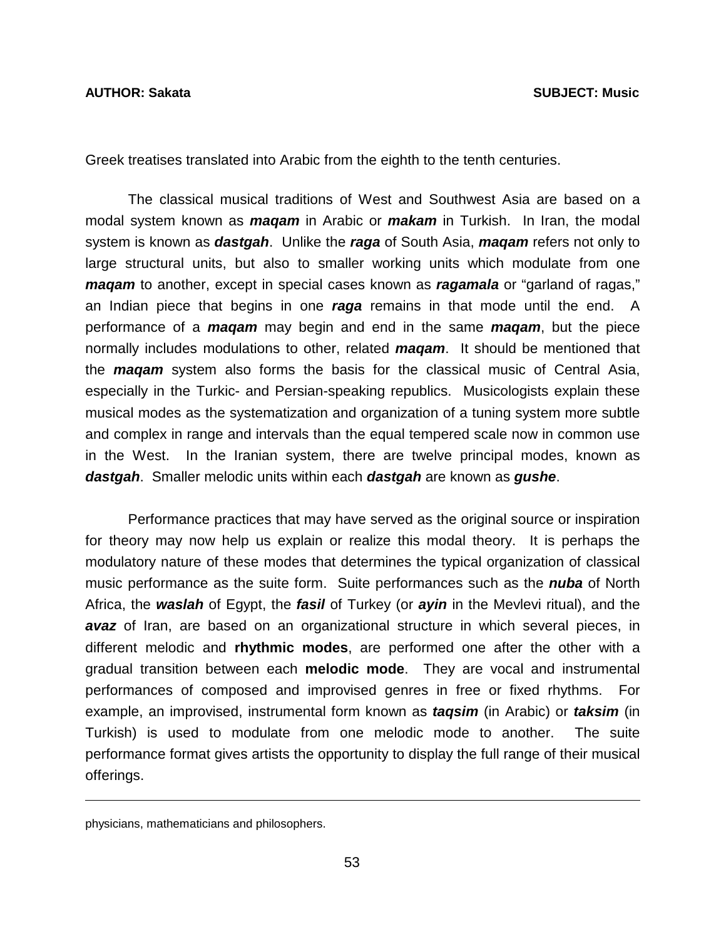Greek treatises translated into Arabic from the eighth to the tenth centuries.

 The classical musical traditions of West and Southwest Asia are based on a modal system known as *maqam* in Arabic or *makam* in Turkish. In Iran, the modal system is known as *dastgah*. Unlike the *raga* of South Asia, *maqam* refers not only to large structural units, but also to smaller working units which modulate from one *maqam* to another, except in special cases known as *ragamala* or "garland of ragas," an Indian piece that begins in one *raga* remains in that mode until the end. A performance of a *maqam* may begin and end in the same *maqam*, but the piece normally includes modulations to other, related *maqam*. It should be mentioned that the *maqam* system also forms the basis for the classical music of Central Asia, especially in the Turkic- and Persian-speaking republics. Musicologists explain these musical modes as the systematization and organization of a tuning system more subtle and complex in range and intervals than the equal tempered scale now in common use in the West. In the Iranian system, there are twelve principal modes, known as *dastgah*. Smaller melodic units within each *dastgah* are known as *gushe*.

 Performance practices that may have served as the original source or inspiration for theory may now help us explain or realize this modal theory. It is perhaps the modulatory nature of these modes that determines the typical organization of classical music performance as the suite form. Suite performances such as the *nuba* of North Africa, the *waslah* of Egypt, the *fasil* of Turkey (or *ayin* in the Mevlevi ritual), and the *avaz* of Iran, are based on an organizational structure in which several pieces, in different melodic and **rhythmic modes**, are performed one after the other with a gradual transition between each **melodic mode**. They are vocal and instrumental performances of composed and improvised genres in free or fixed rhythms. For example, an improvised, instrumental form known as *taqsim* (in Arabic) or *taksim* (in Turkish) is used to modulate from one melodic mode to another. The suite performance format gives artists the opportunity to display the full range of their musical offerings.

 $\overline{a}$ 

physicians, mathematicians and philosophers.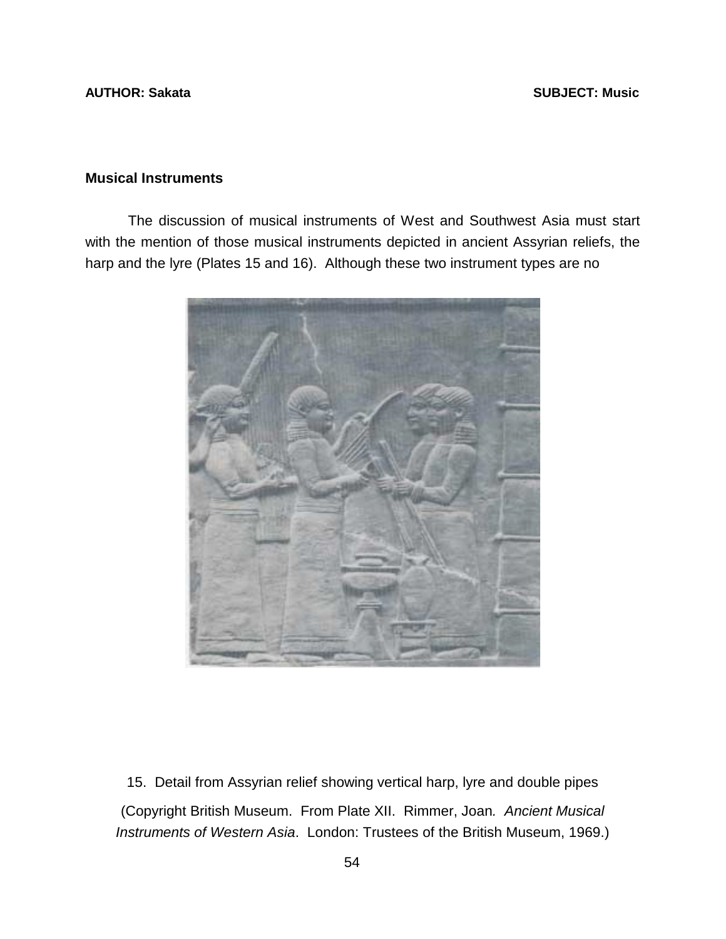## **AUTHOR: Sakata** SUBJECT: Music **SUBJECT: Music**

# **Musical Instruments**

 The discussion of musical instruments of West and Southwest Asia must start with the mention of those musical instruments depicted in ancient Assyrian reliefs, the harp and the lyre (Plates 15 and 16). Although these two instrument types are no



15. Detail from Assyrian relief showing vertical harp, lyre and double pipes (Copyright British Museum. From Plate XII. Rimmer, Joan*. Ancient Musical Instruments of Western Asia*. London: Trustees of the British Museum, 1969.)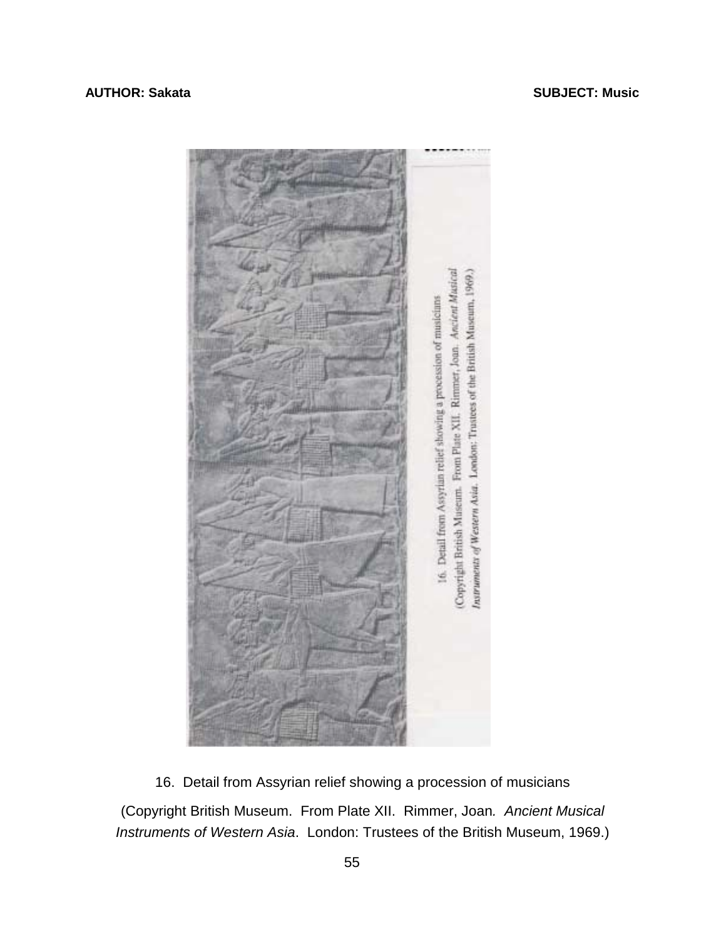

16. Detail from Assyrian relief showing a procession of musicians (Copyright British Museum. From Plate XII. Rimmer, Joan*. Ancient Musical Instruments of Western Asia*. London: Trustees of the British Museum, 1969.)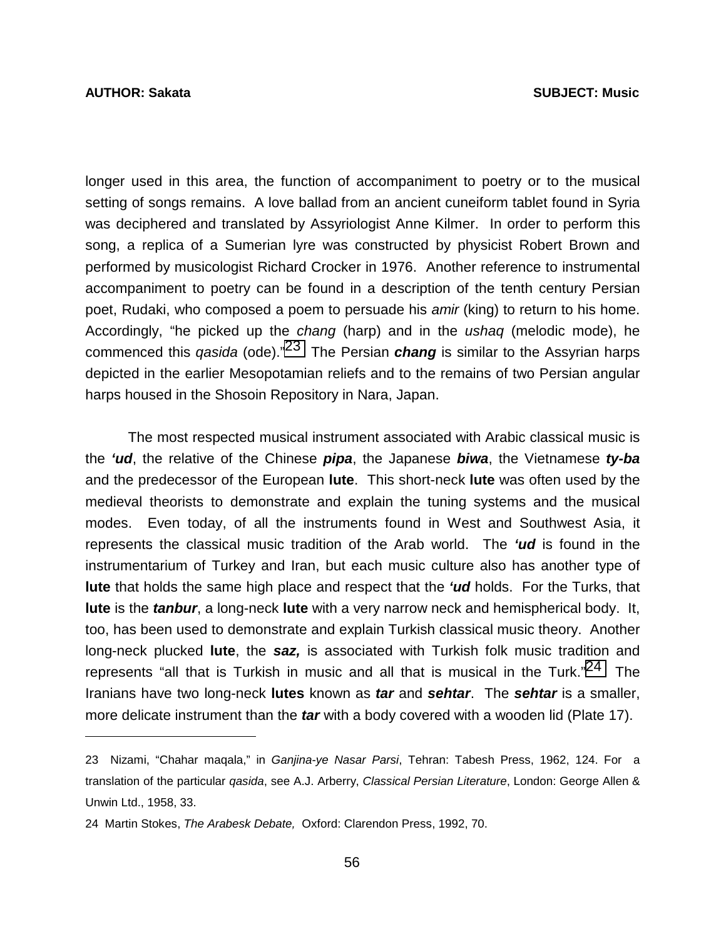l

longer used in this area, the function of accompaniment to poetry or to the musical setting of songs remains. A love ballad from an ancient cuneiform tablet found in Syria was deciphered and translated by Assyriologist Anne Kilmer. In order to perform this song, a replica of a Sumerian lyre was constructed by physicist Robert Brown and performed by musicologist Richard Crocker in 1976. Another reference to instrumental accompaniment to poetry can be found in a description of the tenth century Persian poet, Rudaki, who composed a poem to persuade his *amir* (king) to return to his home. Accordingly, "he picked up the *chang* (harp) and in the *ushaq* (melodic mode), he commenced this *qasida* (ode)."23 The Persian *chang* is similar to the Assyrian harps depicted in the earlier Mesopotamian reliefs and to the remains of two Persian angular harps housed in the Shosoin Repository in Nara, Japan.

 The most respected musical instrument associated with Arabic classical music is the *'ud*, the relative of the Chinese *pipa*, the Japanese *biwa*, the Vietnamese *ty-ba* and the predecessor of the European **lute**. This short-neck **lute** was often used by the medieval theorists to demonstrate and explain the tuning systems and the musical modes. Even today, of all the instruments found in West and Southwest Asia, it represents the classical music tradition of the Arab world. The *'ud* is found in the instrumentarium of Turkey and Iran, but each music culture also has another type of **lute** that holds the same high place and respect that the *'ud* holds. For the Turks, that **lute** is the *tanbur*, a long-neck **lute** with a very narrow neck and hemispherical body. It, too, has been used to demonstrate and explain Turkish classical music theory. Another long-neck plucked **lute**, the *saz,* is associated with Turkish folk music tradition and represents "all that is Turkish in music and all that is musical in the Turk."<sup>24</sup> The Iranians have two long-neck **lutes** known as *tar* and *sehtar*. The *sehtar* is a smaller, more delicate instrument than the *tar* with a body covered with a wooden lid (Plate 17).

<sup>23</sup> Nizami, "Chahar maqala," in *Ganjina-ye Nasar Parsi*, Tehran: Tabesh Press, 1962, 124. For a translation of the particular *qasida*, see A.J. Arberry, *Classical Persian Literature*, London: George Allen & Unwin Ltd., 1958, 33.

<sup>24</sup> Martin Stokes, *The Arabesk Debate,* Oxford: Clarendon Press, 1992, 70.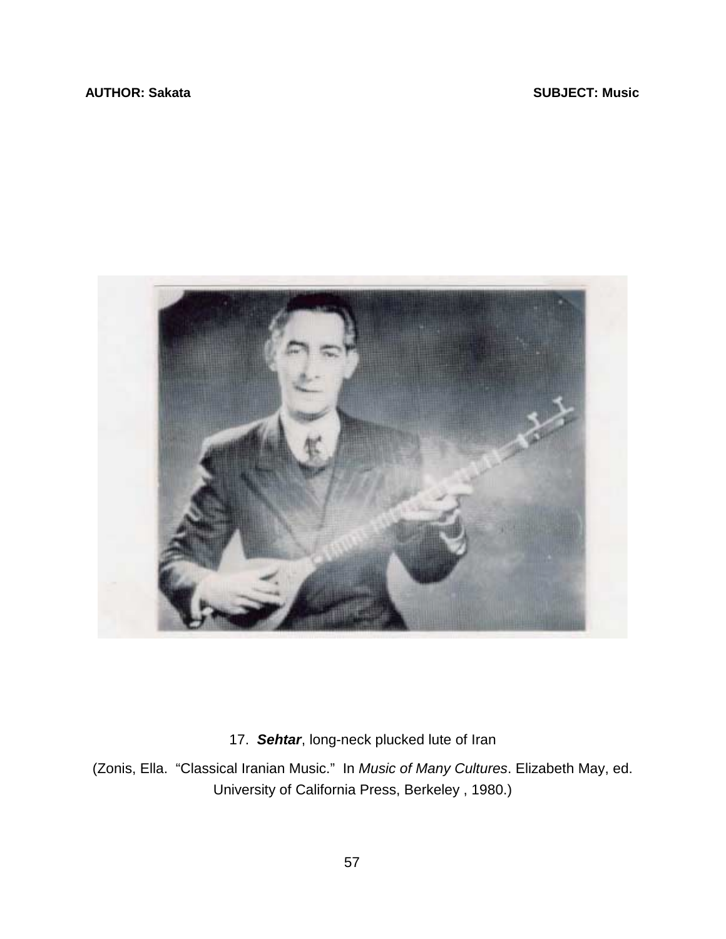### **AUTHOR: Sakata** SUBJECT: Music **SUBJECT: Music**



17. *Sehtar*, long-neck plucked lute of Iran

(Zonis, Ella. "Classical Iranian Music." In *Music of Many Cultures*. Elizabeth May, ed. University of California Press, Berkeley , 1980.)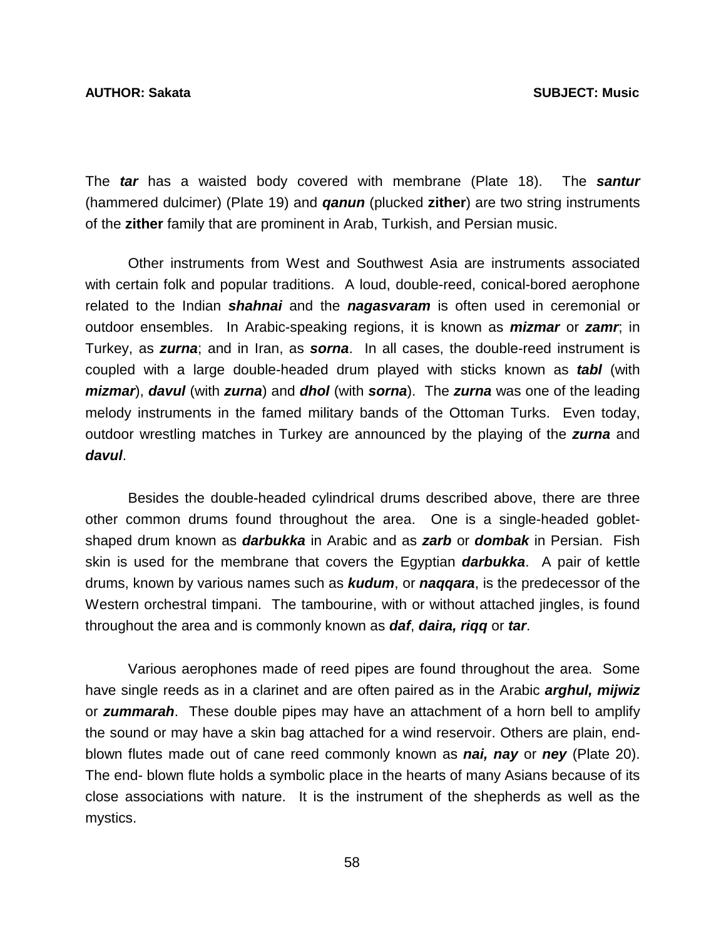The *tar* has a waisted body covered with membrane (Plate 18). The *santur* (hammered dulcimer) (Plate 19) and *qanun* (plucked **zither**) are two string instruments of the **zither** family that are prominent in Arab, Turkish, and Persian music.

 Other instruments from West and Southwest Asia are instruments associated with certain folk and popular traditions. A loud, double-reed, conical-bored aerophone related to the Indian *shahnai* and the *nagasvaram* is often used in ceremonial or outdoor ensembles. In Arabic-speaking regions, it is known as *mizmar* or *zamr*; in Turkey, as *zurna*; and in Iran, as *sorna*. In all cases, the double-reed instrument is coupled with a large double-headed drum played with sticks known as *tabl* (with *mizmar*), *davul* (with *zurna*) and *dhol* (with *sorna*). The *zurna* was one of the leading melody instruments in the famed military bands of the Ottoman Turks. Even today, outdoor wrestling matches in Turkey are announced by the playing of the *zurna* and *davul*.

 Besides the double-headed cylindrical drums described above, there are three other common drums found throughout the area. One is a single-headed gobletshaped drum known as *darbukka* in Arabic and as *zarb* or *dombak* in Persian. Fish skin is used for the membrane that covers the Egyptian *darbukka*. A pair of kettle drums, known by various names such as *kudum*, or *naqqara*, is the predecessor of the Western orchestral timpani. The tambourine, with or without attached jingles, is found throughout the area and is commonly known as *daf*, *daira, riqq* or *tar*.

 Various aerophones made of reed pipes are found throughout the area. Some have single reeds as in a clarinet and are often paired as in the Arabic *arghul, mijwiz*  or *zummarah*. These double pipes may have an attachment of a horn bell to amplify the sound or may have a skin bag attached for a wind reservoir. Others are plain, endblown flutes made out of cane reed commonly known as *nai, nay* or *ney* (Plate 20). The end- blown flute holds a symbolic place in the hearts of many Asians because of its close associations with nature. It is the instrument of the shepherds as well as the mystics.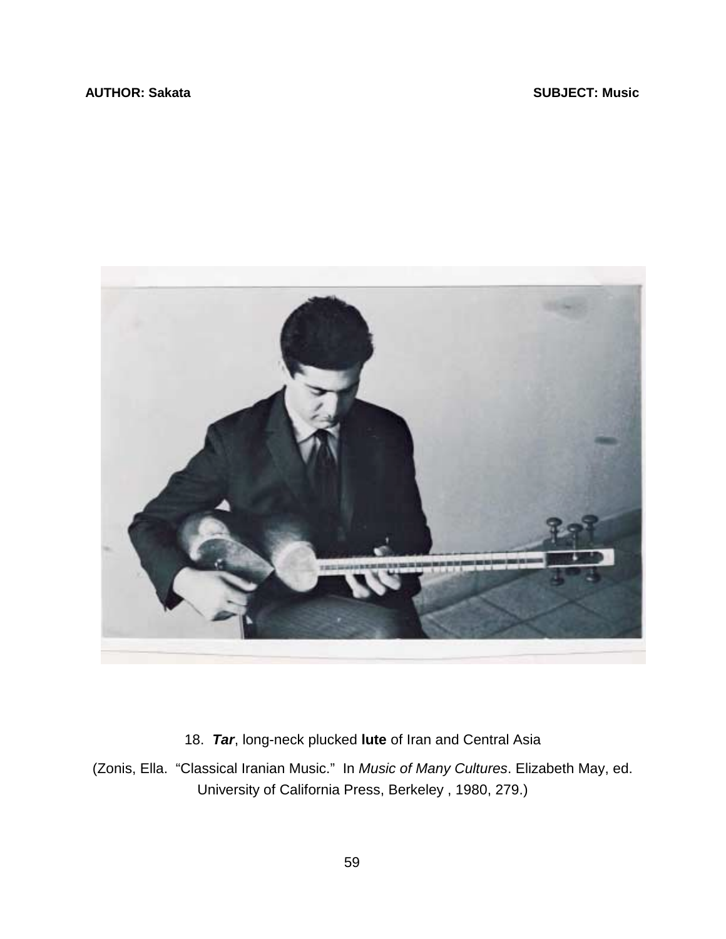

18. *Tar*, long-neck plucked **lute** of Iran and Central Asia

(Zonis, Ella. "Classical Iranian Music." In *Music of Many Cultures*. Elizabeth May, ed. University of California Press, Berkeley , 1980, 279.)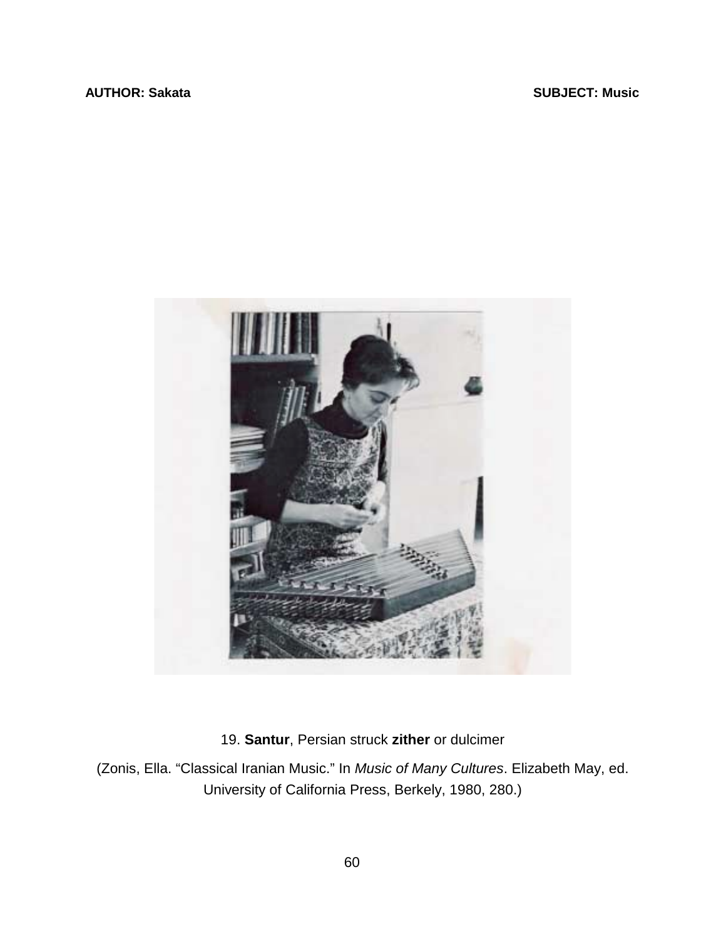

19. **Santur**, Persian struck **zither** or dulcimer

(Zonis, Ella. "Classical Iranian Music." In *Music of Many Cultures*. Elizabeth May, ed. University of California Press, Berkely, 1980, 280.)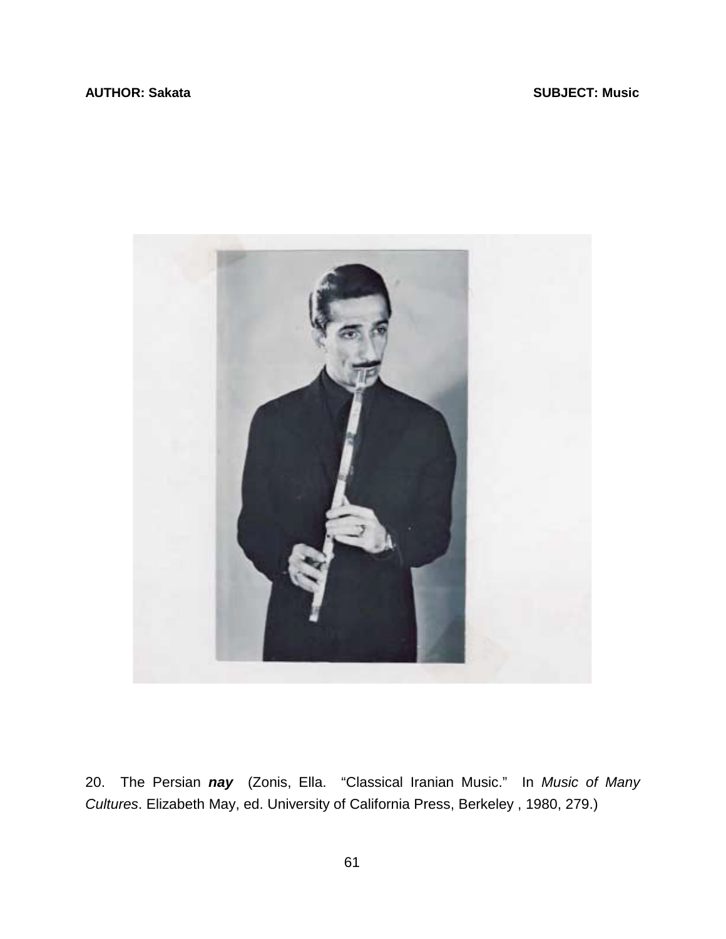

20. The Persian *nay* (Zonis, Ella. "Classical Iranian Music." In *Music of Many Cultures*. Elizabeth May, ed. University of California Press, Berkeley , 1980, 279.)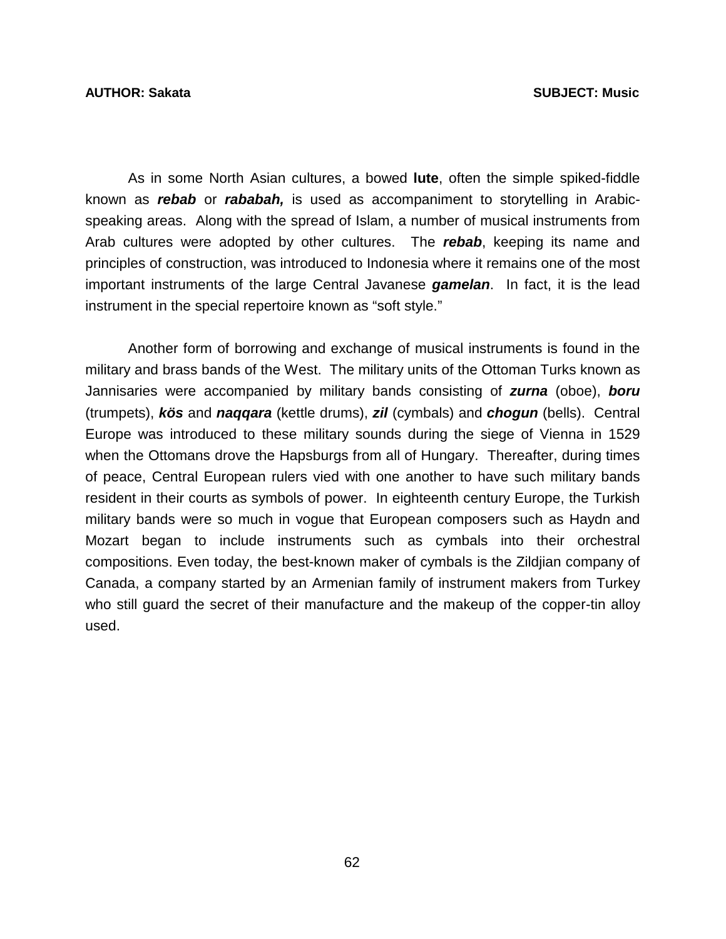As in some North Asian cultures, a bowed **lute**, often the simple spiked-fiddle known as *rebab* or *rababah,* is used as accompaniment to storytelling in Arabicspeaking areas. Along with the spread of Islam, a number of musical instruments from Arab cultures were adopted by other cultures. The *rebab*, keeping its name and principles of construction, was introduced to Indonesia where it remains one of the most important instruments of the large Central Javanese *gamelan*. In fact, it is the lead instrument in the special repertoire known as "soft style."

 Another form of borrowing and exchange of musical instruments is found in the military and brass bands of the West. The military units of the Ottoman Turks known as Jannisaries were accompanied by military bands consisting of *zurna* (oboe), *boru* (trumpets), *kös* and *naqqara* (kettle drums), *zil* (cymbals) and *chogun* (bells). Central Europe was introduced to these military sounds during the siege of Vienna in 1529 when the Ottomans drove the Hapsburgs from all of Hungary. Thereafter, during times of peace, Central European rulers vied with one another to have such military bands resident in their courts as symbols of power. In eighteenth century Europe, the Turkish military bands were so much in vogue that European composers such as Haydn and Mozart began to include instruments such as cymbals into their orchestral compositions. Even today, the best-known maker of cymbals is the Zildjian company of Canada, a company started by an Armenian family of instrument makers from Turkey who still guard the secret of their manufacture and the makeup of the copper-tin alloy used.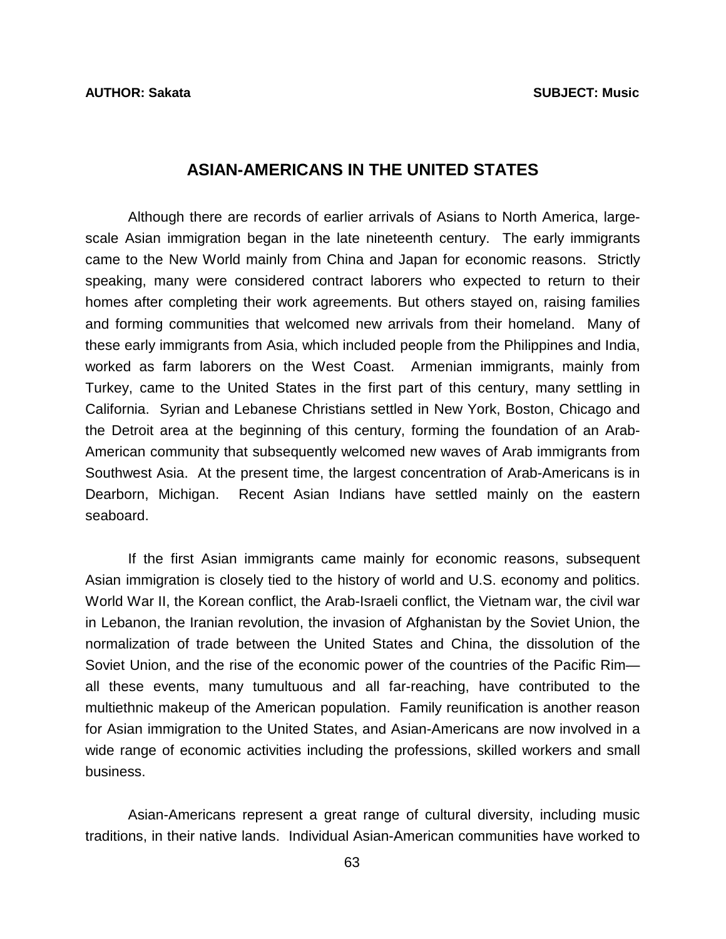# **ASIAN-AMERICANS IN THE UNITED STATES**

 Although there are records of earlier arrivals of Asians to North America, largescale Asian immigration began in the late nineteenth century. The early immigrants came to the New World mainly from China and Japan for economic reasons. Strictly speaking, many were considered contract laborers who expected to return to their homes after completing their work agreements. But others stayed on, raising families and forming communities that welcomed new arrivals from their homeland. Many of these early immigrants from Asia, which included people from the Philippines and India, worked as farm laborers on the West Coast. Armenian immigrants, mainly from Turkey, came to the United States in the first part of this century, many settling in California. Syrian and Lebanese Christians settled in New York, Boston, Chicago and the Detroit area at the beginning of this century, forming the foundation of an Arab-American community that subsequently welcomed new waves of Arab immigrants from Southwest Asia. At the present time, the largest concentration of Arab-Americans is in Dearborn, Michigan. Recent Asian Indians have settled mainly on the eastern seaboard.

 If the first Asian immigrants came mainly for economic reasons, subsequent Asian immigration is closely tied to the history of world and U.S. economy and politics. World War II, the Korean conflict, the Arab-Israeli conflict, the Vietnam war, the civil war in Lebanon, the Iranian revolution, the invasion of Afghanistan by the Soviet Union, the normalization of trade between the United States and China, the dissolution of the Soviet Union, and the rise of the economic power of the countries of the Pacific Rim all these events, many tumultuous and all far-reaching, have contributed to the multiethnic makeup of the American population. Family reunification is another reason for Asian immigration to the United States, and Asian-Americans are now involved in a wide range of economic activities including the professions, skilled workers and small business.

 Asian-Americans represent a great range of cultural diversity, including music traditions, in their native lands. Individual Asian-American communities have worked to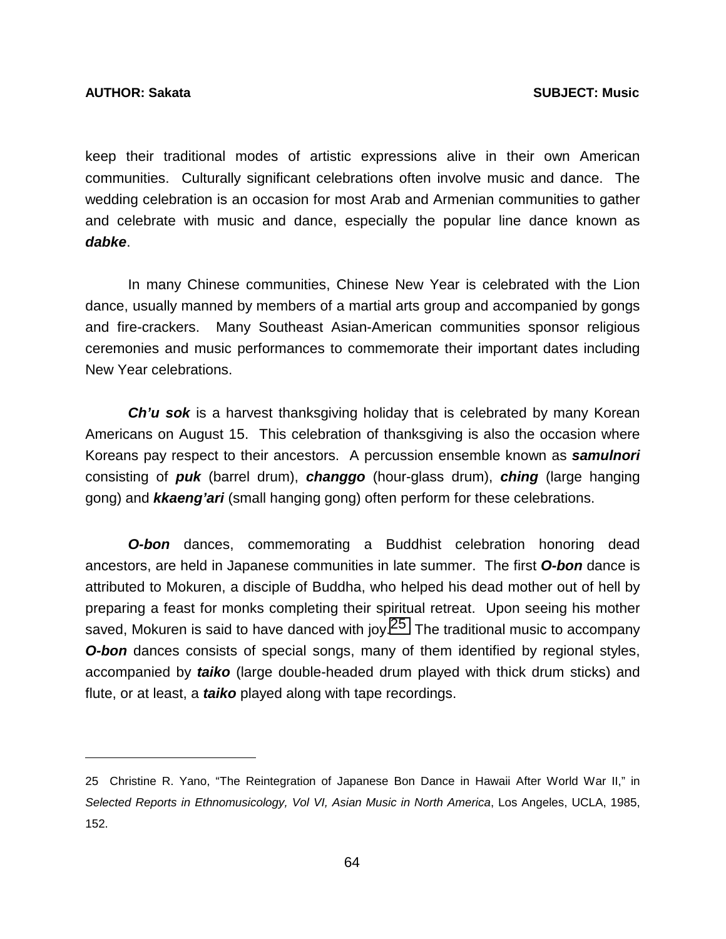l

keep their traditional modes of artistic expressions alive in their own American communities. Culturally significant celebrations often involve music and dance. The wedding celebration is an occasion for most Arab and Armenian communities to gather and celebrate with music and dance, especially the popular line dance known as *dabke*.

 In many Chinese communities, Chinese New Year is celebrated with the Lion dance, usually manned by members of a martial arts group and accompanied by gongs and fire-crackers. Many Southeast Asian-American communities sponsor religious ceremonies and music performances to commemorate their important dates including New Year celebrations.

 *Ch'u sok* is a harvest thanksgiving holiday that is celebrated by many Korean Americans on August 15. This celebration of thanksgiving is also the occasion where Koreans pay respect to their ancestors. A percussion ensemble known as *samulnori* consisting of *puk* (barrel drum), *changgo* (hour-glass drum), *ching* (large hanging gong) and *kkaeng'ari* (small hanging gong) often perform for these celebrations.

**O-bon** dances, commemorating a Buddhist celebration honoring dead ancestors, are held in Japanese communities in late summer. The first *O-bon* dance is attributed to Mokuren, a disciple of Buddha, who helped his dead mother out of hell by preparing a feast for monks completing their spiritual retreat. Upon seeing his mother saved, Mokuren is said to have danced with joy.<sup>25</sup> The traditional music to accompany **O-bon** dances consists of special songs, many of them identified by regional styles, accompanied by *taiko* (large double-headed drum played with thick drum sticks) and flute, or at least, a *taiko* played along with tape recordings.

<sup>25</sup> Christine R. Yano, "The Reintegration of Japanese Bon Dance in Hawaii After World War II," in *Selected Reports in Ethnomusicology, Vol VI, Asian Music in North America*, Los Angeles, UCLA, 1985, 152.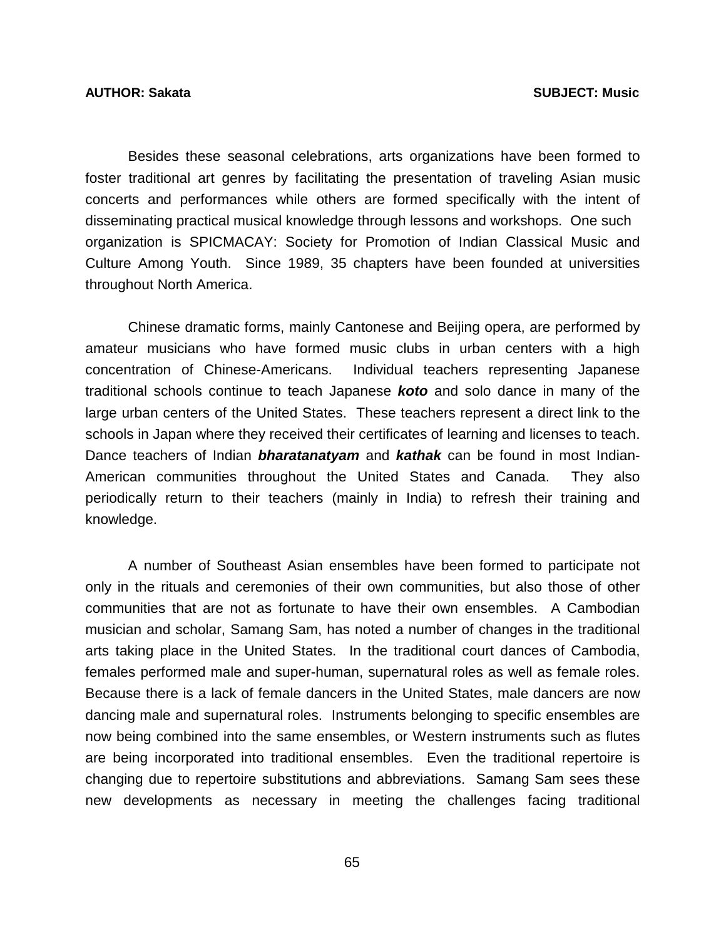Besides these seasonal celebrations, arts organizations have been formed to foster traditional art genres by facilitating the presentation of traveling Asian music concerts and performances while others are formed specifically with the intent of disseminating practical musical knowledge through lessons and workshops. One such organization is SPICMACAY: Society for Promotion of Indian Classical Music and Culture Among Youth. Since 1989, 35 chapters have been founded at universities throughout North America.

 Chinese dramatic forms, mainly Cantonese and Beijing opera, are performed by amateur musicians who have formed music clubs in urban centers with a high concentration of Chinese-Americans. Individual teachers representing Japanese traditional schools continue to teach Japanese *koto* and solo dance in many of the large urban centers of the United States. These teachers represent a direct link to the schools in Japan where they received their certificates of learning and licenses to teach. Dance teachers of Indian *bharatanatyam* and *kathak* can be found in most Indian-American communities throughout the United States and Canada. They also periodically return to their teachers (mainly in India) to refresh their training and knowledge.

 A number of Southeast Asian ensembles have been formed to participate not only in the rituals and ceremonies of their own communities, but also those of other communities that are not as fortunate to have their own ensembles. A Cambodian musician and scholar, Samang Sam, has noted a number of changes in the traditional arts taking place in the United States. In the traditional court dances of Cambodia, females performed male and super-human, supernatural roles as well as female roles. Because there is a lack of female dancers in the United States, male dancers are now dancing male and supernatural roles. Instruments belonging to specific ensembles are now being combined into the same ensembles, or Western instruments such as flutes are being incorporated into traditional ensembles. Even the traditional repertoire is changing due to repertoire substitutions and abbreviations. Samang Sam sees these new developments as necessary in meeting the challenges facing traditional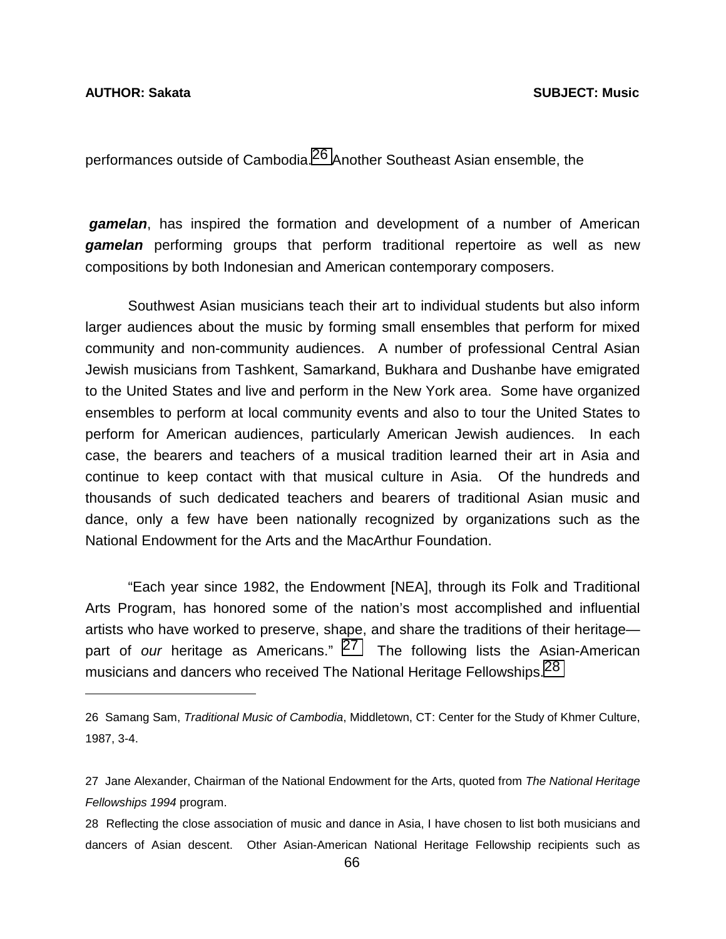l

performances outside of Cambodia.<sup>26</sup> Another Southeast Asian ensemble, the

*gamelan*, has inspired the formation and development of a number of American *gamelan* performing groups that perform traditional repertoire as well as new compositions by both Indonesian and American contemporary composers.

 Southwest Asian musicians teach their art to individual students but also inform larger audiences about the music by forming small ensembles that perform for mixed community and non-community audiences. A number of professional Central Asian Jewish musicians from Tashkent, Samarkand, Bukhara and Dushanbe have emigrated to the United States and live and perform in the New York area. Some have organized ensembles to perform at local community events and also to tour the United States to perform for American audiences, particularly American Jewish audiences. In each case, the bearers and teachers of a musical tradition learned their art in Asia and continue to keep contact with that musical culture in Asia. Of the hundreds and thousands of such dedicated teachers and bearers of traditional Asian music and dance, only a few have been nationally recognized by organizations such as the National Endowment for the Arts and the MacArthur Foundation.

 "Each year since 1982, the Endowment [NEA], through its Folk and Traditional Arts Program, has honored some of the nation's most accomplished and influential artists who have worked to preserve, shape, and share the traditions of their heritage part of *our* heritage as Americans." 27 The following lists the Asian-American musicians and dancers who received The National Heritage Fellowships.<sup>28</sup>

<sup>26</sup> Samang Sam, *Traditional Music of Cambodia*, Middletown, CT: Center for the Study of Khmer Culture, 1987, 3-4.

<sup>27</sup> Jane Alexander, Chairman of the National Endowment for the Arts, quoted from *The National Heritage Fellowships 1994* program.

<sup>28</sup> Reflecting the close association of music and dance in Asia, I have chosen to list both musicians and dancers of Asian descent. Other Asian-American National Heritage Fellowship recipients such as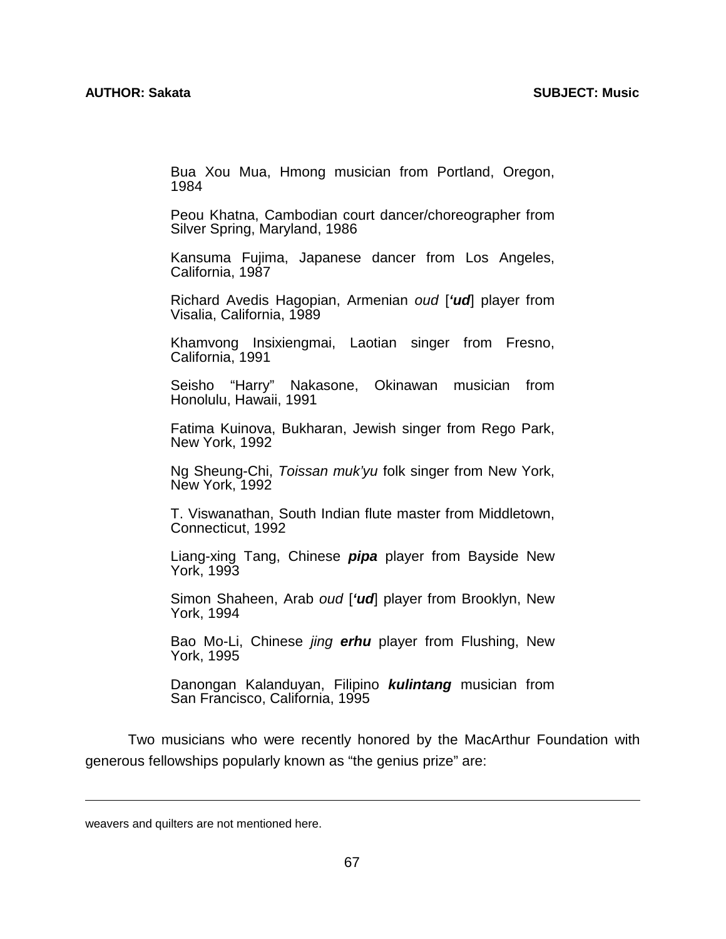Bua Xou Mua, Hmong musician from Portland, Oregon, 1984

 Peou Khatna, Cambodian court dancer/choreographer from Silver Spring, Maryland, 1986

 Kansuma Fujima, Japanese dancer from Los Angeles, California, 1987

 Richard Avedis Hagopian, Armenian *oud* [*'ud*] player from Visalia, California, 1989

 Khamvong Insixiengmai, Laotian singer from Fresno, California, 1991

> Seisho "Harry" Nakasone, Okinawan musician from Honolulu, Hawaii, 1991

> Fatima Kuinova, Bukharan, Jewish singer from Rego Park, New York, 1992

> Ng Sheung-Chi, *Toissan muk'yu* folk singer from New York, New York, 1992

> T. Viswanathan, South Indian flute master from Middletown, Connecticut, 1992

> Liang-xing Tang, Chinese *pipa* player from Bayside New York, 1993

> Simon Shaheen, Arab *oud* [*'ud*] player from Brooklyn, New York, 1994

> Bao Mo-Li, Chinese *jing erhu* player from Flushing, New York, 1995

> Danongan Kalanduyan, Filipino *kulintang* musician from San Francisco, California, 1995

 Two musicians who were recently honored by the MacArthur Foundation with generous fellowships popularly known as "the genius prize" are:

 $\overline{a}$ 

weavers and quilters are not mentioned here.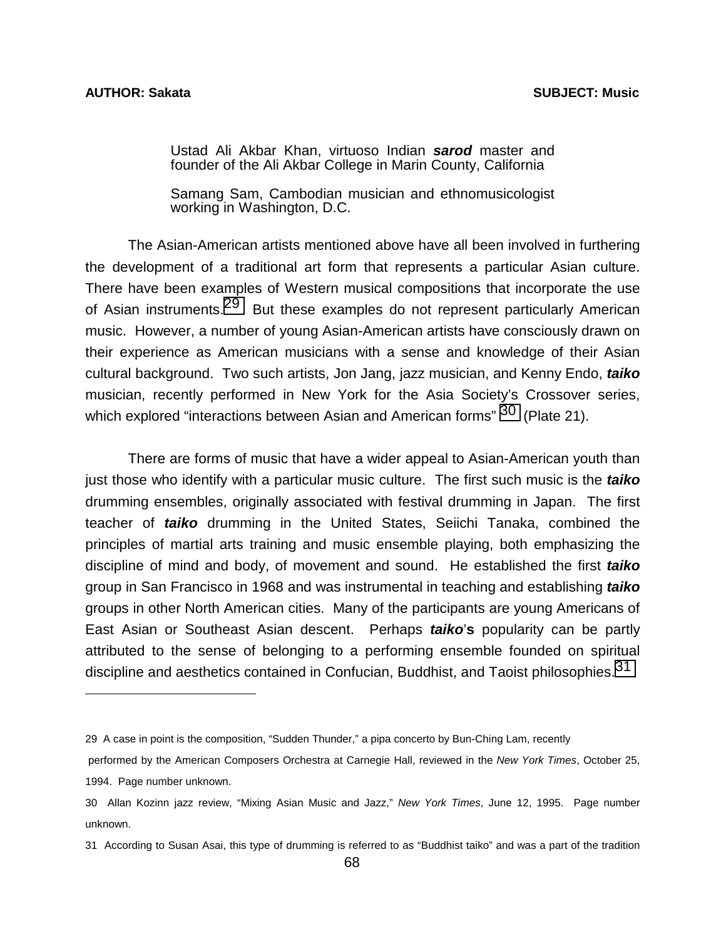l

Ustad Ali Akbar Khan, virtuoso Indian *sarod* master and founder of the Ali Akbar College in Marin County, California

Samang Sam, Cambodian musician and ethnomusicologist working in Washington, D.C.

 The Asian-American artists mentioned above have all been involved in furthering the development of a traditional art form that represents a particular Asian culture. There have been examples of Western musical compositions that incorporate the use of Asian instruments.<sup>29</sup> But these examples do not represent particularly American music. However, a number of young Asian-American artists have consciously drawn on their experience as American musicians with a sense and knowledge of their Asian cultural background. Two such artists, Jon Jang, jazz musician, and Kenny Endo, *taiko* musician, recently performed in New York for the Asia Society's Crossover series, which explored "interactions between Asian and American forms"  $30$  (Plate 21).

 There are forms of music that have a wider appeal to Asian-American youth than just those who identify with a particular music culture. The first such music is the *taiko* drumming ensembles, originally associated with festival drumming in Japan. The first teacher of *taiko* drumming in the United States, Seiichi Tanaka, combined the principles of martial arts training and music ensemble playing, both emphasizing the discipline of mind and body, of movement and sound. He established the first *taiko* group in San Francisco in 1968 and was instrumental in teaching and establishing *taiko* groups in other North American cities. Many of the participants are young Americans of East Asian or Southeast Asian descent. Perhaps *taiko*'**s** popularity can be partly attributed to the sense of belonging to a performing ensemble founded on spiritual discipline and aesthetics contained in Confucian, Buddhist, and Taoist philosophies.<sup>31</sup>

<sup>29</sup> A case in point is the composition, "Sudden Thunder," a pipa concerto by Bun-Ching Lam, recently

performed by the American Composers Orchestra at Carnegie Hall, reviewed in the *New York Times*, October 25, 1994. Page number unknown.

<sup>30</sup> Allan Kozinn jazz review, "Mixing Asian Music and Jazz," *New York Times*, June 12, 1995. Page number unknown.

<sup>31</sup> According to Susan Asai, this type of drumming is referred to as "Buddhist taiko" and was a part of the tradition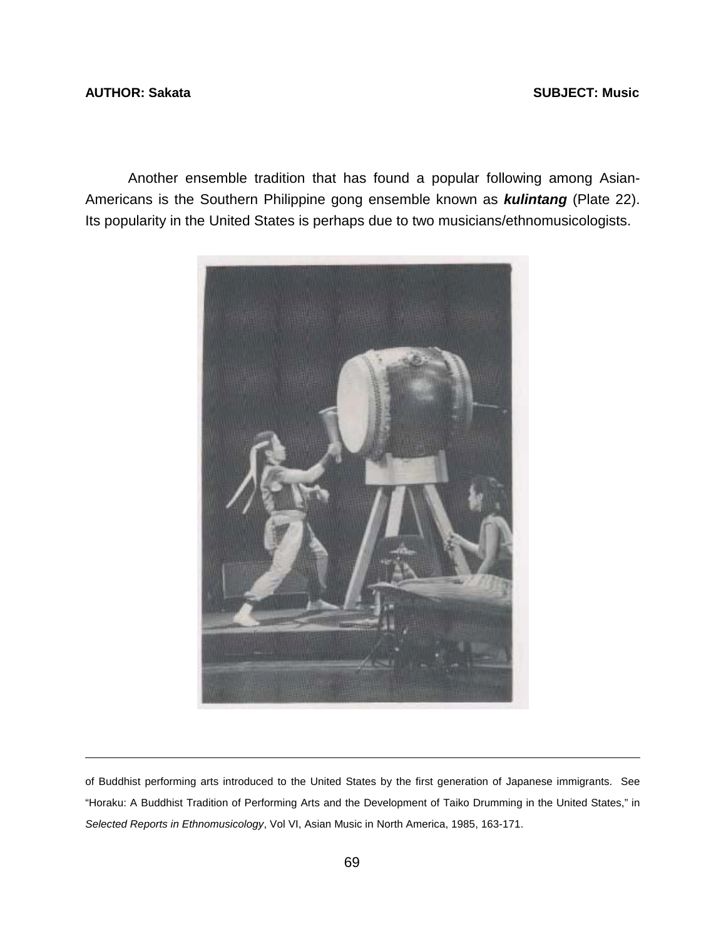## **AUTHOR: Sakata SUBJECT: Music**

l

 Another ensemble tradition that has found a popular following among Asian-Americans is the Southern Philippine gong ensemble known as *kulintang* (Plate 22). Its popularity in the United States is perhaps due to two musicians/ethnomusicologists.



of Buddhist performing arts introduced to the United States by the first generation of Japanese immigrants. See "Horaku: A Buddhist Tradition of Performing Arts and the Development of Taiko Drumming in the United States," in *Selected Reports in Ethnomusicology*, Vol VI, Asian Music in North America, 1985, 163-171.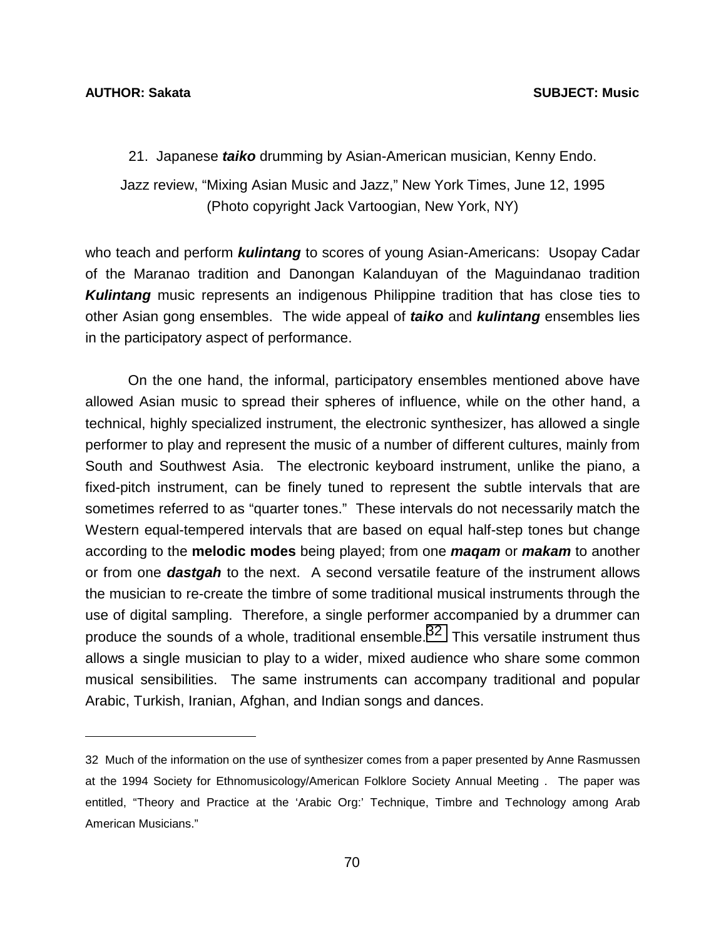l

21. Japanese *taiko* drumming by Asian-American musician, Kenny Endo.

Jazz review, "Mixing Asian Music and Jazz," New York Times, June 12, 1995 (Photo copyright Jack Vartoogian, New York, NY)

who teach and perform *kulintang* to scores of young Asian-Americans: Usopay Cadar of the Maranao tradition and Danongan Kalanduyan of the Maguindanao tradition *Kulintang* music represents an indigenous Philippine tradition that has close ties to other Asian gong ensembles. The wide appeal of *taiko* and *kulintang* ensembles lies in the participatory aspect of performance.

 On the one hand, the informal, participatory ensembles mentioned above have allowed Asian music to spread their spheres of influence, while on the other hand, a technical, highly specialized instrument, the electronic synthesizer, has allowed a single performer to play and represent the music of a number of different cultures, mainly from South and Southwest Asia. The electronic keyboard instrument, unlike the piano, a fixed-pitch instrument, can be finely tuned to represent the subtle intervals that are sometimes referred to as "quarter tones." These intervals do not necessarily match the Western equal-tempered intervals that are based on equal half-step tones but change according to the **melodic modes** being played; from one *maqam* or *makam* to another or from one *dastgah* to the next. A second versatile feature of the instrument allows the musician to re-create the timbre of some traditional musical instruments through the use of digital sampling. Therefore, a single performer accompanied by a drummer can produce the sounds of a whole, traditional ensemble.<sup>32</sup> This versatile instrument thus allows a single musician to play to a wider, mixed audience who share some common musical sensibilities. The same instruments can accompany traditional and popular Arabic, Turkish, Iranian, Afghan, and Indian songs and dances.

<sup>32</sup> Much of the information on the use of synthesizer comes from a paper presented by Anne Rasmussen at the 1994 Society for Ethnomusicology/American Folklore Society Annual Meeting . The paper was entitled, "Theory and Practice at the 'Arabic Org:' Technique, Timbre and Technology among Arab American Musicians."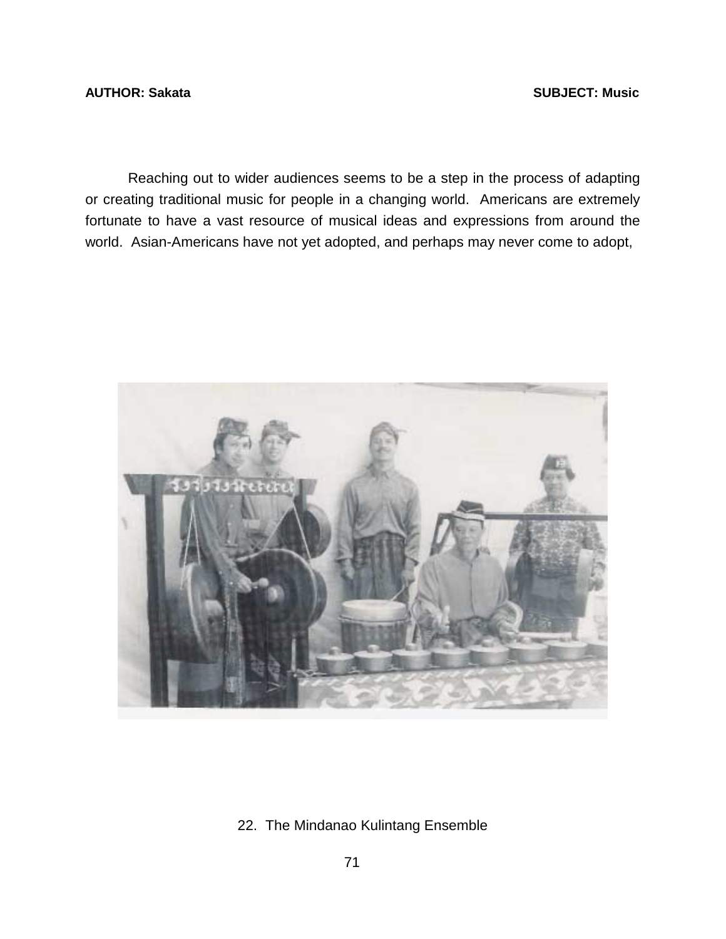**AUTHOR: Sakata** SUBJECT: Music **AUTHOR: Sakata** 

 Reaching out to wider audiences seems to be a step in the process of adapting or creating traditional music for people in a changing world. Americans are extremely fortunate to have a vast resource of musical ideas and expressions from around the world. Asian-Americans have not yet adopted, and perhaps may never come to adopt,



22. The Mindanao Kulintang Ensemble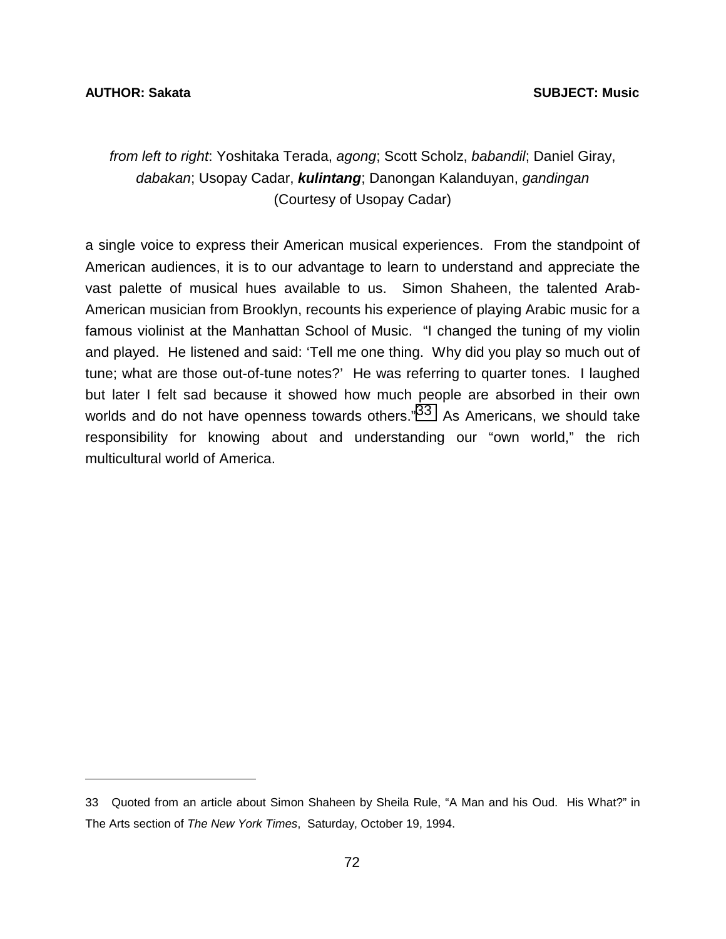l

# *from left to right*: Yoshitaka Terada, *agong*; Scott Scholz, *babandil*; Daniel Giray, *dabakan*; Usopay Cadar, *kulintang*; Danongan Kalanduyan, *gandingan*  (Courtesy of Usopay Cadar)

a single voice to express their American musical experiences. From the standpoint of American audiences, it is to our advantage to learn to understand and appreciate the vast palette of musical hues available to us. Simon Shaheen, the talented Arab-American musician from Brooklyn, recounts his experience of playing Arabic music for a famous violinist at the Manhattan School of Music. "I changed the tuning of my violin and played. He listened and said: 'Tell me one thing. Why did you play so much out of tune; what are those out-of-tune notes?' He was referring to quarter tones. I laughed but later I felt sad because it showed how much people are absorbed in their own worlds and do not have openness towards others."<sup>33</sup> As Americans, we should take responsibility for knowing about and understanding our "own world," the rich multicultural world of America.

<sup>33</sup> Quoted from an article about Simon Shaheen by Sheila Rule, "A Man and his Oud. His What?" in The Arts section of *The New York Times*, Saturday, October 19, 1994.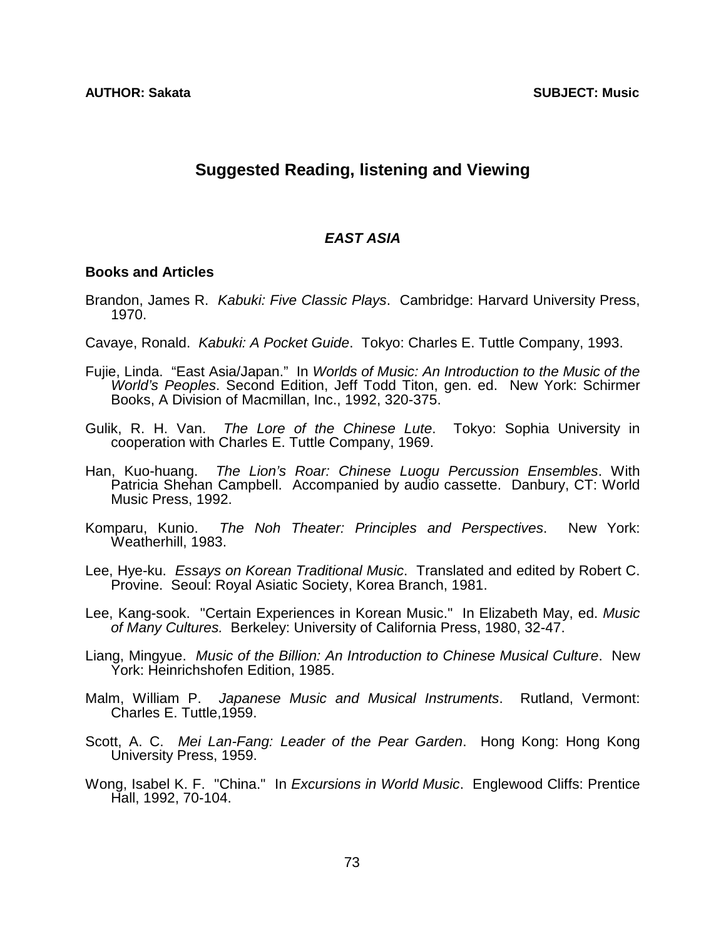# **Suggested Reading, listening and Viewing**

## *EAST ASIA*

## **Books and Articles**

- Brandon, James R. *Kabuki: Five Classic Plays*. Cambridge: Harvard University Press, 1970.
- Cavaye, Ronald. *Kabuki: A Pocket Guide*. Tokyo: Charles E. Tuttle Company, 1993.
- Fujie, Linda. "East Asia/Japan." In *Worlds of Music: An Introduction to the Music of the World's Peoples*. Second Edition, Jeff Todd Titon, gen. ed. New York: Schirmer Books, A Division of Macmillan, Inc., 1992, 320-375.
- Gulik, R. H. Van. *The Lore of the Chinese Lute*. Tokyo: Sophia University in cooperation with Charles E. Tuttle Company, 1969.
- Han, Kuo-huang. *The Lion's Roar: Chinese Luogu Percussion Ensembles*. With Patricia Shehan Campbell. Accompanied by audio cassette. Danbury, CT: World Music Press, 1992.
- Komparu, Kunio. *The Noh Theater: Principles and Perspectives*. New York: Weatherhill, 1983.
- Lee, Hye-ku. *Essays on Korean Traditional Music*. Translated and edited by Robert C. Provine. Seoul: Royal Asiatic Society, Korea Branch, 1981.
- Lee, Kang-sook. "Certain Experiences in Korean Music." In Elizabeth May, ed. *Music of Many Cultures.* Berkeley: University of California Press, 1980, 32-47.
- Liang, Mingyue. *Music of the Billion: An Introduction to Chinese Musical Culture*. New York: Heinrichshofen Edition, 1985.
- Malm, William P. *Japanese Music and Musical Instruments*. Rutland, Vermont: Charles E. Tuttle,1959.
- Scott, A. C. *Mei Lan-Fang: Leader of the Pear Garden*. Hong Kong: Hong Kong University Press, 1959.
- Wong, Isabel K. F. "China." In *Excursions in World Music*. Englewood Cliffs: Prentice Hall, 1992, 70-104.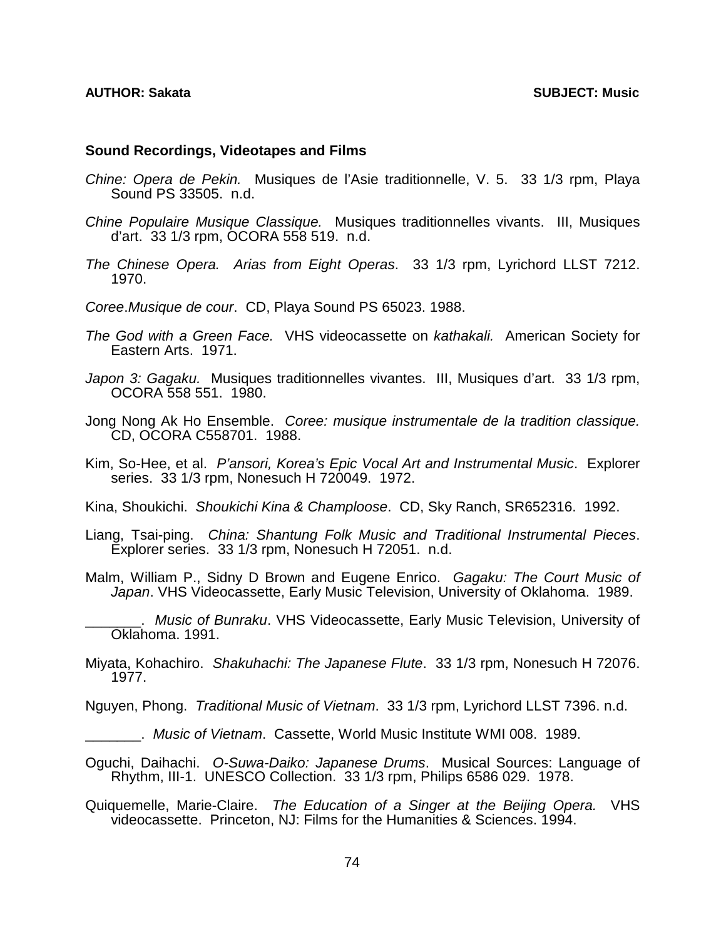## **Sound Recordings, Videotapes and Films**

- *Chine: Opera de Pekin.* Musiques de l'Asie traditionnelle, V. 5. 33 1/3 rpm, Playa Sound PS 33505. n.d.
- *Chine Populaire Musique Classique.* Musiques traditionnelles vivants. III, Musiques d'art. 33 1/3 rpm, OCORA 558 519. n.d.
- *The Chinese Opera. Arias from Eight Operas*. 33 1/3 rpm, Lyrichord LLST 7212. 1970.
- *Coree*.*Musique de cour*. CD, Playa Sound PS 65023. 1988.
- *The God with a Green Face.* VHS videocassette on *kathakali.* American Society for Eastern Arts. 1971.
- *Japon 3: Gagaku.* Musiques traditionnelles vivantes. III, Musiques d'art. 33 1/3 rpm, OCORA 558 551. 1980.
- Jong Nong Ak Ho Ensemble. *Coree: musique instrumentale de la tradition classique.*  CD, OCORA C558701. 1988.
- Kim, So-Hee, et al. *P'ansori, Korea's Epic Vocal Art and Instrumental Music*. Explorer series. 33 1/3 rpm, Nonesuch H 720049. 1972.
- Kina, Shoukichi. *Shoukichi Kina & Champloose*. CD, Sky Ranch, SR652316. 1992.
- Liang, Tsai-ping. *China: Shantung Folk Music and Traditional Instrumental Pieces*. Explorer series. 33 1/3 rpm, Nonesuch H 72051. n.d.
- Malm, William P., Sidny D Brown and Eugene Enrico. *Gagaku: The Court Music of Japan*. VHS Videocassette, Early Music Television, University of Oklahoma. 1989.
	- \_\_\_\_\_\_\_. *Music of Bunraku*. VHS Videocassette, Early Music Television, University of Oklahoma. 1991.
- Miyata, Kohachiro. *Shakuhachi: The Japanese Flute*. 33 1/3 rpm, Nonesuch H 72076. 1977.
- Nguyen, Phong. *Traditional Music of Vietnam*. 33 1/3 rpm, Lyrichord LLST 7396. n.d.
	- \_\_\_\_\_\_\_. *Music of Vietnam*. Cassette, World Music Institute WMI 008. 1989.
- Oguchi, Daihachi. *O-Suwa-Daiko: Japanese Drums*. Musical Sources: Language of Rhythm, III-1. UNESCO Collection. 33 1/3 rpm, Philips 6586 029. 1978.
- Quiquemelle, Marie-Claire. *The Education of a Singer at the Beijing Opera.* VHS videocassette. Princeton, NJ: Films for the Humanities & Sciences. 1994.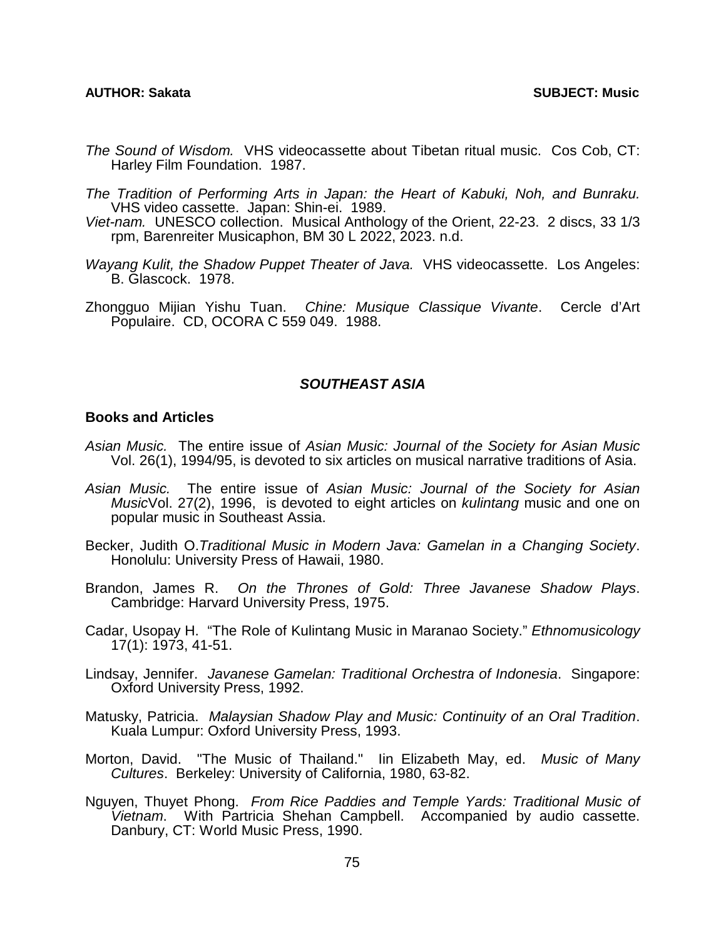- *The Sound of Wisdom.* VHS videocassette about Tibetan ritual music. Cos Cob, CT: Harley Film Foundation. 1987.
- *The Tradition of Performing Arts in Japan: the Heart of Kabuki, Noh, and Bunraku.*  VHS video cassette. Japan: Shin-ei. 1989.
- *Viet-nam.* UNESCO collection. Musical Anthology of the Orient, 22-23. 2 discs, 33 1/3 rpm, Barenreiter Musicaphon, BM 30 L 2022, 2023. n.d.
- *Wayang Kulit, the Shadow Puppet Theater of Java.* VHS videocassette. Los Angeles: B. Glascock. 1978.
- Zhongguo Mijian Yishu Tuan. *Chine: Musique Classique Vivante*. Cercle d'Art Populaire. CD, OCORA C 559 049. 1988.

## *SOUTHEAST ASIA*

## **Books and Articles**

- *Asian Music.* The entire issue of *Asian Music: Journal of the Society for Asian Music* Vol. 26(1), 1994/95, is devoted to six articles on musical narrative traditions of Asia.
- *Asian Music.* The entire issue of *Asian Music: Journal of the Society for Asian Music*Vol. 27(2), 1996, is devoted to eight articles on *kulintang* music and one on popular music in Southeast Assia.
- Becker, Judith O.*Traditional Music in Modern Java: Gamelan in a Changing Society*. Honolulu: University Press of Hawaii, 1980.
- Brandon, James R. *On the Thrones of Gold: Three Javanese Shadow Plays*. Cambridge: Harvard University Press, 1975.
- Cadar, Usopay H. "The Role of Kulintang Music in Maranao Society." *Ethnomusicology* 17(1): 1973, 41-51.
- Lindsay, Jennifer. *Javanese Gamelan: Traditional Orchestra of Indonesia*. Singapore: Oxford University Press, 1992.
- Matusky, Patricia. *Malaysian Shadow Play and Music: Continuity of an Oral Tradition*. Kuala Lumpur: Oxford University Press, 1993.
- Morton, David. "The Music of Thailand." Iin Elizabeth May, ed. *Music of Many Cultures*. Berkeley: University of California, 1980, 63-82.
- Nguyen, Thuyet Phong. *From Rice Paddies and Temple Yards: Traditional Music of Vietnam*. With Partricia Shehan Campbell. Accompanied by audio cassette. Danbury, CT: World Music Press, 1990.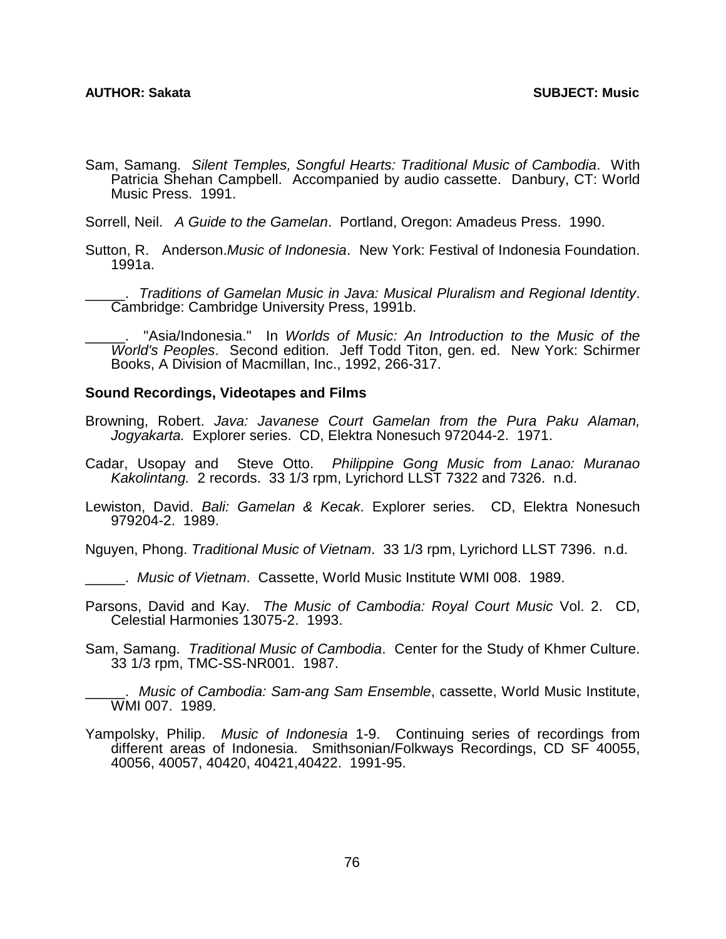Sam, Samang. *Silent Temples, Songful Hearts: Traditional Music of Cambodia*. With Patricia Shehan Campbell. Accompanied by audio cassette. Danbury, CT: World Music Press. 1991.

Sorrell, Neil. *A Guide to the Gamelan*. Portland, Oregon: Amadeus Press. 1990.

Sutton, R. Anderson.*Music of Indonesia*. New York: Festival of Indonesia Foundation. 1991a.

\_\_\_\_\_. *Traditions of Gamelan Music in Java: Musical Pluralism and Regional Identity*. Cambridge: Cambridge University Press, 1991b.

\_\_\_\_\_. "Asia/Indonesia." In *Worlds of Music: An Introduction to the Music of the World's Peoples*. Second edition. Jeff Todd Titon, gen. ed. New York: Schirmer Books, A Division of Macmillan, Inc., 1992, 266-317.

## **Sound Recordings, Videotapes and Films**

- Browning, Robert. *Java: Javanese Court Gamelan from the Pura Paku Alaman, Jogyakarta.* Explorer series. CD, Elektra Nonesuch 972044-2. 1971.
- Cadar, Usopay and Steve Otto. *Philippine Gong Music from Lanao: Muranao Kakolintang.* 2 records. 33 1/3 rpm, Lyrichord LLST 7322 and 7326. n.d.
- Lewiston, David. *Bali: Gamelan & Kecak*. Explorer series. CD, Elektra Nonesuch 979204-2. 1989.

Nguyen, Phong. *Traditional Music of Vietnam*. 33 1/3 rpm, Lyrichord LLST 7396. n.d.

\_\_\_\_\_. *Music of Vietnam*. Cassette, World Music Institute WMI 008. 1989.

- Parsons, David and Kay. *The Music of Cambodia: Royal Court Music* Vol. 2. CD, Celestial Harmonies 13075-2. 1993.
- Sam, Samang. *Traditional Music of Cambodia*. Center for the Study of Khmer Culture. 33 1/3 rpm, TMC-SS-NR001. 1987.

\_\_\_\_\_. *Music of Cambodia: Sam-ang Sam Ensemble*, cassette, World Music Institute, WMI 007. 1989.

Yampolsky, Philip. *Music of Indonesia* 1-9. Continuing series of recordings from different areas of Indonesia. Smithsonian/Folkways Recordings, CD SF 40055, 40056, 40057, 40420, 40421,40422. 1991-95.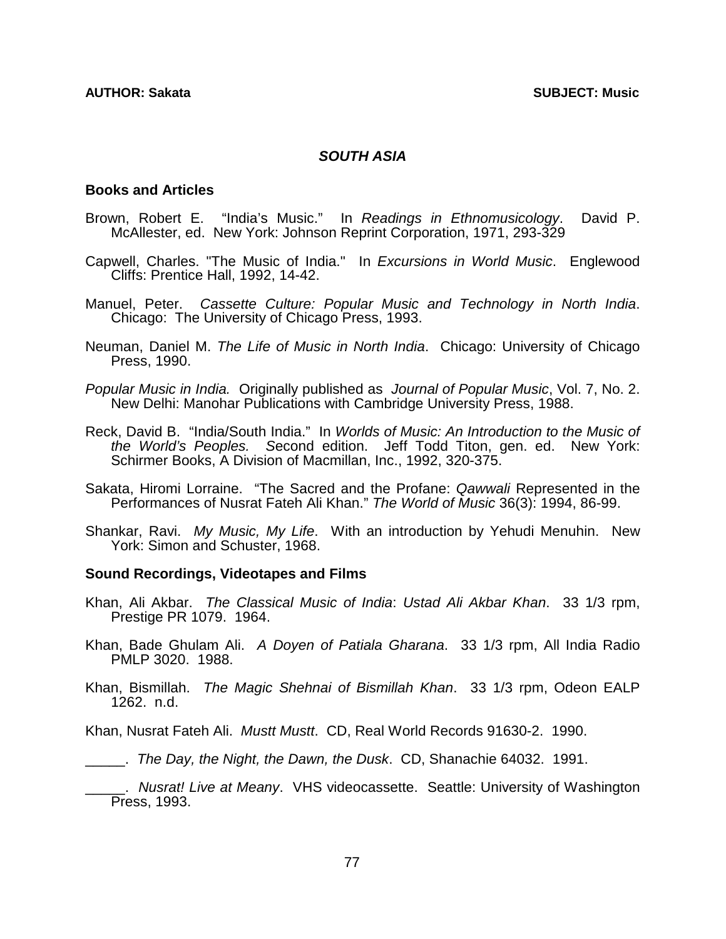## *SOUTH ASIA*

## **Books and Articles**

- Brown, Robert E. "India's Music." In *Readings in Ethnomusicology*. David P. McAllester, ed. New York: Johnson Reprint Corporation, 1971, 293-329
- Capwell, Charles. "The Music of India." In *Excursions in World Music*. Englewood Cliffs: Prentice Hall, 1992, 14-42.
- Manuel, Peter. *Cassette Culture: Popular Music and Technology in North India*. Chicago: The University of Chicago Press, 1993.
- Neuman, Daniel M. *The Life of Music in North India*. Chicago: University of Chicago Press, 1990.
- *Popular Music in India.* Originally published as *Journal of Popular Music*, Vol. 7, No. 2. New Delhi: Manohar Publications with Cambridge University Press, 1988.
- Reck, David B. "India/South India." In *Worlds of Music: An Introduction to the Music of the World's Peoples. S*econd edition. Jeff Todd Titon, gen. ed. New York: Schirmer Books, A Division of Macmillan, Inc., 1992, 320-375.
- Sakata, Hiromi Lorraine. "The Sacred and the Profane: *Qawwali* Represented in the Performances of Nusrat Fateh Ali Khan." *The World of Music* 36(3): 1994, 86-99.
- Shankar, Ravi. *My Music, My Life*. With an introduction by Yehudi Menuhin. New York: Simon and Schuster, 1968.

## **Sound Recordings, Videotapes and Films**

- Khan, Ali Akbar. *The Classical Music of India*: *Ustad Ali Akbar Khan*. 33 1/3 rpm, Prestige PR 1079. 1964.
- Khan, Bade Ghulam Ali. *A Doyen of Patiala Gharana*. 33 1/3 rpm, All India Radio PMLP 3020. 1988.
- Khan, Bismillah. *The Magic Shehnai of Bismillah Khan*. 33 1/3 rpm, Odeon EALP 1262. n.d.

Khan, Nusrat Fateh Ali. *Mustt Mustt*. CD, Real World Records 91630-2. 1990.

\_\_\_\_\_. *The Day, the Night, the Dawn, the Dusk*. CD, Shanachie 64032. 1991.

\_\_\_\_\_. *Nusrat! Live at Meany*. VHS videocassette. Seattle: University of Washington Press, 1993.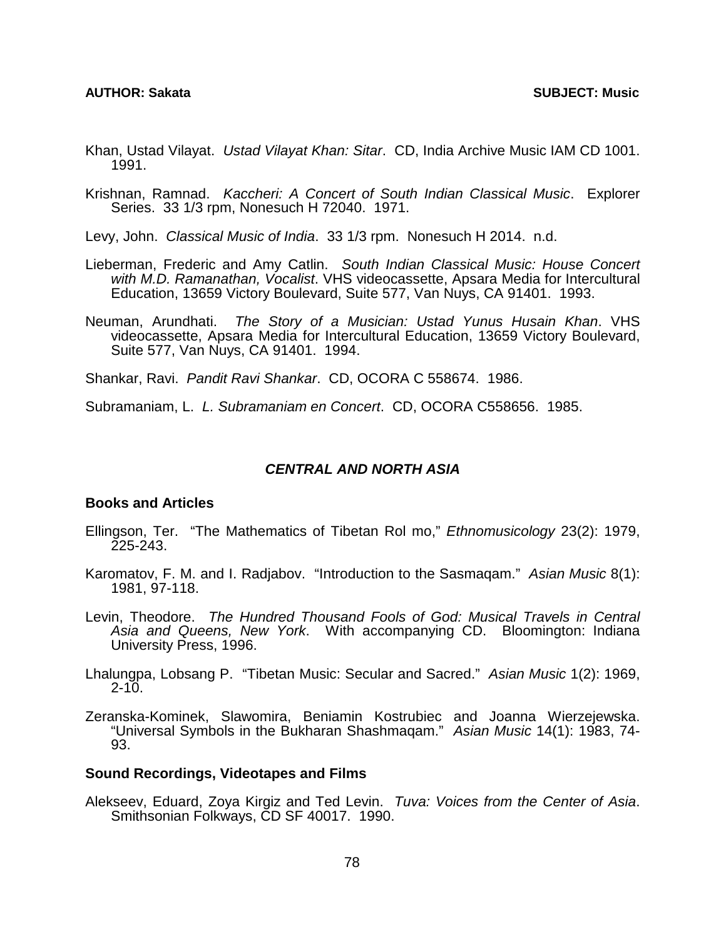### **AUTHOR: Sakata SUBJECT: Music**

- Khan, Ustad Vilayat. *Ustad Vilayat Khan: Sitar*. CD, India Archive Music IAM CD 1001. 1991.
- Krishnan, Ramnad. *Kaccheri: A Concert of South Indian Classical Music*. Explorer Series. 33 1/3 rpm, Nonesuch H 72040. 1971.
- Levy, John. *Classical Music of India*. 33 1/3 rpm. Nonesuch H 2014. n.d.
- Lieberman, Frederic and Amy Catlin. *South Indian Classical Music: House Concert with M.D. Ramanathan, Vocalist*. VHS videocassette, Apsara Media for Intercultural Education, 13659 Victory Boulevard, Suite 577, Van Nuys, CA 91401. 1993.
- Neuman, Arundhati. *The Story of a Musician: Ustad Yunus Husain Khan*. VHS videocassette, Apsara Media for Intercultural Education, 13659 Victory Boulevard, Suite 577, Van Nuys, CA 91401. 1994.
- Shankar, Ravi. *Pandit Ravi Shankar*. CD, OCORA C 558674. 1986.

Subramaniam, L. *L. Subramaniam en Concert*. CD, OCORA C558656. 1985.

## *CENTRAL AND NORTH ASIA*

## **Books and Articles**

- Ellingson, Ter. "The Mathematics of Tibetan Rol mo," *Ethnomusicology* 23(2): 1979, 225-243.
- Karomatov, F. M. and I. Radjabov. "Introduction to the Sasmaqam." *Asian Music* 8(1): 1981, 97-118.
- Levin, Theodore. *The Hundred Thousand Fools of God: Musical Travels in Central Asia and Queens, New York*. With accompanying CD. Bloomington: Indiana University Press, 1996.
- Lhalungpa, Lobsang P. "Tibetan Music: Secular and Sacred." *Asian Music* 1(2): 1969,  $2 - 10$ .
- Zeranska-Kominek, Slawomira, Beniamin Kostrubiec and Joanna Wierzejewska. "Universal Symbols in the Bukharan Shashmaqam." *Asian Music* 14(1): 1983, 74- 93.

### **Sound Recordings, Videotapes and Films**

Alekseev, Eduard, Zoya Kirgiz and Ted Levin. *Tuva: Voices from the Center of Asia*. Smithsonian Folkways, CD SF 40017. 1990.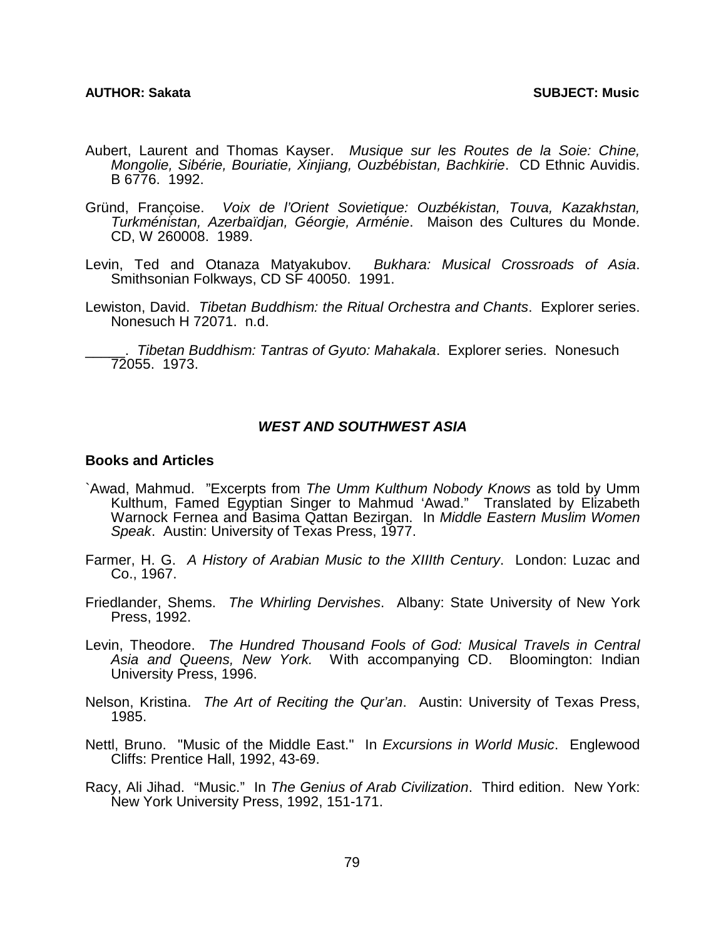- Aubert, Laurent and Thomas Kayser. *Musique sur les Routes de la Soie: Chine, Mongolie, Sibérie, Bouriatie, Xinjiang, Ouzbébistan, Bachkirie*. CD Ethnic Auvidis. B 6776. 1992.
- Gründ, Françoise. *Voix de l'Orient Sovietique: Ouzbékistan, Touva, Kazakhstan, Turkménistan, Azerbaïdjan, Géorgie, Arménie*. Maison des Cultures du Monde. CD, W 260008. 1989.
- Levin, Ted and Otanaza Matyakubov. *Bukhara: Musical Crossroads of Asia*. Smithsonian Folkways, CD SF 40050. 1991.
- Lewiston, David. *Tibetan Buddhism: the Ritual Orchestra and Chants*. Explorer series. Nonesuch H 72071. n.d.

\_\_\_\_\_. *Tibetan Buddhism: Tantras of Gyuto: Mahakala*. Explorer series. Nonesuch 72055. 1973.

## *WEST AND SOUTHWEST ASIA*

## **Books and Articles**

- `Awad, Mahmud. "Excerpts from *The Umm Kulthum Nobody Knows* as told by Umm Kulthum, Famed Egyptian Singer to Mahmud 'Awad." Translated by Elizabeth Warnock Fernea and Basima Qattan Bezirgan. In *Middle Eastern Muslim Women Speak*. Austin: University of Texas Press, 1977.
- Farmer, H. G. *A History of Arabian Music to the XIIIth Century*. London: Luzac and Co., 1967.
- Friedlander, Shems. *The Whirling Dervishes*. Albany: State University of New York Press, 1992.
- Levin, Theodore. *The Hundred Thousand Fools of God: Musical Travels in Central Asia and Queens, New York.* With accompanying CD. Bloomington: Indian University Press, 1996.
- Nelson, Kristina. *The Art of Reciting the Qur'an*. Austin: University of Texas Press, 1985.
- Nettl, Bruno. "Music of the Middle East." In *Excursions in World Music*. Englewood Cliffs: Prentice Hall, 1992, 43-69.
- Racy, Ali Jihad. "Music." In *The Genius of Arab Civilization*. Third edition. New York: New York University Press, 1992, 151-171.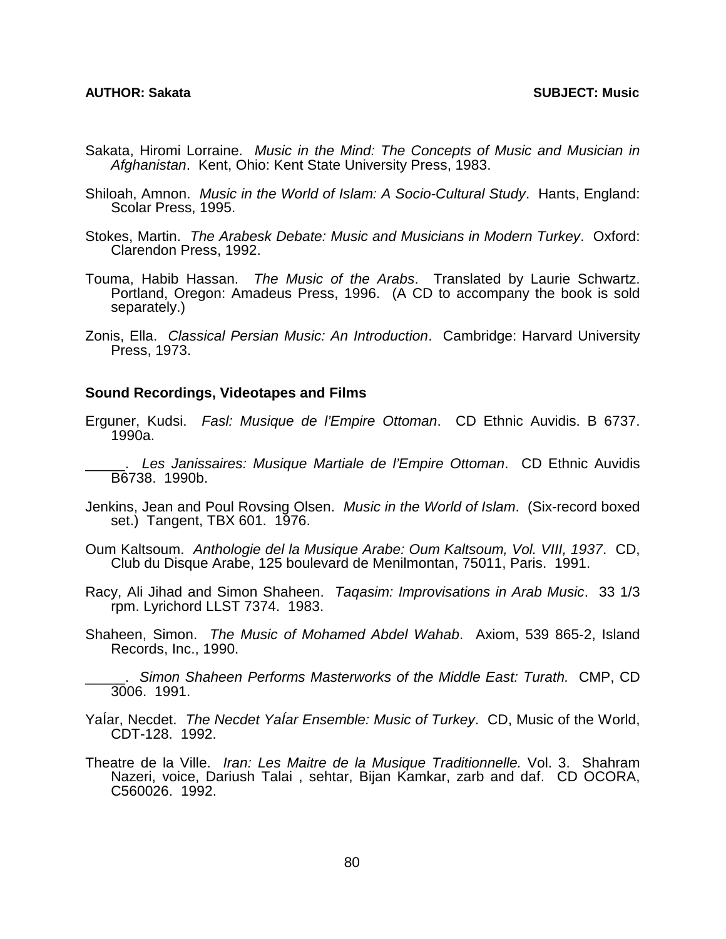- Sakata, Hiromi Lorraine. *Music in the Mind: The Concepts of Music and Musician in Afghanistan*. Kent, Ohio: Kent State University Press, 1983.
- Shiloah, Amnon. *Music in the World of Islam: A Socio-Cultural Study*. Hants, England: Scolar Press, 1995.
- Stokes, Martin. *The Arabesk Debate: Music and Musicians in Modern Turkey*. Oxford: Clarendon Press, 1992.
- Touma, Habib Hassan. *The Music of the Arabs*. Translated by Laurie Schwartz. Portland, Oregon: Amadeus Press, 1996. (A CD to accompany the book is sold separately.)
- Zonis, Ella. *Classical Persian Music: An Introduction*. Cambridge: Harvard University Press, 1973.

## **Sound Recordings, Videotapes and Films**

- Erguner, Kudsi. *Fasl: Musique de l'Empire Ottoman*. CD Ethnic Auvidis. B 6737. 1990a.
	- \_\_\_\_\_. *Les Janissaires: Musique Martiale de l'Empire Ottoman*. CD Ethnic Auvidis B6738. 1990b.
- Jenkins, Jean and Poul Rovsing Olsen. *Music in the World of Islam*. (Six-record boxed set.) Tangent, TBX 601. 1976.
- Oum Kaltsoum. *Anthologie del la Musique Arabe: Oum Kaltsoum, Vol. VIII, 1937*. CD, Club du Disque Arabe, 125 boulevard de Menilmontan, 75011, Paris. 1991.
- Racy, Ali Jihad and Simon Shaheen. *Taqasim: Improvisations in Arab Music*. 33 1/3 rpm. Lyrichord LLST 7374. 1983.
- Shaheen, Simon. *The Music of Mohamed Abdel Wahab*. Axiom, 539 865-2, Island Records, Inc., 1990.
	- \_\_\_\_\_. *Simon Shaheen Performs Masterworks of the Middle East: Turath.* CMP, CD 3006. 1991.
- YaÍar, Necdet. *The Necdet YaÍar Ensemble: Music of Turkey*. CD, Music of the World, CDT-128. 1992.
- Theatre de la Ville. *Iran: Les Maitre de la Musique Traditionnelle.* Vol. 3. Shahram Nazeri, voice, Dariush Talai , sehtar, Bijan Kamkar, zarb and daf. CD OCORA, C560026. 1992.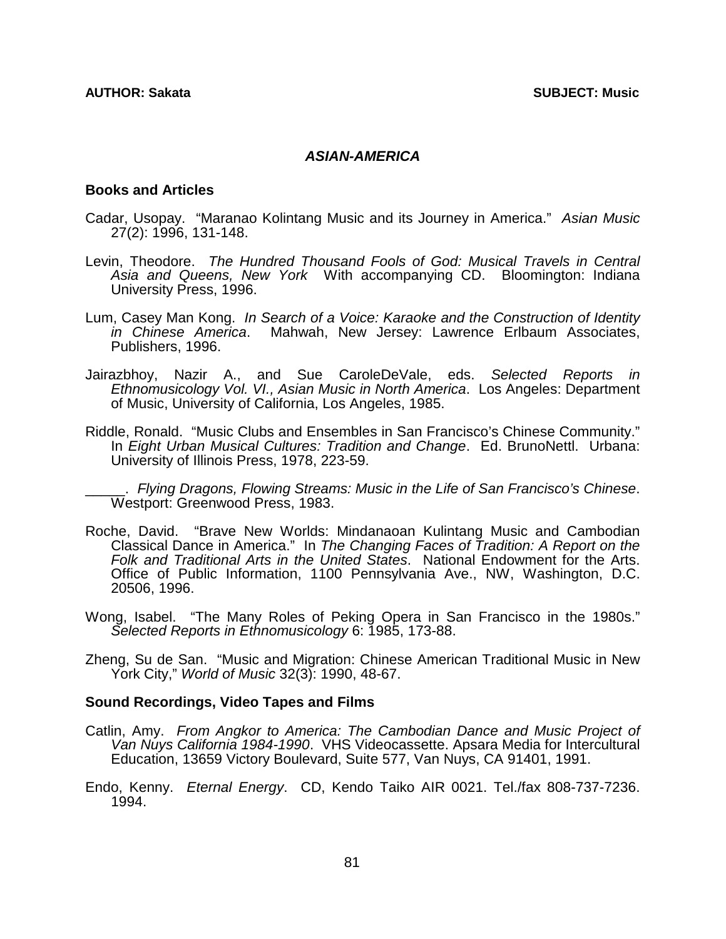## *ASIAN-AMERICA*

## **Books and Articles**

- Cadar, Usopay. "Maranao Kolintang Music and its Journey in America." *Asian Music* 27(2): 1996, 131-148.
- Levin, Theodore. *The Hundred Thousand Fools of God: Musical Travels in Central Asia and Queens, New York* With accompanying CD. Bloomington: Indiana University Press, 1996.
- Lum, Casey Man Kong. *In Search of a Voice: Karaoke and the Construction of Identity in Chinese America*. Mahwah, New Jersey: Lawrence Erlbaum Associates, Publishers, 1996.
- Jairazbhoy, Nazir A., and Sue CaroleDeVale, eds. *Selected Reports in Ethnomusicology Vol. VI., Asian Music in North America*. Los Angeles: Department of Music, University of California, Los Angeles, 1985.
- Riddle, Ronald. "Music Clubs and Ensembles in San Francisco's Chinese Community." In *Eight Urban Musical Cultures: Tradition and Change*. Ed. BrunoNettl. Urbana: University of Illinois Press, 1978, 223-59.

\_\_\_\_\_. *Flying Dragons, Flowing Streams: Music in the Life of San Francisco's Chinese*. Westport: Greenwood Press, 1983.

- Roche, David. "Brave New Worlds: Mindanaoan Kulintang Music and Cambodian Classical Dance in America." In *The Changing Faces of Tradition: A Report on the Folk and Traditional Arts in the United States*. National Endowment for the Arts. Office of Public Information, 1100 Pennsylvania Ave., NW, Washington, D.C. 20506, 1996.
- Wong, Isabel. "The Many Roles of Peking Opera in San Francisco in the 1980s." *Selected Reports in Ethnomusicology* 6: 1985, 173-88.
- Zheng, Su de San. "Music and Migration: Chinese American Traditional Music in New York City," *World of Music* 32(3): 1990, 48-67.

### **Sound Recordings, Video Tapes and Films**

- Catlin, Amy. *From Angkor to America: The Cambodian Dance and Music Project of Van Nuys California 1984-1990*. VHS Videocassette. Apsara Media for Intercultural Education, 13659 Victory Boulevard, Suite 577, Van Nuys, CA 91401, 1991.
- Endo, Kenny. *Eternal Energy*. CD, Kendo Taiko AIR 0021. Tel./fax 808-737-7236. 1994.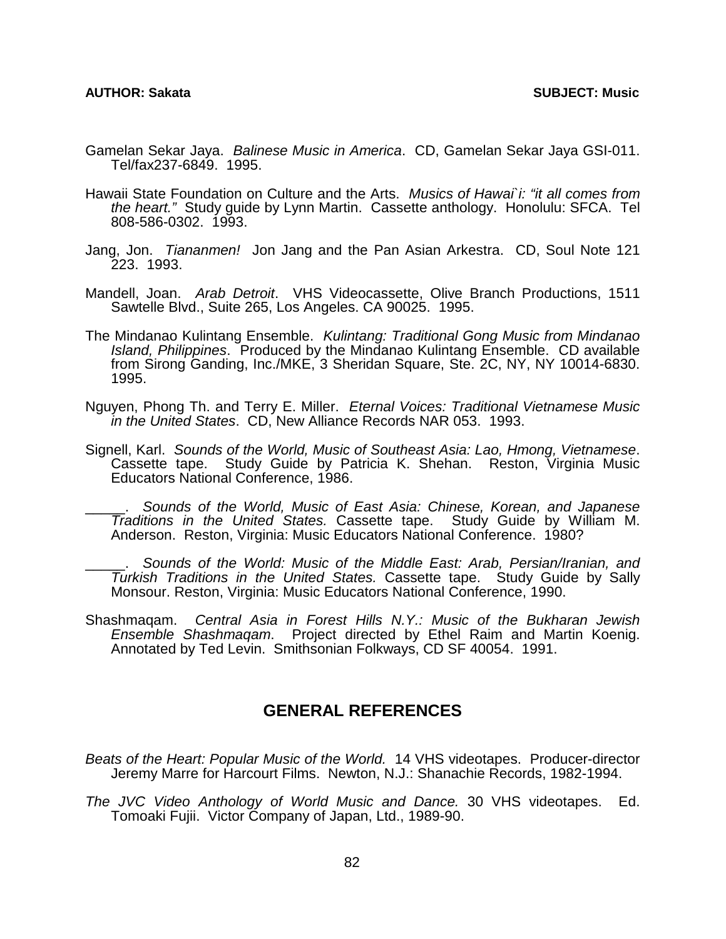- Gamelan Sekar Jaya. *Balinese Music in America*. CD, Gamelan Sekar Jaya GSI-011. Tel/fax237-6849. 1995.
- Hawaii State Foundation on Culture and the Arts. *Musics of Hawai`i: "it all comes from the heart."* Study guide by Lynn Martin. Cassette anthology. Honolulu: SFCA. Tel 808-586-0302. 1993.
- Jang, Jon. *Tiananmen!* Jon Jang and the Pan Asian Arkestra. CD, Soul Note 121 223. 1993.
- Mandell, Joan. *Arab Detroit*. VHS Videocassette, Olive Branch Productions, 1511 Sawtelle Blvd., Suite 265, Los Angeles. CA 90025. 1995.
- The Mindanao Kulintang Ensemble. *Kulintang: Traditional Gong Music from Mindanao Island, Philippines*. Produced by the Mindanao Kulintang Ensemble. CD available from Sirong Ganding, Inc./MKE, 3 Sheridan Square, Ste. 2C, NY, NY 10014-6830. 1995.
- Nguyen, Phong Th. and Terry E. Miller. *Eternal Voices: Traditional Vietnamese Music in the United States*. CD, New Alliance Records NAR 053. 1993.
- Signell, Karl. *Sounds of the World, Music of Southeast Asia: Lao, Hmong, Vietnamese*. Cassette tape. Study Guide by Patricia K. Shehan. Reston, Virginia Music Educators National Conference, 1986.

\_\_\_\_\_. *Sounds of the World, Music of East Asia: Chinese, Korean, and Japanese Traditions in the United States.* Cassette tape. Study Guide by William M. Anderson. Reston, Virginia: Music Educators National Conference. 1980?

\_\_\_\_\_. *Sounds of the World: Music of the Middle East: Arab, Persian/Iranian, and Turkish Traditions in the United States.* Cassette tape. Study Guide by Sally Monsour. Reston, Virginia: Music Educators National Conference, 1990.

Shashmaqam. *Central Asia in Forest Hills N.Y.: Music of the Bukharan Jewish Ensemble Shashmaqam*. Project directed by Ethel Raim and Martin Koenig. Annotated by Ted Levin. Smithsonian Folkways, CD SF 40054. 1991.

## **GENERAL REFERENCES**

*Beats of the Heart: Popular Music of the World.* 14 VHS videotapes. Producer-director Jeremy Marre for Harcourt Films. Newton, N.J.: Shanachie Records, 1982-1994.

*The JVC Video Anthology of World Music and Dance.* 30 VHS videotapes. Ed. Tomoaki Fujii. Victor Company of Japan, Ltd., 1989-90.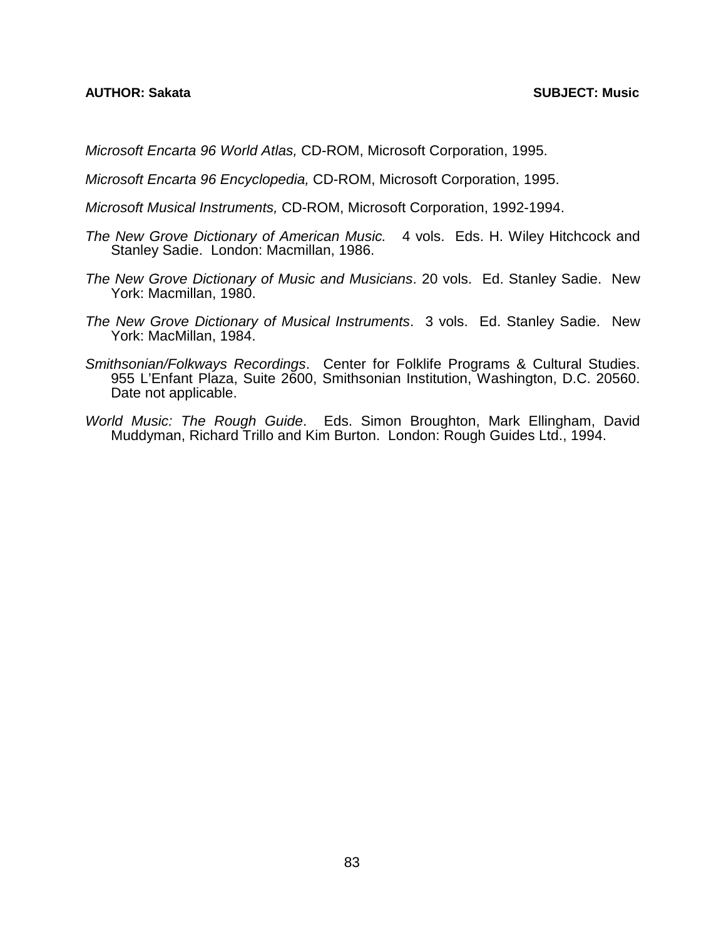*Microsoft Encarta 96 World Atlas,* CD-ROM, Microsoft Corporation, 1995.

*Microsoft Encarta 96 Encyclopedia,* CD-ROM, Microsoft Corporation, 1995.

- *Microsoft Musical Instruments,* CD-ROM, Microsoft Corporation, 1992-1994.
- *The New Grove Dictionary of American Music.* 4 vols. Eds. H. Wiley Hitchcock and Stanley Sadie. London: Macmillan, 1986.
- *The New Grove Dictionary of Music and Musicians*. 20 vols. Ed. Stanley Sadie. New York: Macmillan, 1980.
- *The New Grove Dictionary of Musical Instruments*. 3 vols. Ed. Stanley Sadie. New York: MacMillan, 1984.
- *Smithsonian/Folkways Recordings*. Center for Folklife Programs & Cultural Studies. 955 L'Enfant Plaza, Suite 2600, Smithsonian Institution, Washington, D.C. 20560. Date not applicable.
- *World Music: The Rough Guide*. Eds. Simon Broughton, Mark Ellingham, David Muddyman, Richard Trillo and Kim Burton. London: Rough Guides Ltd., 1994.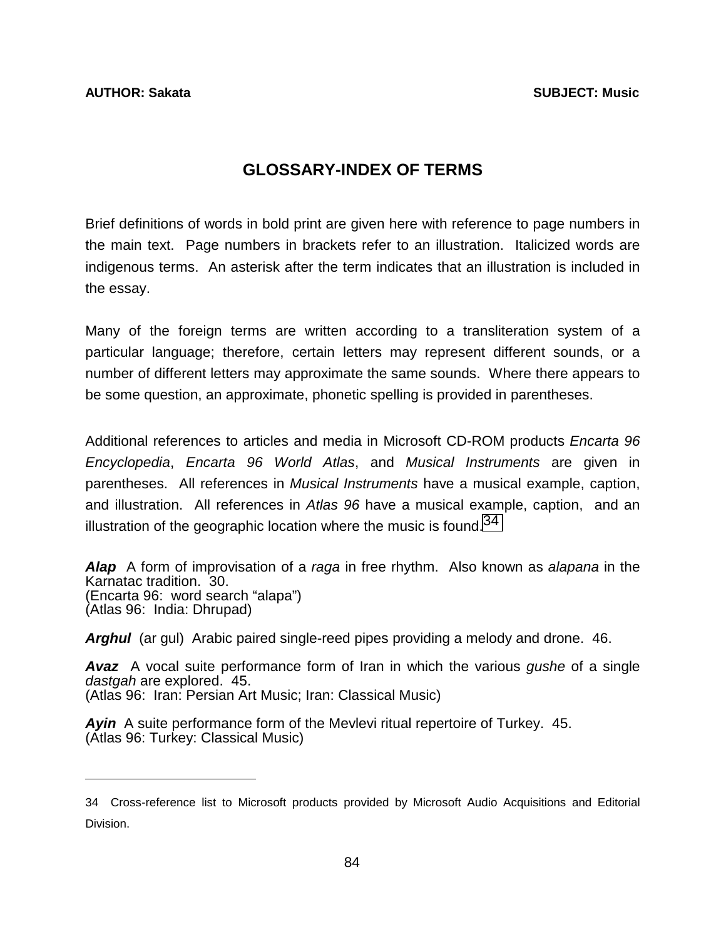l

# **GLOSSARY-INDEX OF TERMS**

Brief definitions of words in bold print are given here with reference to page numbers in the main text. Page numbers in brackets refer to an illustration. Italicized words are indigenous terms. An asterisk after the term indicates that an illustration is included in the essay.

Many of the foreign terms are written according to a transliteration system of a particular language; therefore, certain letters may represent different sounds, or a number of different letters may approximate the same sounds. Where there appears to be some question, an approximate, phonetic spelling is provided in parentheses.

Additional references to articles and media in Microsoft CD-ROM products *Encarta 96 Encyclopedia*, *Encarta 96 World Atlas*, and *Musical Instruments* are given in parentheses. All references in *Musical Instruments* have a musical example, caption, and illustration. All references in *Atlas 96* have a musical example, caption, and an illustration of the geographic location where the music is found. $34$ 

*Alap* A form of improvisation of a *raga* in free rhythm. Also known as *alapana* in the Karnatac tradition. 30. (Encarta 96: word search "alapa") (Atlas 96: India: Dhrupad)

*Arghul* (ar gul) Arabic paired single-reed pipes providing a melody and drone. 46.

*Avaz* A vocal suite performance form of Iran in which the various *gushe* of a single *dastgah* are explored. 45. (Atlas 96: Iran: Persian Art Music; Iran: Classical Music)

*Ayin* A suite performance form of the Mevlevi ritual repertoire of Turkey. 45. (Atlas 96: Turkey: Classical Music)

<sup>34</sup> Cross-reference list to Microsoft products provided by Microsoft Audio Acquisitions and Editorial Division.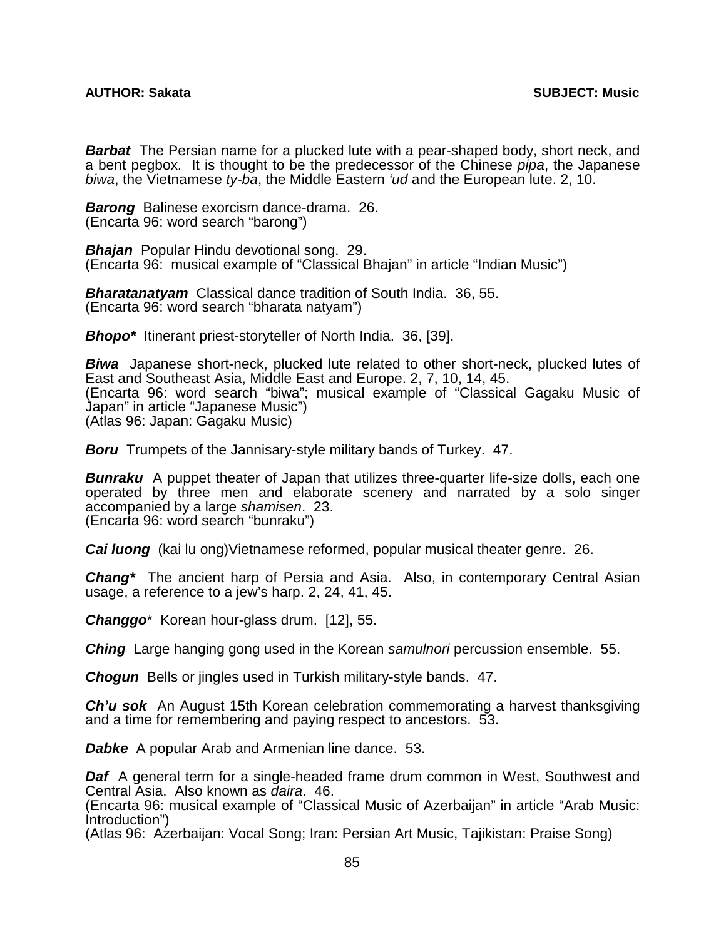*Barbat* The Persian name for a plucked lute with a pear-shaped body, short neck, and a bent pegbox. It is thought to be the predecessor of the Chinese *pipa*, the Japanese *biwa*, the Vietnamese *ty-ba*, the Middle Eastern *'ud* and the European lute. 2, 10.

*Barong* Balinese exorcism dance-drama. 26. (Encarta 96: word search "barong")

*Bhajan* Popular Hindu devotional song. 29. (Encarta 96: musical example of "Classical Bhajan" in article "Indian Music")

*Bharatanatyam* Classical dance tradition of South India. 36, 55. (Encarta 96: word search "bharata natyam")

*Bhopo\** Itinerant priest-storyteller of North India. 36, [39].

**Biwa** Japanese short-neck, plucked lute related to other short-neck, plucked lutes of East and Southeast Asia, Middle East and Europe. 2, 7, 10, 14, 45. (Encarta 96: word search "biwa"; musical example of "Classical Gagaku Music of Japan" in article "Japanese Music") (Atlas 96: Japan: Gagaku Music)

**Boru** Trumpets of the Jannisary-style military bands of Turkey. 47.

*Bunraku* A puppet theater of Japan that utilizes three-quarter life-size dolls, each one operated by three men and elaborate scenery and narrated by a solo singer accompanied by a large *shamisen*. 23. (Encarta 96: word search "bunraku")

*Cai luong* (kai lu ong)Vietnamese reformed, popular musical theater genre. 26.

*Chang\** The ancient harp of Persia and Asia. Also, in contemporary Central Asian usage, a reference to a jew's harp. 2, 24, 41, 45.

*Changgo*\* Korean hour-glass drum. [12], 55.

*Ching* Large hanging gong used in the Korean *samulnori* percussion ensemble. 55.

*Chogun* Bells or jingles used in Turkish military-style bands. 47.

*Ch'u sok* An August 15th Korean celebration commemorating a harvest thanksgiving and a time for remembering and paying respect to ancestors. 53.

*Dabke* A popular Arab and Armenian line dance. 53.

*Daf* A general term for a single-headed frame drum common in West, Southwest and Central Asia. Also known as *daira*. 46.

(Encarta 96: musical example of "Classical Music of Azerbaijan" in article "Arab Music: Introduction")

(Atlas 96: Azerbaijan: Vocal Song; Iran: Persian Art Music, Tajikistan: Praise Song)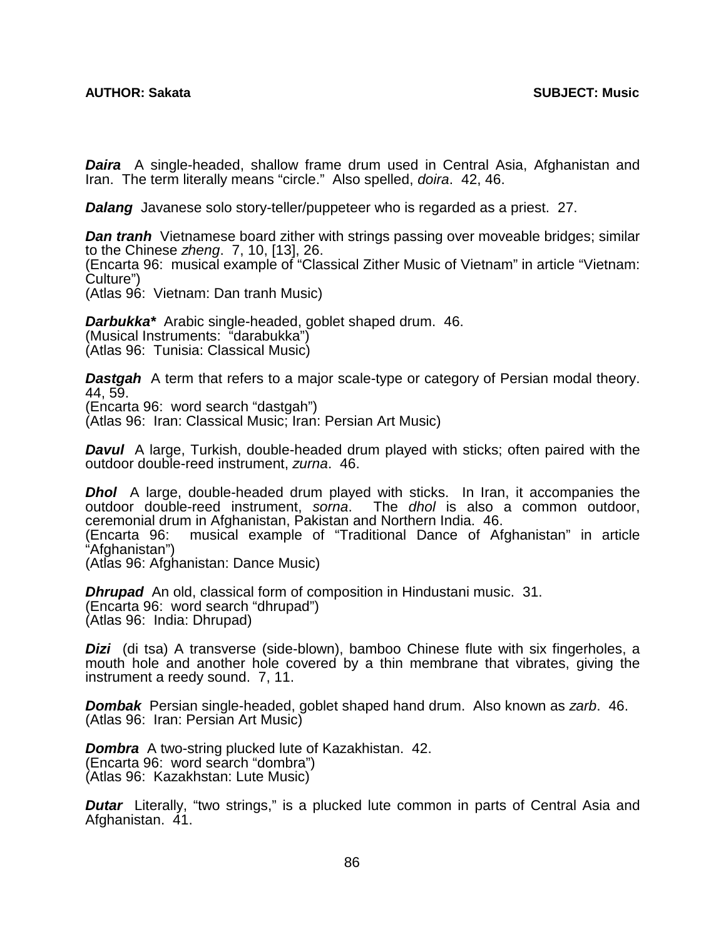*Daira* A single-headed, shallow frame drum used in Central Asia, Afghanistan and Iran. The term literally means "circle." Also spelled, *doira*. 42, 46.

*Dalang* Javanese solo story-teller/puppeteer who is regarded as a priest. 27.

*Dan tranh* Vietnamese board zither with strings passing over moveable bridges; similar to the Chinese *zheng*. 7, 10, [13], 26. (Encarta 96: musical example of "Classical Zither Music of Vietnam" in article "Vietnam: Culture") (Atlas 96: Vietnam: Dan tranh Music)

*Darbukka\** Arabic single-headed, goblet shaped drum. 46. (Musical Instruments: "darabukka") (Atlas 96: Tunisia: Classical Music)

**Dastgah** A term that refers to a major scale-type or category of Persian modal theory. 44, 59. (Encarta 96: word search "dastgah") (Atlas 96: Iran: Classical Music; Iran: Persian Art Music)

*Davul* A large, Turkish, double-headed drum played with sticks; often paired with the outdoor double-reed instrument, *zurna*. 46.

*Dhol* A large, double-headed drum played with sticks. In Iran, it accompanies the outdoor double-reed instrument, *sorna*. The *dhol* is also a common outdoor, ceremonial drum in Afghanistan, Pakistan and Northern India. 46.

musical example of "Traditional Dance of Afghanistan" in article (Encarta 96:<br>"Afghanistan")

(Atlas 96: Afghanistan: Dance Music)

*Dhrupad* An old, classical form of composition in Hindustani music. 31. (Encarta 96: word search "dhrupad") (Atlas 96: India: Dhrupad)

**Dizi** (di tsa) A transverse (side-blown), bamboo Chinese flute with six fingerholes, a mouth hole and another hole covered by a thin membrane that vibrates, giving the instrument a reedy sound. 7, 11.

*Dombak* Persian single-headed, goblet shaped hand drum. Also known as *zarb*. 46. (Atlas 96: Iran: Persian Art Music)

*Dombra* A two-string plucked lute of Kazakhistan. 42. (Encarta 96: word search "dombra") (Atlas 96: Kazakhstan: Lute Music)

**Dutar** Literally, "two strings," is a plucked lute common in parts of Central Asia and Afghanistan. 41.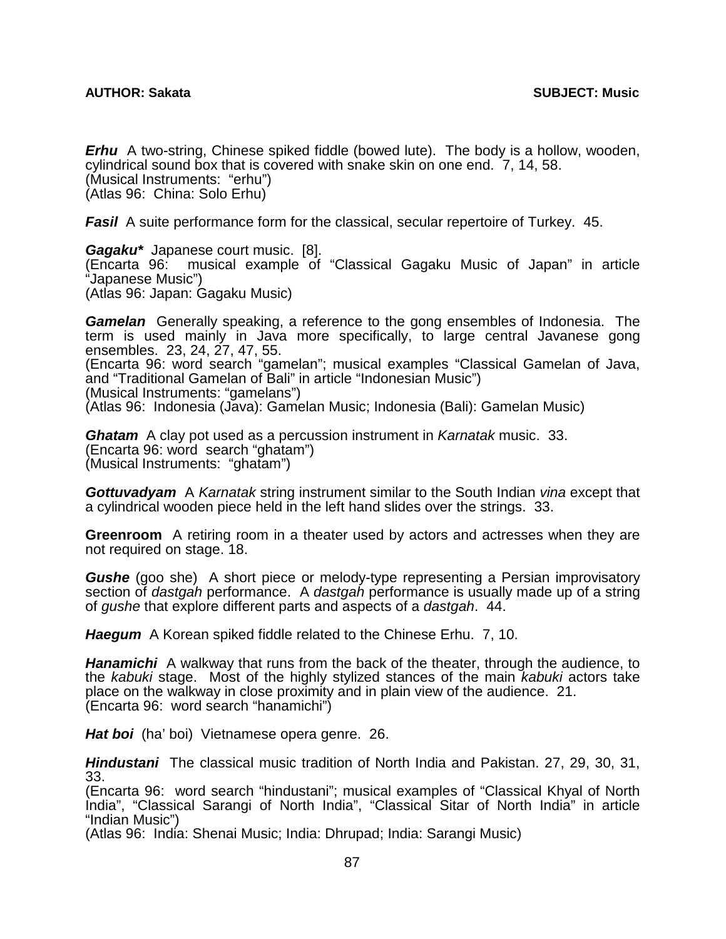*Erhu* A two-string, Chinese spiked fiddle (bowed lute). The body is a hollow, wooden, cylindrical sound box that is covered with snake skin on one end. 7, 14, 58. (Musical Instruments: "erhu") (Atlas 96: China: Solo Erhu)

*Fasil* A suite performance form for the classical, secular repertoire of Turkey. 45.

*Gagaku\** Japanese court music. [8]. musical example of "Classical Gagaku Music of Japan" in article "Japanese Music") (Atlas 96: Japan: Gagaku Music)

*Gamelan* Generally speaking, a reference to the gong ensembles of Indonesia. The term is used mainly in Java more specifically, to large central Javanese gong ensembles. 23, 24, 27, 47, 55. (Encarta 96: word search "gamelan"; musical examples "Classical Gamelan of Java, and "Traditional Gamelan of Bali" in article "Indonesian Music") (Musical Instruments: "gamelans") (Atlas 96: Indonesia (Java): Gamelan Music; Indonesia (Bali): Gamelan Music)

*Ghatam* A clay pot used as a percussion instrument in *Karnatak* music. 33. (Encarta 96: word search "ghatam") (Musical Instruments: "ghatam")

*Gottuvadyam* A *Karnatak* string instrument similar to the South Indian *vina* except that a cylindrical wooden piece held in the left hand slides over the strings. 33.

**Greenroom** A retiring room in a theater used by actors and actresses when they are not required on stage. 18.

*Gushe* (goo she) A short piece or melody-type representing a Persian improvisatory section of *dastgah* performance. A *dastgah* performance is usually made up of a string of *gushe* that explore different parts and aspects of a *dastgah*. 44.

*Haegum* A Korean spiked fiddle related to the Chinese Erhu. 7, 10.

*Hanamichi* A walkway that runs from the back of the theater, through the audience, to the *kabuki* stage. Most of the highly stylized stances of the main *kabuki* actors take place on the walkway in close proximity and in plain view of the audience. 21. (Encarta 96: word search "hanamichi")

*Hat boi* (ha' boi) Vietnamese opera genre. 26.

*Hindustani* The classical music tradition of North India and Pakistan. 27, 29, 30, 31, 33.

(Encarta 96: word search "hindustani"; musical examples of "Classical Khyal of North India", "Classical Sarangi of North India", "Classical Sitar of North India" in article "Indian Music")

(Atlas 96: India: Shenai Music; India: Dhrupad; India: Sarangi Music)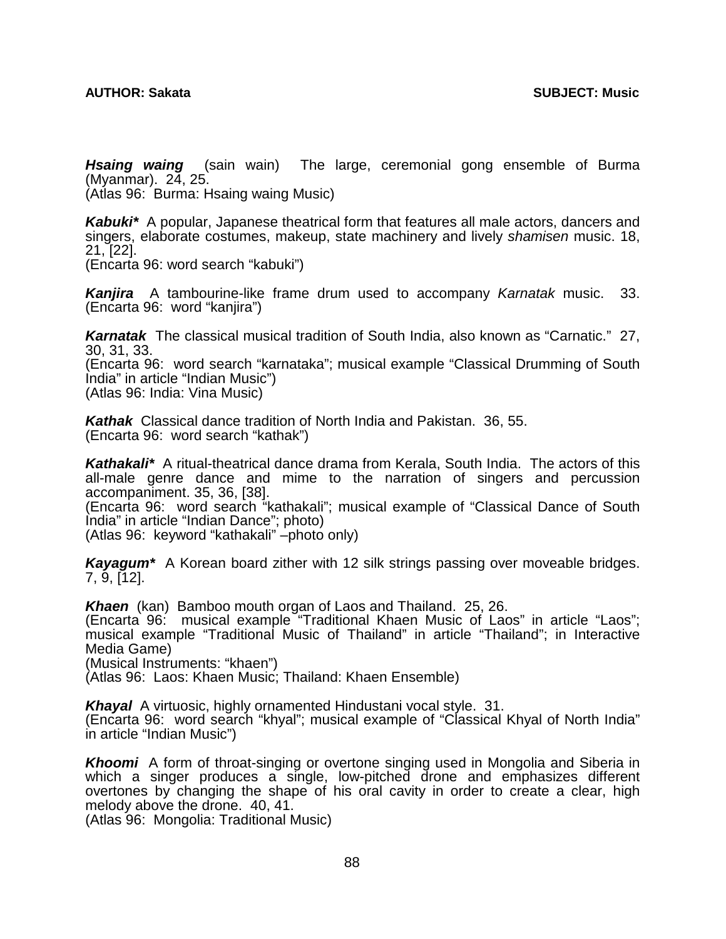*Hsaing waing* (sain wain)The large, ceremonial gong ensemble of Burma (Myanmar). 24, 25.

(Atlas 96: Burma: Hsaing waing Music)

*Kabuki\** A popular, Japanese theatrical form that features all male actors, dancers and singers, elaborate costumes, makeup, state machinery and lively *shamisen* music. 18, 21, [22].

(Encarta 96: word search "kabuki")

*Kanjira* A tambourine-like frame drum used to accompany *Karnatak* music. 33. (Encarta 96: word "kanjira")

*Karnatak* The classical musical tradition of South India, also known as "Carnatic." 27, 30, 31, 33.

(Encarta 96: word search "karnataka"; musical example "Classical Drumming of South India" in article "Indian Music")

(Atlas 96: India: Vina Music)

*Kathak* Classical dance tradition of North India and Pakistan. 36, 55. (Encarta 96: word search "kathak")

*Kathakali\** A ritual-theatrical dance drama from Kerala, South India. The actors of this all-male genre dance and mime to the narration of singers and percussion accompaniment. 35, 36, [38].

(Encarta 96: word search "kathakali"; musical example of "Classical Dance of South India" in article "Indian Dance"; photo)

(Atlas 96: keyword "kathakali" –photo only)

*Kayagum\** A Korean board zither with 12 silk strings passing over moveable bridges. 7, 9, [12].

*Khaen* (kan) Bamboo mouth organ of Laos and Thailand. 25, 26.

(Encarta 96: musical example "Traditional Khaen Music of Laos" in article "Laos"; musical example "Traditional Music of Thailand" in article "Thailand"; in Interactive Media Game)

(Musical Instruments: "khaen")

(Atlas 96: Laos: Khaen Music; Thailand: Khaen Ensemble)

*Khayal* A virtuosic, highly ornamented Hindustani vocal style. 31.

(Encarta 96: word search "khyal"; musical example of "Classical Khyal of North India" in article "Indian Music")

*Khoomi* A form of throat-singing or overtone singing used in Mongolia and Siberia in which a singer produces a single, low-pitched drone and emphasizes different overtones by changing the shape of his oral cavity in order to create a clear, high melody above the drone. 40, 41.

(Atlas 96: Mongolia: Traditional Music)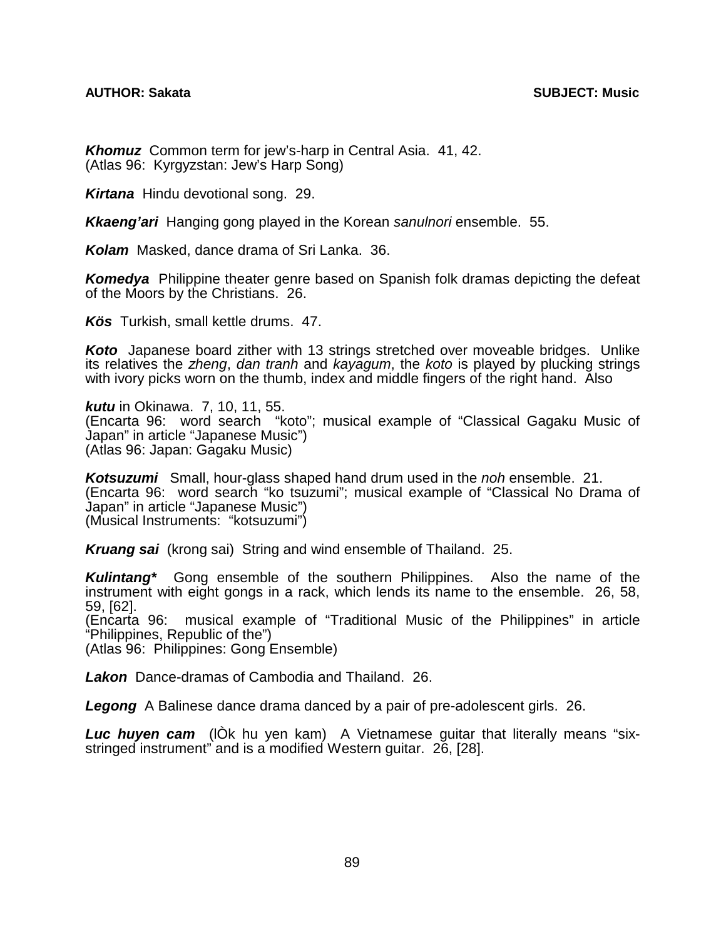## **AUTHOR: Sakata SUBJECT: Music**

*Khomuz* Common term for jew's-harp in Central Asia. 41, 42. (Atlas 96: Kyrgyzstan: Jew's Harp Song)

*Kirtana* Hindu devotional song. 29.

*Kkaeng'ari* Hanging gong played in the Korean *sanulnori* ensemble. 55.

*Kolam* Masked, dance drama of Sri Lanka. 36.

*Komedya* Philippine theater genre based on Spanish folk dramas depicting the defeat of the Moors by the Christians. 26.

*Kös* Turkish, small kettle drums. 47.

*Koto* Japanese board zither with 13 strings stretched over moveable bridges. Unlike its relatives the *zheng*, *dan tranh* and *kayagum*, the *koto* is played by plucking strings with ivory picks worn on the thumb, index and middle fingers of the right hand. Also

*kutu* in Okinawa. 7, 10, 11, 55. (Encarta 96: word search "koto"; musical example of "Classical Gagaku Music of Japan" in article "Japanese Music") (Atlas 96: Japan: Gagaku Music)

*Kotsuzumi* Small, hour-glass shaped hand drum used in the *noh* ensemble. 21. (Encarta 96: word search "ko tsuzumi"; musical example of "Classical No Drama of Japan" in article "Japanese Music") (Musical Instruments: "kotsuzumi")

*Kruang sai* (krong sai) String and wind ensemble of Thailand. 25.

*Kulintang\** Gong ensemble of the southern Philippines. Also the name of the instrument with eight gongs in a rack, which lends its name to the ensemble. 26, 58, 59, [62].

(Encarta 96: musical example of "Traditional Music of the Philippines" in article "Philippines, Republic of the")

(Atlas 96: Philippines: Gong Ensemble)

*Lakon* Dance-dramas of Cambodia and Thailand. 26.

*Legong* A Balinese dance drama danced by a pair of pre-adolescent girls. 26.

*Luc huyen cam* (lÒk hu yen kam) A Vietnamese guitar that literally means "sixstringed instrument" and is a modified Western guitar. 26, [28].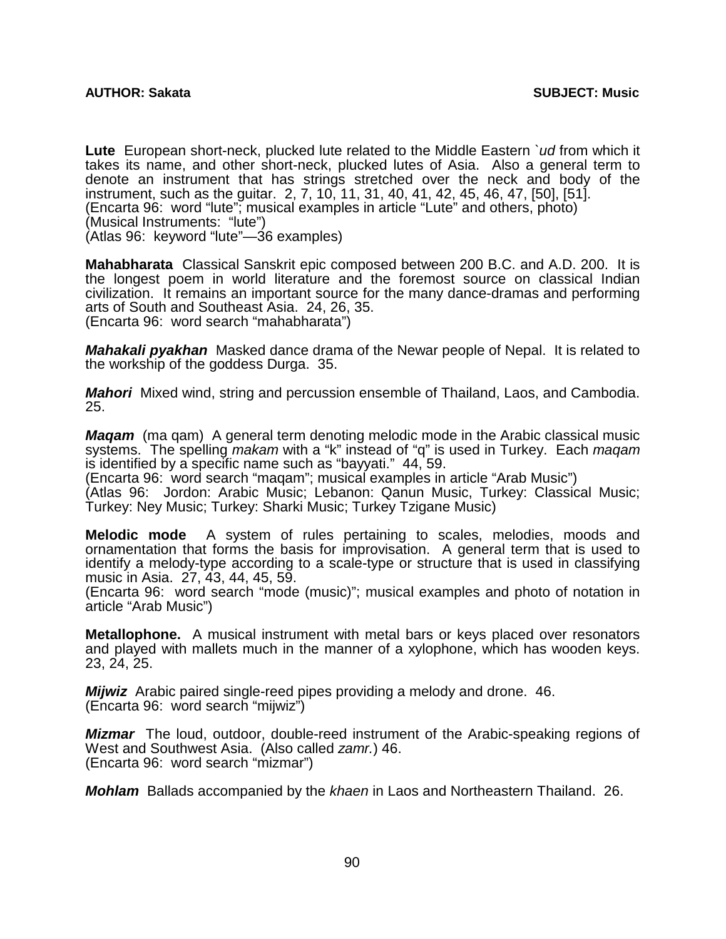**Lute** European short-neck, plucked lute related to the Middle Eastern *`ud* from which it takes its name, and other short-neck, plucked lutes of Asia. Also a general term to denote an instrument that has strings stretched over the neck and body of the instrument, such as the guitar. 2, 7, 10, 11, 31, 40, 41, 42, 45, 46, 47, [50], [51]. (Encarta 96: word "lute"; musical examples in article "Lute" and others, photo) (Musical Instruments: "lute") (Atlas 96: keyword "lute"—36 examples)

**Mahabharata** Classical Sanskrit epic composed between 200 B.C. and A.D. 200. It is the longest poem in world literature and the foremost source on classical Indian civilization. It remains an important source for the many dance-dramas and performing arts of South and Southeast Asia. 24, 26, 35. (Encarta 96: word search "mahabharata")

*Mahakali pyakhan* Masked dance drama of the Newar people of Nepal. It is related to the workship of the goddess Durga. 35.

*Mahori* Mixed wind, string and percussion ensemble of Thailand, Laos, and Cambodia. 25.

*Maqam* (ma qam) A general term denoting melodic mode in the Arabic classical music systems. The spelling *makam* with a "k" instead of "q" is used in Turkey. Each *maqam* is identified by a specific name such as "bayyati." 44, 59.

(Encarta 96: word search "maqam"; musical examples in article "Arab Music")

(Atlas 96: Jordon: Arabic Music; Lebanon: Qanun Music, Turkey: Classical Music; Turkey: Ney Music; Turkey: Sharki Music; Turkey Tzigane Music)

**Melodic mode** A system of rules pertaining to scales, melodies, moods and ornamentation that forms the basis for improvisation. A general term that is used to identify a melody-type according to a scale-type or structure that is used in classifying music in Asia. 27, 43, 44, 45, 59.

(Encarta 96: word search "mode (music)"; musical examples and photo of notation in article "Arab Music")

**Metallophone.** A musical instrument with metal bars or keys placed over resonators and played with mallets much in the manner of a xylophone, which has wooden keys. 23, 24, 25.

*Mijwiz* Arabic paired single-reed pipes providing a melody and drone. 46. (Encarta 96: word search "mijwiz")

*Mizmar* The loud, outdoor, double-reed instrument of the Arabic-speaking regions of West and Southwest Asia. (Also called *zamr.*) 46. (Encarta 96: word search "mizmar")

*Mohlam* Ballads accompanied by the *khaen* in Laos and Northeastern Thailand. 26.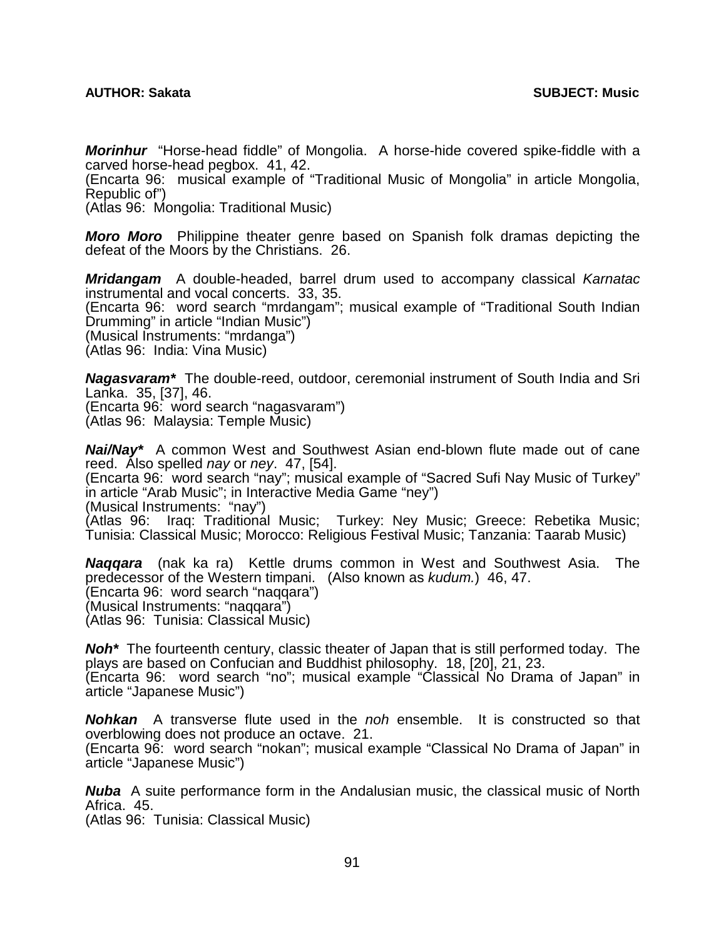*Morinhur* "Horse-head fiddle" of Mongolia. A horse-hide covered spike-fiddle with a carved horse-head pegbox. 41, 42.

(Encarta 96: musical example of "Traditional Music of Mongolia" in article Mongolia, Republic of")

(Atlas 96: Mongolia: Traditional Music)

*Moro Moro* Philippine theater genre based on Spanish folk dramas depicting the defeat of the Moors by the Christians. 26.

*Mridangam* A double-headed, barrel drum used to accompany classical *Karnatac* instrumental and vocal concerts. 33, 35. (Encarta 96: word search "mrdangam"; musical example of "Traditional South Indian Drumming" in article "Indian Music") (Musical Instruments: "mrdanga") (Atlas 96: India: Vina Music)

*Nagasvaram\** The double-reed, outdoor, ceremonial instrument of South India and Sri Lanka. 35, [37], 46.

(Encarta 96: word search "nagasvaram")

(Atlas 96: Malaysia: Temple Music)

*Nai/Nay\** A common West and Southwest Asian end-blown flute made out of cane reed. Also spelled *nay* or *ney*. 47, [54].

(Encarta 96: word search "nay"; musical example of "Sacred Sufi Nay Music of Turkey" in article "Arab Music"; in Interactive Media Game "ney") (Musical Instruments: "nay")

(Atlas 96: Iraq: Traditional Music; Turkey: Ney Music; Greece: Rebetika Music; Tunisia: Classical Music; Morocco: Religious Festival Music; Tanzania: Taarab Music)

*Naqqara* (nak ka ra) Kettle drums common in West and Southwest Asia. The predecessor of the Western timpani. (Also known as *kudum.*) 46, 47. (Encarta 96: word search "naqqara") (Musical Instruments: "naqqara") (Atlas 96: Tunisia: Classical Music)

*Noh\** The fourteenth century, classic theater of Japan that is still performed today. The plays are based on Confucian and Buddhist philosophy. 18, [20], 21, 23. (Encarta 96: word search "no"; musical example "Classical No Drama of Japan" in

article "Japanese Music") *Nohkan* A transverse flute used in the *noh* ensemble. It is constructed so that

overblowing does not produce an octave. 21. (Encarta 96: word search "nokan"; musical example "Classical No Drama of Japan" in

article "Japanese Music")

*Nuba* A suite performance form in the Andalusian music, the classical music of North Africa. 45.

(Atlas 96: Tunisia: Classical Music)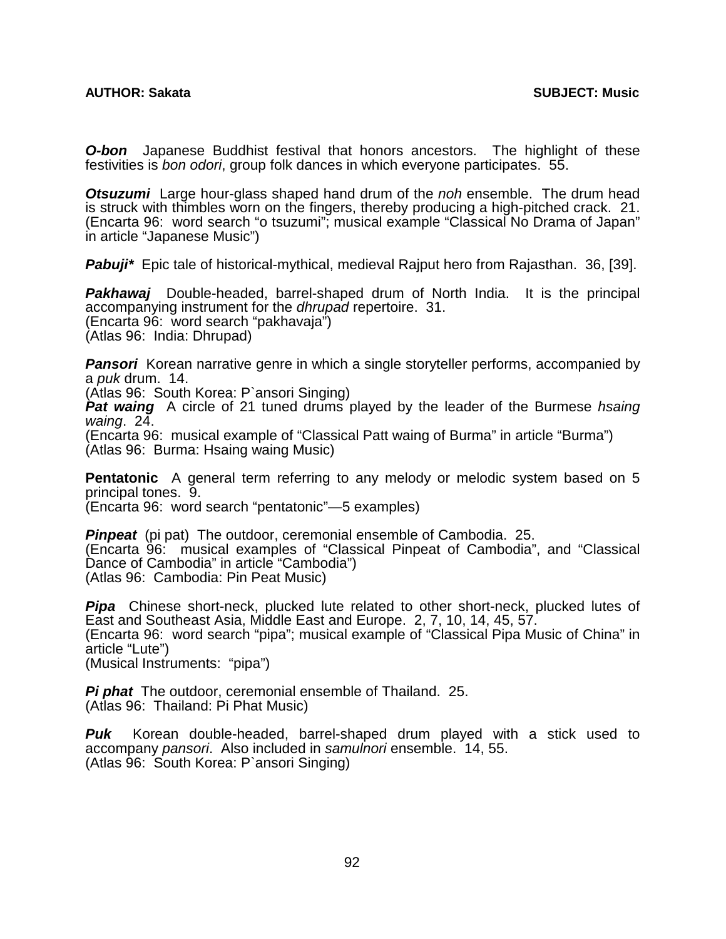*O-bon* Japanese Buddhist festival that honors ancestors. The highlight of these festivities is *bon odori*, group folk dances in which everyone participates. 55.

*Otsuzumi* Large hour-glass shaped hand drum of the *noh* ensemble. The drum head is struck with thimbles worn on the fingers, thereby producing a high-pitched crack. 21. (Encarta 96: word search "o tsuzumi"; musical example "Classical No Drama of Japan" in article "Japanese Music")

*Pabuji\** Epic tale of historical-mythical, medieval Rajput hero from Rajasthan. 36, [39].

**Pakhawaj** Double-headed, barrel-shaped drum of North India. It is the principal accompanying instrument for the *dhrupad* repertoire. 31. (Encarta 96: word search "pakhavaja") (Atlas 96: India: Dhrupad)

**Pansori** Korean narrative genre in which a single storyteller performs, accompanied by a *puk* drum. 14.

(Atlas 96: South Korea: P`ansori Singing)

**Pat waing** A circle of 21 tuned drums played by the leader of the Burmese hsaing *waing*. 24.

(Encarta 96: musical example of "Classical Patt waing of Burma" in article "Burma") (Atlas 96: Burma: Hsaing waing Music)

**Pentatonic** A general term referring to any melody or melodic system based on 5 principal tones. 9.

(Encarta 96: word search "pentatonic"—5 examples)

*Pinpeat* (pi pat) The outdoor, ceremonial ensemble of Cambodia. 25. (Encarta 96: musical examples of "Classical Pinpeat of Cambodia", and "Classical Dance of Cambodia" in article "Cambodia") (Atlas 96: Cambodia: Pin Peat Music)

**Pipa** Chinese short-neck, plucked lute related to other short-neck, plucked lutes of East and Southeast Asia, Middle East and Europe. 2, 7, 10, 14, 45, 57. (Encarta 96: word search "pipa"; musical example of "Classical Pipa Music of China" in article "Lute") (Musical Instruments: "pipa")

*Pi phat* The outdoor, ceremonial ensemble of Thailand. 25. (Atlas 96: Thailand: Pi Phat Music)

*Puk* Korean double-headed, barrel-shaped drum played with a stick used to accompany *pansori*. Also included in *samulnori* ensemble. 14, 55. (Atlas 96: South Korea: P`ansori Singing)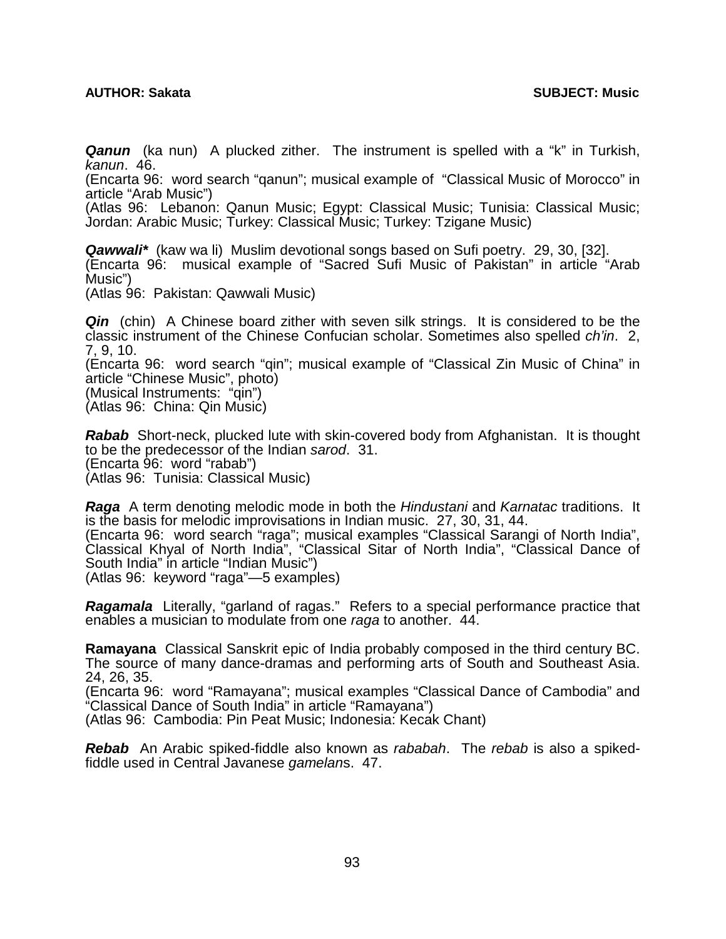## **AUTHOR: Sakata SUBJECT: Music**

*Qanun* (ka nun) A plucked zither. The instrument is spelled with a "k" in Turkish, *kanun*. 46.

(Encarta 96: word search "qanun"; musical example of "Classical Music of Morocco" in article "Arab Music")

(Atlas 96: Lebanon: Qanun Music; Egypt: Classical Music; Tunisia: Classical Music; Jordan: Arabic Music; Turkey: Classical Music; Turkey: Tzigane Music)

*Qawwali\** (kaw wa li) Muslim devotional songs based on Sufi poetry. 29, 30, [32]. (Encarta 96: musical example of "Sacred Sufi Music of Pakistan" in article "Arab Music")

(Atlas 96: Pakistan: Qawwali Music)

*Qin* (chin) A Chinese board zither with seven silk strings. It is considered to be the classic instrument of the Chinese Confucian scholar. Sometimes also spelled *ch'in*. 2, 7, 9, 10.

(Encarta 96: word search "qin"; musical example of "Classical Zin Music of China" in article "Chinese Music", photo)

(Musical Instruments: "qin") (Atlas 96: China: Qin Music)

*Rabab* Short-neck, plucked lute with skin-covered body from Afghanistan. It is thought to be the predecessor of the Indian *sarod*. 31. (Encarta 96: word "rabab") (Atlas 96: Tunisia: Classical Music)

*Raga* A term denoting melodic mode in both the *Hindustani* and *Karnatac* traditions. It is the basis for melodic improvisations in Indian music. 27, 30, 31, 44.

(Encarta 96: word search "raga"; musical examples "Classical Sarangi of North India", Classical Khyal of North India", "Classical Sitar of North India", "Classical Dance of South India" in article "Indian Music")

(Atlas 96: keyword "raga"—5 examples)

*Ragamala* Literally, "garland of ragas." Refers to a special performance practice that enables a musician to modulate from one *raga* to another. 44.

**Ramayana** Classical Sanskrit epic of India probably composed in the third century BC. The source of many dance-dramas and performing arts of South and Southeast Asia. 24, 26, 35.

(Encarta 96: word "Ramayana"; musical examples "Classical Dance of Cambodia" and "Classical Dance of South India" in article "Ramayana")

(Atlas 96: Cambodia: Pin Peat Music; Indonesia: Kecak Chant)

*Rebab* An Arabic spiked-fiddle also known as *rababah*. The *rebab* is also a spikedfiddle used in Central Javanese *gamelan*s. 47.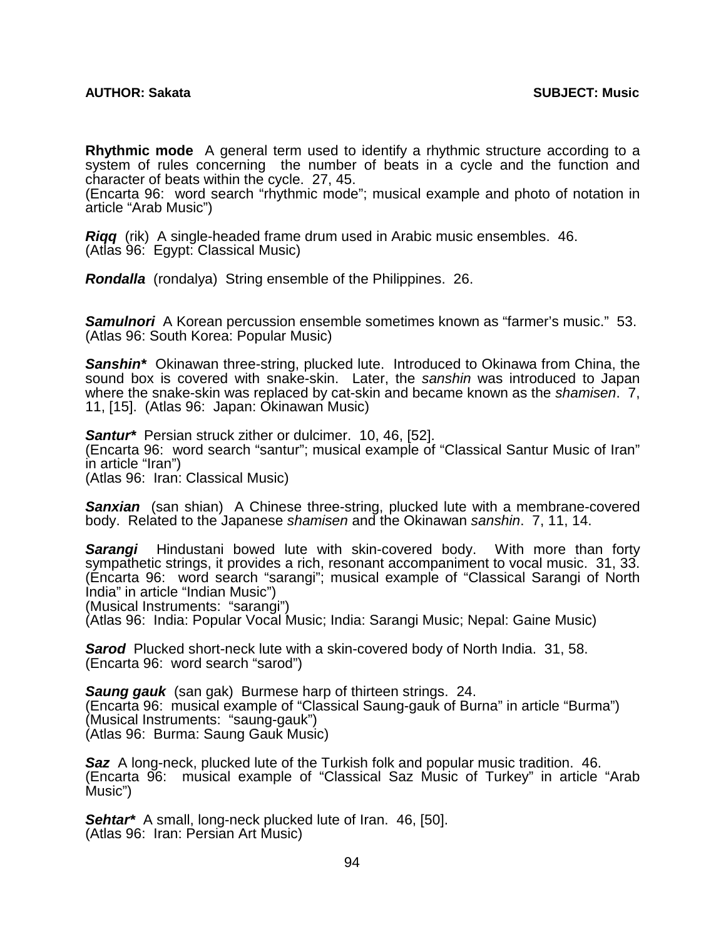**Rhythmic mode** A general term used to identify a rhythmic structure according to a system of rules concerning the number of beats in a cycle and the function and character of beats within the cycle. 27, 45.

(Encarta 96: word search "rhythmic mode"; musical example and photo of notation in article "Arab Music")

*Riqq* (rik) A single-headed frame drum used in Arabic music ensembles. 46. (Atlas 96: Egypt: Classical Music)

*Rondalla* (rondalya) String ensemble of the Philippines. 26.

*Samulnori* A Korean percussion ensemble sometimes known as "farmer's music." 53. (Atlas 96: South Korea: Popular Music)

*Sanshin\** Okinawan three-string, plucked lute. Introduced to Okinawa from China, the sound box is covered with snake-skin. Later, the *sanshin* was introduced to Japan where the snake-skin was replaced by cat-skin and became known as the *shamisen*. 7, 11, [15]. (Atlas 96: Japan: Okinawan Music)

*Santur\** Persian struck zither or dulcimer. 10, 46, [52]. (Encarta 96: word search "santur"; musical example of "Classical Santur Music of Iran" in article "Iran") (Atlas 96: Iran: Classical Music)

**Sanxian** (san shian) A Chinese three-string, plucked lute with a membrane-covered body. Related to the Japanese *shamisen* and the Okinawan *sanshin*. 7, 11, 14.

*Sarangi* Hindustani bowed lute with skin-covered body. With more than forty sympathetic strings, it provides a rich, resonant accompaniment to vocal music. 31, 33. (Encarta 96: word search "sarangi"; musical example of "Classical Sarangi of North India" in article "Indian Music")

(Musical Instruments: "sarangi")

(Atlas 96: India: Popular Vocal Music; India: Sarangi Music; Nepal: Gaine Music)

*Sarod* Plucked short-neck lute with a skin-covered body of North India. 31, 58. (Encarta 96: word search "sarod")

*Saung gauk* (san gak) Burmese harp of thirteen strings. 24. (Encarta 96: musical example of "Classical Saung-gauk of Burna" in article "Burma") (Musical Instruments: "saung-gauk") (Atlas 96: Burma: Saung Gauk Music)

*Saz* A long-neck, plucked lute of the Turkish folk and popular music tradition. 46. (Encarta 96: musical example of "Classical Saz Music of Turkey" in article "Arab Music")

*Sehtar\** A small, long-neck plucked lute of Iran. 46, [50]. (Atlas 96: Iran: Persian Art Music)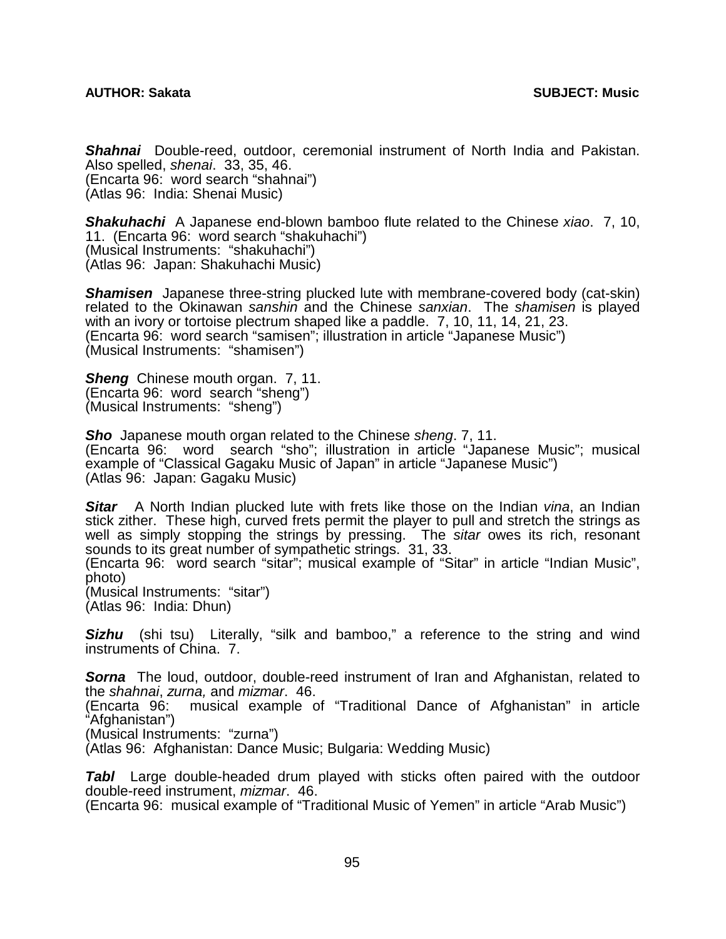*Shahnai* Double-reed, outdoor, ceremonial instrument of North India and Pakistan. Also spelled, *shenai*. 33, 35, 46. (Encarta 96: word search "shahnai") (Atlas 96: India: Shenai Music)

*Shakuhachi* A Japanese end-blown bamboo flute related to the Chinese *xiao*. 7, 10, 11. (Encarta 96: word search "shakuhachi") (Musical Instruments: "shakuhachi") (Atlas 96: Japan: Shakuhachi Music)

**Shamisen** Japanese three-string plucked lute with membrane-covered body (cat-skin) related to the Okinawan *sanshin* and the Chinese *sanxian*. The *shamisen* is played with an ivory or tortoise plectrum shaped like a paddle. 7, 10, 11, 14, 21, 23. (Encarta 96: word search "samisen"; illustration in article "Japanese Music") (Musical Instruments: "shamisen")

*Sheng* Chinese mouth organ. 7, 11. (Encarta 96: word search "sheng") (Musical Instruments: "sheng")

*Sho* Japanese mouth organ related to the Chinese *sheng*. 7, 11. (Encarta 96: word search "sho"; illustration in article "Japanese Music"; musical example of "Classical Gagaku Music of Japan" in article "Japanese Music") (Atlas 96: Japan: Gagaku Music)

*Sitar* A North Indian plucked lute with frets like those on the Indian *vina*, an Indian stick zither. These high, curved frets permit the player to pull and stretch the strings as well as simply stopping the strings by pressing. The *sitar* owes its rich, resonant sounds to its great number of sympathetic strings. 31, 33.

(Encarta 96: word search "sitar"; musical example of "Sitar" in article "Indian Music", photo)

(Musical Instruments: "sitar") (Atlas 96: India: Dhun)

**Sizhu** (shi tsu) Literally, "silk and bamboo," a reference to the string and wind instruments of China. 7.

**Sorna** The loud, outdoor, double-reed instrument of Iran and Afghanistan, related to the *shahnai*, *zurna,* and *mizmar*. 46.

musical example of "Traditional Dance of Afghanistan" in article (Encarta 96:<br>"Afghanistan")

(Musical Instruments: "zurna")

(Atlas 96: Afghanistan: Dance Music; Bulgaria: Wedding Music)

**Tabl** Large double-headed drum played with sticks often paired with the outdoor double-reed instrument, *mizmar*. 46.

(Encarta 96: musical example of "Traditional Music of Yemen" in article "Arab Music")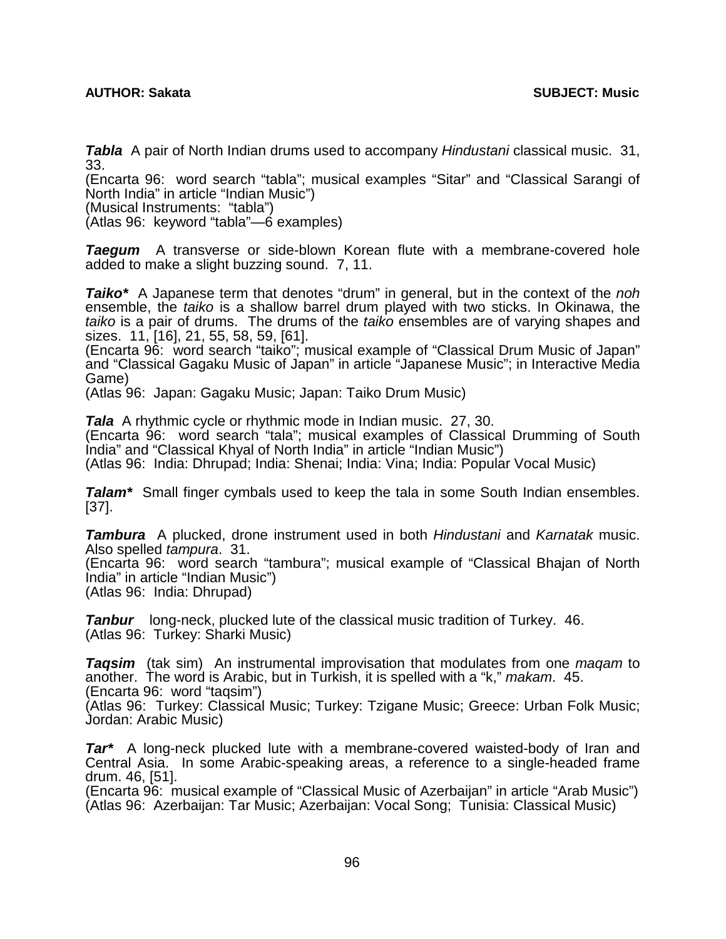*Tabla* A pair of North Indian drums used to accompany *Hindustani* classical music. 31, 33.

(Encarta 96: word search "tabla"; musical examples "Sitar" and "Classical Sarangi of North India" in article "Indian Music")

(Musical Instruments: "tabla")

(Atlas 96: keyword "tabla"—6 examples)

**Taegum** A transverse or side-blown Korean flute with a membrane-covered hole added to make a slight buzzing sound. 7, 11.

*Taiko\** A Japanese term that denotes "drum" in general, but in the context of the *noh* ensemble, the *taiko* is a shallow barrel drum played with two sticks. In Okinawa, the *taiko* is a pair of drums. The drums of the *taiko* ensembles are of varying shapes and sizes. 11, [16], 21, 55, 58, 59, [61].

(Encarta 96: word search "taiko"; musical example of "Classical Drum Music of Japan" and "Classical Gagaku Music of Japan" in article "Japanese Music"; in Interactive Media Game)

(Atlas 96: Japan: Gagaku Music; Japan: Taiko Drum Music)

*Tala* A rhythmic cycle or rhythmic mode in Indian music. 27, 30.

(Encarta 96: word search "tala"; musical examples of Classical Drumming of South India" and "Classical Khyal of North India" in article "Indian Music")

(Atlas 96: India: Dhrupad; India: Shenai; India: Vina; India: Popular Vocal Music)

*Talam\** Small finger cymbals used to keep the tala in some South Indian ensembles. [37].

*Tambura* A plucked, drone instrument used in both *Hindustani* and *Karnatak* music. Also spelled *tampura*. 31.

(Encarta 96: word search "tambura"; musical example of "Classical Bhajan of North India" in article "Indian Music")

(Atlas 96: India: Dhrupad)

*Tanbur* long-neck, plucked lute of the classical music tradition of Turkey. 46. (Atlas 96: Turkey: Sharki Music)

*Taqsim* (tak sim) An instrumental improvisation that modulates from one *maqam* to another. The word is Arabic, but in Turkish, it is spelled with a "k," *makam*. 45. (Encarta 96: word "taqsim")

(Atlas 96: Turkey: Classical Music; Turkey: Tzigane Music; Greece: Urban Folk Music; Jordan: Arabic Music)

*Tar\** A long-neck plucked lute with a membrane-covered waisted-body of Iran and Central Asia. In some Arabic-speaking areas, a reference to a single-headed frame drum. 46, [51].

(Encarta 96: musical example of "Classical Music of Azerbaijan" in article "Arab Music") (Atlas 96: Azerbaijan: Tar Music; Azerbaijan: Vocal Song; Tunisia: Classical Music)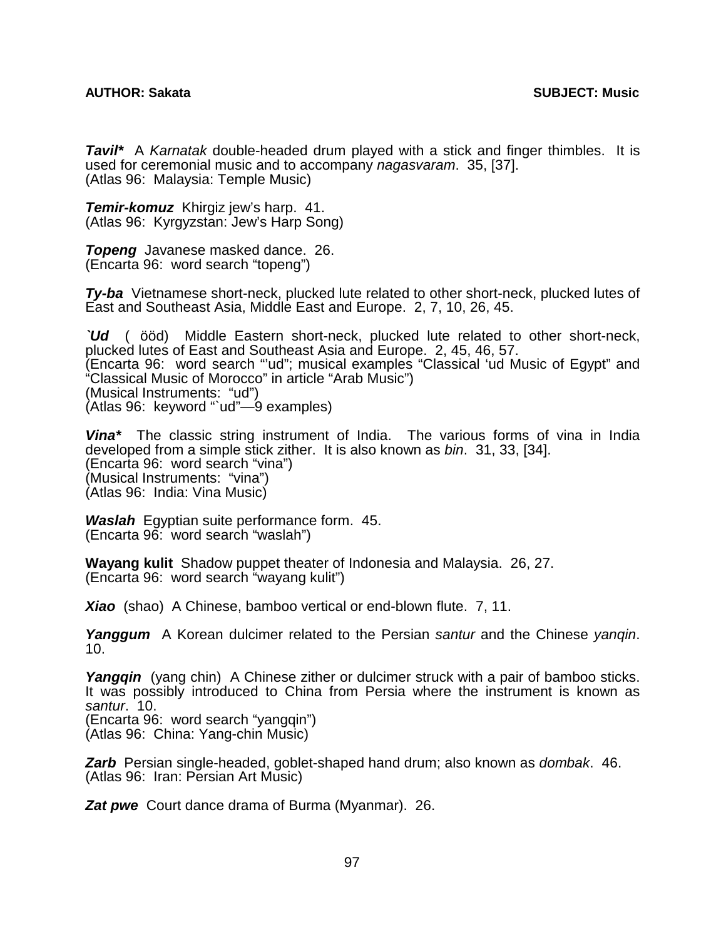*Tavil\** A *Karnatak* double-headed drum played with a stick and finger thimbles. It is used for ceremonial music and to accompany *nagasvaram*. 35, [37]. (Atlas 96: Malaysia: Temple Music)

*Temir-komuz* Khirgiz jew's harp. 41. (Atlas 96: Kyrgyzstan: Jew's Harp Song)

*Topeng* Javanese masked dance. 26. (Encarta 96: word search "topeng")

*Ty-ba* Vietnamese short-neck, plucked lute related to other short-neck, plucked lutes of East and Southeast Asia, Middle East and Europe. 2, 7, 10, 26, 45.

*`Ud* (ööd) Middle Eastern short-neck, plucked lute related to other short-neck, plucked lutes of East and Southeast Asia and Europe. 2, 45, 46, 57. (Encarta 96: word search "'ud"; musical examples "Classical 'ud Music of Egypt" and "Classical Music of Morocco" in article "Arab Music") (Musical Instruments: "ud") (Atlas 96: keyword "`ud"—9 examples)

*Vina\** The classic string instrument of India. The various forms of vina in India developed from a simple stick zither. It is also known as *bin*. 31, 33, [34]. (Encarta 96: word search "vina") (Musical Instruments: "vina") (Atlas 96: India: Vina Music)

*Waslah* Egyptian suite performance form. 45. (Encarta 96: word search "waslah")

**Wayang kulit** Shadow puppet theater of Indonesia and Malaysia. 26, 27. (Encarta 96: word search "wayang kulit")

*Xiao*(shao) A Chinese, bamboo vertical or end-blown flute. 7, 11.

*Yanggum*A Korean dulcimer related to the Persian *santur* and the Chinese *yanqin*. 10.

Yangqin (yang chin) A Chinese zither or dulcimer struck with a pair of bamboo sticks. It was possibly introduced to China from Persia where the instrument is known as *santur*. 10.

(Encarta 96: word search "yangqin") (Atlas 96: China: Yang-chin Music)

*Zarb*Persian single-headed, goblet-shaped hand drum; also known as *dombak*. 46. (Atlas 96: Iran: Persian Art Music)

**Zat pwe** Court dance drama of Burma (Myanmar). 26.